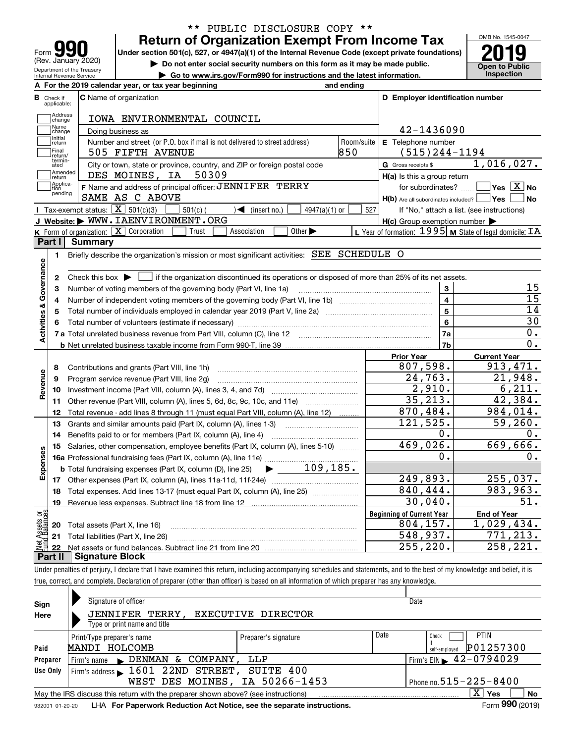| ľО<br>Form                                             |
|--------------------------------------------------------|
| (Rev. January 2020)                                    |
| Department of the Treasury<br>Internal Revenue Service |

# **Return of Organization Exempt From Income Tax** \*\* PUBLIC DISCLOSURE COPY \*\*

Under section 501(c), 527, or 4947(a)(1) of the Internal Revenue Code (except private foundations) **2019** 

**| Do not enter social security numbers on this form as it may be made public.**

**| Go to www.irs.gov/Form990 for instructions and the latest information. Inspection**



|                         |                         | A For the 2019 calendar year, or tax year beginning                                                                                                 | and ending |                                                     |                                                             |
|-------------------------|-------------------------|-----------------------------------------------------------------------------------------------------------------------------------------------------|------------|-----------------------------------------------------|-------------------------------------------------------------|
| В                       | Check if<br>applicable: | <b>C</b> Name of organization                                                                                                                       |            | D Employer identification number                    |                                                             |
|                         | Address<br>change       | IOWA ENVIRONMENTAL COUNCIL                                                                                                                          |            |                                                     |                                                             |
|                         | Name<br>change          | Doing business as                                                                                                                                   |            | 42-1436090                                          |                                                             |
|                         | Initial<br>return       | Number and street (or P.O. box if mail is not delivered to street address)                                                                          | Room/suite | E Telephone number                                  |                                                             |
|                         | Final<br>return/        | 505 FIFTH AVENUE                                                                                                                                    | 850        | $(515)$ 244-1194                                    |                                                             |
|                         | termin-<br>ated         | City or town, state or province, country, and ZIP or foreign postal code                                                                            |            | G Gross receipts \$                                 | 1,016,027.                                                  |
|                         | Amended<br>return       | 50309<br>DES MOINES, IA                                                                                                                             |            | H(a) Is this a group return                         |                                                             |
|                         | Applica-<br>tion        | F Name and address of principal officer: JENNIFER TERRY                                                                                             |            | for subordinates?                                   | $\sqrt{}$ Yes $\sqrt{}$ X $\sqrt{}$ No                      |
|                         | pending                 | SAME AS C ABOVE                                                                                                                                     |            | $H(b)$ Are all subordinates included? $\Box$ Yes    | N <sub>o</sub>                                              |
|                         |                         | Tax-exempt status: $\boxed{\mathbf{X}}$ 501(c)(3)<br>$501(c)$ (<br>$\sqrt{\frac{1}{1}}$ (insert no.)<br>$4947(a)(1)$ or                             | 527        |                                                     | If "No," attach a list. (see instructions)                  |
|                         |                         | J Website: WWW. IAENVIRONMENT. ORG                                                                                                                  |            | $H(c)$ Group exemption number $\blacktriangleright$ |                                                             |
|                         |                         | K Form of organization: $\boxed{\mathbf{X}}$ Corporation<br>Other $\blacktriangleright$<br>Trust<br>Association                                     |            |                                                     | L Year of formation: $1995$ M State of legal domicile: $TA$ |
|                         | Part I                  | <b>Summary</b>                                                                                                                                      |            |                                                     |                                                             |
|                         | 1                       | Briefly describe the organization's mission or most significant activities: SEE SCHEDULE O                                                          |            |                                                     |                                                             |
|                         |                         |                                                                                                                                                     |            |                                                     |                                                             |
| Activities & Governance | 2                       | Check this box $\blacktriangleright$ $\blacksquare$ if the organization discontinued its operations or disposed of more than 25% of its net assets. |            |                                                     |                                                             |
|                         | 3                       | Number of voting members of the governing body (Part VI, line 1a)                                                                                   |            | 3                                                   | 15                                                          |
|                         | 4                       |                                                                                                                                                     |            | $\overline{\mathbf{4}}$                             | $\overline{15}$                                             |
|                         | 5                       |                                                                                                                                                     |            | $\overline{5}$                                      | 14                                                          |
|                         | 6                       |                                                                                                                                                     |            | 6                                                   | 30                                                          |
|                         |                         |                                                                                                                                                     |            | 7a                                                  | 0.                                                          |
|                         |                         |                                                                                                                                                     |            | 7b                                                  | 0.                                                          |
|                         |                         |                                                                                                                                                     |            | <b>Prior Year</b>                                   | <b>Current Year</b>                                         |
|                         | 8                       | Contributions and grants (Part VIII, line 1h)                                                                                                       |            | 807,598.                                            | 913, 471.                                                   |
| Revenue                 | 9                       | Program service revenue (Part VIII, line 2g)                                                                                                        |            | 24,763.                                             | 21,948.                                                     |
|                         | 10                      |                                                                                                                                                     |            | 2,910.                                              | 6, 211.                                                     |
|                         | 11                      | Other revenue (Part VIII, column (A), lines 5, 6d, 8c, 9c, 10c, and 11e)                                                                            |            | 35,213.                                             | 42,384.                                                     |
|                         | 12                      | Total revenue - add lines 8 through 11 (must equal Part VIII, column (A), line 12)                                                                  |            | 870,484.                                            | 984,014.                                                    |
|                         | 13                      | Grants and similar amounts paid (Part IX, column (A), lines 1-3)                                                                                    |            | 121,525.                                            | 59,260.                                                     |
|                         | 14                      | Benefits paid to or for members (Part IX, column (A), line 4)                                                                                       |            | $0$ .                                               | О.                                                          |
|                         | 15                      | Salaries, other compensation, employee benefits (Part IX, column (A), lines 5-10)                                                                   |            | 469,026.                                            | 669,666.                                                    |
| Expenses                |                         |                                                                                                                                                     |            | о.                                                  | Ο.                                                          |
|                         |                         | $\blacktriangleright$ 109,185.<br><b>b</b> Total fundraising expenses (Part IX, column (D), line 25)                                                |            |                                                     |                                                             |
|                         |                         |                                                                                                                                                     |            | 249,893.                                            | 255,037.                                                    |
|                         |                         | Total expenses. Add lines 13-17 (must equal Part IX, column (A), line 25) <i></i>                                                                   |            | 840,444.                                            | 983, 963.                                                   |
|                         | 18                      |                                                                                                                                                     |            |                                                     |                                                             |
|                         | 19                      |                                                                                                                                                     |            | 30,040.                                             | 51.                                                         |
|                         |                         |                                                                                                                                                     |            | <b>Beginning of Current Year</b>                    | <b>End of Year</b>                                          |
| ăğ                      |                         | <b>20</b> Total assets (Part X, line 16)                                                                                                            |            | 804, 157.                                           | 1,029,434.                                                  |
| <b>Ssets</b><br>Ralam   | 22                      | 21 Total liabilities (Part X, line 26)                                                                                                              |            | 548,937.<br>255, 220.                               | 771,213.<br>258, 221.                                       |

Under penalties of perjury, I declare that I have examined this return, including accompanying schedules and statements, and to the best of my knowledge and belief, it is true, correct, and complete. Declaration of preparer (other than officer) is based on all information of which preparer has any knowledge.

| Sign            | Signature of officer                                                              |                      |      | Date                                        |
|-----------------|-----------------------------------------------------------------------------------|----------------------|------|---------------------------------------------|
| Here            | JENNIFER TERRY,                                                                   | EXECUTIVE DIRECTOR   |      |                                             |
|                 | Type or print name and title                                                      |                      |      |                                             |
|                 | Print/Type preparer's name                                                        | Preparer's signature | Date | <b>PTIN</b><br>Check                        |
| Paid            | MANDI HOLCOMB                                                                     |                      |      | P01257300<br>self-emploved                  |
| Preparer        | Firm's name $\blacktriangleright$ DENMAN & COMPANY,                               | LLP                  |      | Firm's EIN $\blacktriangleright$ 42-0794029 |
| Use Only        | Firm's address 1601 22ND STREET, SUITE 400                                        |                      |      |                                             |
|                 | WEST DES MOINES, IA 50266-1453                                                    |                      |      | Phone no. $515 - 225 - 8400$                |
|                 | May the IRS discuss this return with the preparer shown above? (see instructions) |                      |      | $X \vert Y$ es<br>No                        |
| 932001 01-20-20 | LHA For Paperwork Reduction Act Notice, see the separate instructions.            |                      |      | Form 990 (2019)                             |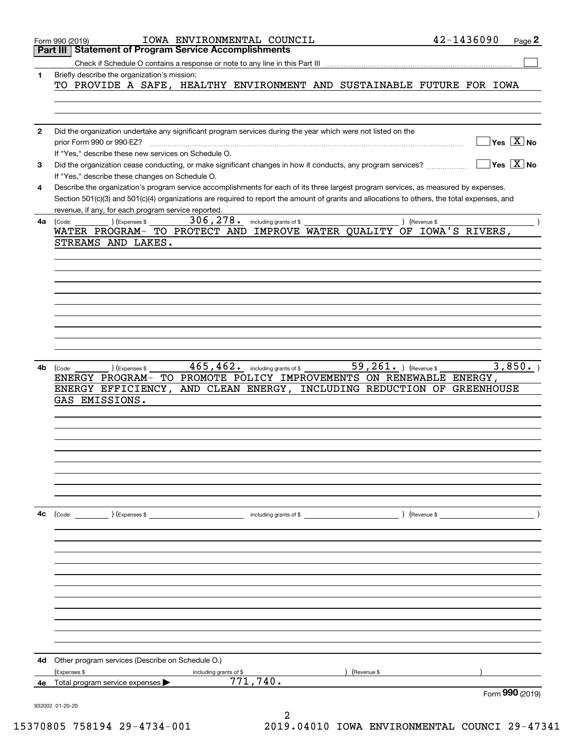|              | IOWA ENVIRONMENTAL COUNCIL<br>Form 990 (2019)                                                                                                                                                                                                                                                                                                                                                                                                                                                                                                | 42-1436090<br>Page 2                   |
|--------------|----------------------------------------------------------------------------------------------------------------------------------------------------------------------------------------------------------------------------------------------------------------------------------------------------------------------------------------------------------------------------------------------------------------------------------------------------------------------------------------------------------------------------------------------|----------------------------------------|
|              | <b>Statement of Program Service Accomplishments</b><br>Part III                                                                                                                                                                                                                                                                                                                                                                                                                                                                              |                                        |
|              | Check if Schedule O contains a response or note to any line in this Part III                                                                                                                                                                                                                                                                                                                                                                                                                                                                 |                                        |
| 1            | Briefly describe the organization's mission:                                                                                                                                                                                                                                                                                                                                                                                                                                                                                                 |                                        |
|              | TO PROVIDE A SAFE, HEALTHY ENVIRONMENT AND SUSTAINABLE FUTURE FOR IOWA                                                                                                                                                                                                                                                                                                                                                                                                                                                                       |                                        |
|              |                                                                                                                                                                                                                                                                                                                                                                                                                                                                                                                                              |                                        |
|              |                                                                                                                                                                                                                                                                                                                                                                                                                                                                                                                                              |                                        |
|              |                                                                                                                                                                                                                                                                                                                                                                                                                                                                                                                                              |                                        |
| $\mathbf{2}$ | Did the organization undertake any significant program services during the year which were not listed on the                                                                                                                                                                                                                                                                                                                                                                                                                                 |                                        |
|              | prior Form 990 or 990-EZ?                                                                                                                                                                                                                                                                                                                                                                                                                                                                                                                    | $Yes \quad X$ No                       |
|              | If "Yes," describe these new services on Schedule O.                                                                                                                                                                                                                                                                                                                                                                                                                                                                                         |                                        |
| 3            | Did the organization cease conducting, or make significant changes in how it conducts, any program services?                                                                                                                                                                                                                                                                                                                                                                                                                                 | $\sqrt{}$ Yes $\sqrt{}$ X $\sqrt{}$ No |
|              | If "Yes," describe these changes on Schedule O.                                                                                                                                                                                                                                                                                                                                                                                                                                                                                              |                                        |
| 4            | Describe the organization's program service accomplishments for each of its three largest program services, as measured by expenses.                                                                                                                                                                                                                                                                                                                                                                                                         |                                        |
|              | Section 501(c)(3) and 501(c)(4) organizations are required to report the amount of grants and allocations to others, the total expenses, and                                                                                                                                                                                                                                                                                                                                                                                                 |                                        |
|              | revenue, if any, for each program service reported.                                                                                                                                                                                                                                                                                                                                                                                                                                                                                          |                                        |
| 4а           | 306, 278. including grants of \$<br>(Expenses \$<br>(Code:                                                                                                                                                                                                                                                                                                                                                                                                                                                                                   | ) (Revenue \$                          |
|              | WATER PROGRAM- TO PROTECT AND IMPROVE WATER QUALITY OF IOWA'S RIVERS,                                                                                                                                                                                                                                                                                                                                                                                                                                                                        |                                        |
|              | STREAMS AND LAKES.                                                                                                                                                                                                                                                                                                                                                                                                                                                                                                                           |                                        |
|              |                                                                                                                                                                                                                                                                                                                                                                                                                                                                                                                                              |                                        |
|              |                                                                                                                                                                                                                                                                                                                                                                                                                                                                                                                                              |                                        |
|              |                                                                                                                                                                                                                                                                                                                                                                                                                                                                                                                                              |                                        |
|              |                                                                                                                                                                                                                                                                                                                                                                                                                                                                                                                                              |                                        |
|              |                                                                                                                                                                                                                                                                                                                                                                                                                                                                                                                                              |                                        |
|              |                                                                                                                                                                                                                                                                                                                                                                                                                                                                                                                                              |                                        |
|              |                                                                                                                                                                                                                                                                                                                                                                                                                                                                                                                                              |                                        |
|              |                                                                                                                                                                                                                                                                                                                                                                                                                                                                                                                                              |                                        |
|              |                                                                                                                                                                                                                                                                                                                                                                                                                                                                                                                                              |                                        |
|              |                                                                                                                                                                                                                                                                                                                                                                                                                                                                                                                                              |                                        |
| 4b           | $\overline{59}$ , $261$ . ) (Revenue \$<br>465, 462. including grants of \$<br>) (Expenses \$<br>(Code:                                                                                                                                                                                                                                                                                                                                                                                                                                      | 3,850.                                 |
|              | TO PROMOTE POLICY IMPROVEMENTS ON RENEWABLE ENERGY,<br>ENERGY PROGRAM-                                                                                                                                                                                                                                                                                                                                                                                                                                                                       |                                        |
|              | AND CLEAN ENERGY, INCLUDING REDUCTION OF GREENHOUSE<br>ENERGY EFFICIENCY,                                                                                                                                                                                                                                                                                                                                                                                                                                                                    |                                        |
|              | GAS EMISSIONS.                                                                                                                                                                                                                                                                                                                                                                                                                                                                                                                               |                                        |
|              |                                                                                                                                                                                                                                                                                                                                                                                                                                                                                                                                              |                                        |
|              |                                                                                                                                                                                                                                                                                                                                                                                                                                                                                                                                              |                                        |
|              |                                                                                                                                                                                                                                                                                                                                                                                                                                                                                                                                              |                                        |
|              |                                                                                                                                                                                                                                                                                                                                                                                                                                                                                                                                              |                                        |
|              |                                                                                                                                                                                                                                                                                                                                                                                                                                                                                                                                              |                                        |
|              |                                                                                                                                                                                                                                                                                                                                                                                                                                                                                                                                              |                                        |
|              |                                                                                                                                                                                                                                                                                                                                                                                                                                                                                                                                              |                                        |
|              |                                                                                                                                                                                                                                                                                                                                                                                                                                                                                                                                              |                                        |
|              |                                                                                                                                                                                                                                                                                                                                                                                                                                                                                                                                              |                                        |
| 4c           | $\begin{pmatrix} \text{Code:} \\ \text{Use:} \end{pmatrix}$ (Expenses \$<br>$\blacksquare$ including grants of \$ $\blacksquare$ $\blacksquare$ $\blacksquare$ $\blacksquare$ $\blacksquare$ $\blacksquare$ $\blacksquare$ $\blacksquare$ $\blacksquare$ $\blacksquare$ $\blacksquare$ $\blacksquare$ $\blacksquare$ $\blacksquare$ $\blacksquare$ $\blacksquare$ $\blacksquare$ $\blacksquare$ $\blacksquare$ $\blacksquare$ $\blacksquare$ $\blacksquare$ $\blacksquare$ $\blacksquare$ $\blacksquare$ $\blacksquare$ $\blacksquare$ $\bl$ |                                        |
|              |                                                                                                                                                                                                                                                                                                                                                                                                                                                                                                                                              |                                        |
|              |                                                                                                                                                                                                                                                                                                                                                                                                                                                                                                                                              |                                        |
|              |                                                                                                                                                                                                                                                                                                                                                                                                                                                                                                                                              |                                        |
|              |                                                                                                                                                                                                                                                                                                                                                                                                                                                                                                                                              |                                        |
|              |                                                                                                                                                                                                                                                                                                                                                                                                                                                                                                                                              |                                        |
|              |                                                                                                                                                                                                                                                                                                                                                                                                                                                                                                                                              |                                        |
|              |                                                                                                                                                                                                                                                                                                                                                                                                                                                                                                                                              |                                        |
|              |                                                                                                                                                                                                                                                                                                                                                                                                                                                                                                                                              |                                        |
|              |                                                                                                                                                                                                                                                                                                                                                                                                                                                                                                                                              |                                        |
|              |                                                                                                                                                                                                                                                                                                                                                                                                                                                                                                                                              |                                        |
|              |                                                                                                                                                                                                                                                                                                                                                                                                                                                                                                                                              |                                        |
|              |                                                                                                                                                                                                                                                                                                                                                                                                                                                                                                                                              |                                        |
| 4d           | Other program services (Describe on Schedule O.)                                                                                                                                                                                                                                                                                                                                                                                                                                                                                             |                                        |
|              | (Expenses \$<br>) (Revenue \$<br>including grants of \$                                                                                                                                                                                                                                                                                                                                                                                                                                                                                      |                                        |
| 4е           | 771,740.<br>Total program service expenses                                                                                                                                                                                                                                                                                                                                                                                                                                                                                                   |                                        |
|              |                                                                                                                                                                                                                                                                                                                                                                                                                                                                                                                                              | Form 990 (2019)                        |
|              | 932002 01-20-20                                                                                                                                                                                                                                                                                                                                                                                                                                                                                                                              |                                        |
|              |                                                                                                                                                                                                                                                                                                                                                                                                                                                                                                                                              |                                        |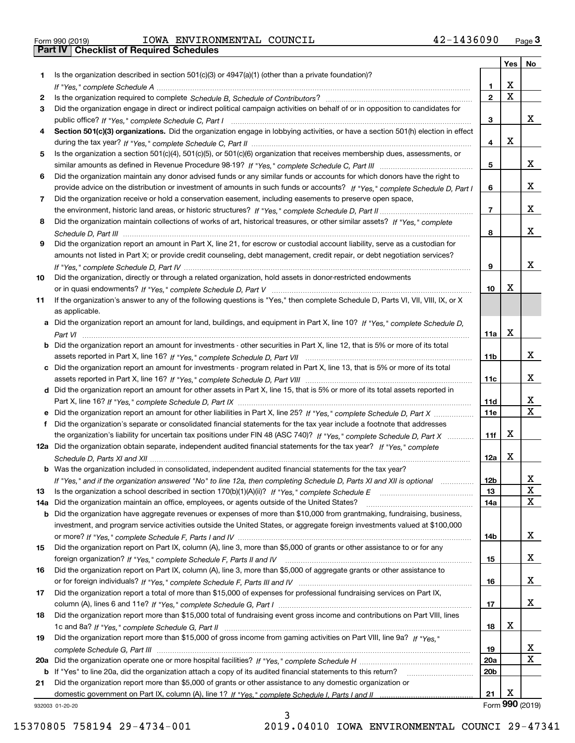Form 990 (2019) Page **3Part IV Checklist of Required Schedules** IOWA ENVIRONMENTAL COUNCIL 42-1436090

|     |                                                                                                                                                                                                                                                           |                 | Yes         | No              |
|-----|-----------------------------------------------------------------------------------------------------------------------------------------------------------------------------------------------------------------------------------------------------------|-----------------|-------------|-----------------|
| 1.  | Is the organization described in section $501(c)(3)$ or $4947(a)(1)$ (other than a private foundation)?                                                                                                                                                   |                 |             |                 |
|     |                                                                                                                                                                                                                                                           | 1               | х           |                 |
| 2   |                                                                                                                                                                                                                                                           | $\overline{2}$  | $\mathbf X$ |                 |
| 3   | Did the organization engage in direct or indirect political campaign activities on behalf of or in opposition to candidates for                                                                                                                           |                 |             |                 |
|     |                                                                                                                                                                                                                                                           | з               |             | x               |
| 4   | Section 501(c)(3) organizations. Did the organization engage in lobbying activities, or have a section 501(h) election in effect                                                                                                                          |                 |             |                 |
|     |                                                                                                                                                                                                                                                           | 4               | X           |                 |
| 5   | Is the organization a section 501(c)(4), 501(c)(5), or 501(c)(6) organization that receives membership dues, assessments, or                                                                                                                              |                 |             | x               |
|     |                                                                                                                                                                                                                                                           | 5               |             |                 |
| 6   | Did the organization maintain any donor advised funds or any similar funds or accounts for which donors have the right to<br>provide advice on the distribution or investment of amounts in such funds or accounts? If "Yes," complete Schedule D, Part I | 6               |             | x               |
| 7   | Did the organization receive or hold a conservation easement, including easements to preserve open space,                                                                                                                                                 |                 |             |                 |
|     |                                                                                                                                                                                                                                                           | $\overline{7}$  |             | x               |
| 8   | Did the organization maintain collections of works of art, historical treasures, or other similar assets? If "Yes," complete                                                                                                                              |                 |             |                 |
|     |                                                                                                                                                                                                                                                           | 8               |             | x               |
| 9   | Did the organization report an amount in Part X, line 21, for escrow or custodial account liability, serve as a custodian for                                                                                                                             |                 |             |                 |
|     | amounts not listed in Part X; or provide credit counseling, debt management, credit repair, or debt negotiation services?                                                                                                                                 |                 |             |                 |
|     |                                                                                                                                                                                                                                                           | 9               |             | X               |
| 10  | Did the organization, directly or through a related organization, hold assets in donor-restricted endowments                                                                                                                                              |                 |             |                 |
|     |                                                                                                                                                                                                                                                           | 10              | x           |                 |
| 11  | If the organization's answer to any of the following questions is "Yes," then complete Schedule D, Parts VI, VII, VIII, IX, or X                                                                                                                          |                 |             |                 |
|     | as applicable.                                                                                                                                                                                                                                            |                 |             |                 |
|     | a Did the organization report an amount for land, buildings, and equipment in Part X, line 10? If "Yes," complete Schedule D,                                                                                                                             |                 |             |                 |
|     |                                                                                                                                                                                                                                                           | 11a             | X           |                 |
|     | <b>b</b> Did the organization report an amount for investments - other securities in Part X, line 12, that is 5% or more of its total                                                                                                                     |                 |             |                 |
|     |                                                                                                                                                                                                                                                           | 11 <sub>b</sub> |             | x               |
|     | c Did the organization report an amount for investments - program related in Part X, line 13, that is 5% or more of its total                                                                                                                             |                 |             | х               |
|     |                                                                                                                                                                                                                                                           | 11c             |             |                 |
|     | d Did the organization report an amount for other assets in Part X, line 15, that is 5% or more of its total assets reported in                                                                                                                           | 11d             |             | х               |
|     | e Did the organization report an amount for other liabilities in Part X, line 25? If "Yes," complete Schedule D, Part X                                                                                                                                   | 11e             |             | X               |
|     | Did the organization's separate or consolidated financial statements for the tax year include a footnote that addresses                                                                                                                                   |                 |             |                 |
|     | the organization's liability for uncertain tax positions under FIN 48 (ASC 740)? If "Yes," complete Schedule D, Part X                                                                                                                                    | 11f             | х           |                 |
|     | 12a Did the organization obtain separate, independent audited financial statements for the tax year? If "Yes." complete                                                                                                                                   |                 |             |                 |
|     |                                                                                                                                                                                                                                                           | 12a             | x           |                 |
|     | b Was the organization included in consolidated, independent audited financial statements for the tax year?                                                                                                                                               |                 |             |                 |
|     | If "Yes," and if the organization answered "No" to line 12a, then completing Schedule D, Parts XI and XII is optional                                                                                                                                     | 12b             |             | ᅀ               |
| 13  |                                                                                                                                                                                                                                                           | 13              |             | X               |
| 14a | Did the organization maintain an office, employees, or agents outside of the United States?                                                                                                                                                               | 14a             |             | X               |
|     | <b>b</b> Did the organization have aggregate revenues or expenses of more than \$10,000 from grantmaking, fundraising, business,                                                                                                                          |                 |             |                 |
|     | investment, and program service activities outside the United States, or aggregate foreign investments valued at \$100,000                                                                                                                                |                 |             |                 |
|     |                                                                                                                                                                                                                                                           | 14b             |             | x               |
| 15  | Did the organization report on Part IX, column (A), line 3, more than \$5,000 of grants or other assistance to or for any                                                                                                                                 |                 |             |                 |
|     |                                                                                                                                                                                                                                                           | 15              |             | x               |
| 16  | Did the organization report on Part IX, column (A), line 3, more than \$5,000 of aggregate grants or other assistance to                                                                                                                                  |                 |             | x               |
|     |                                                                                                                                                                                                                                                           | 16              |             |                 |
| 17  | Did the organization report a total of more than \$15,000 of expenses for professional fundraising services on Part IX,                                                                                                                                   | 17              |             | x               |
| 18  | Did the organization report more than \$15,000 total of fundraising event gross income and contributions on Part VIII, lines                                                                                                                              |                 |             |                 |
|     |                                                                                                                                                                                                                                                           | 18              | х           |                 |
| 19  | Did the organization report more than \$15,000 of gross income from gaming activities on Part VIII, line 9a? If "Yes."                                                                                                                                    |                 |             |                 |
|     |                                                                                                                                                                                                                                                           | 19              |             | x               |
|     |                                                                                                                                                                                                                                                           | 20a             |             | Χ               |
|     | b If "Yes" to line 20a, did the organization attach a copy of its audited financial statements to this return?                                                                                                                                            | 20 <sub>b</sub> |             |                 |
| 21  | Did the organization report more than \$5,000 of grants or other assistance to any domestic organization or                                                                                                                                               |                 |             |                 |
|     |                                                                                                                                                                                                                                                           | 21              | х           |                 |
|     | 932003 01-20-20                                                                                                                                                                                                                                           |                 |             | Form 990 (2019) |

932003 01-20-20

3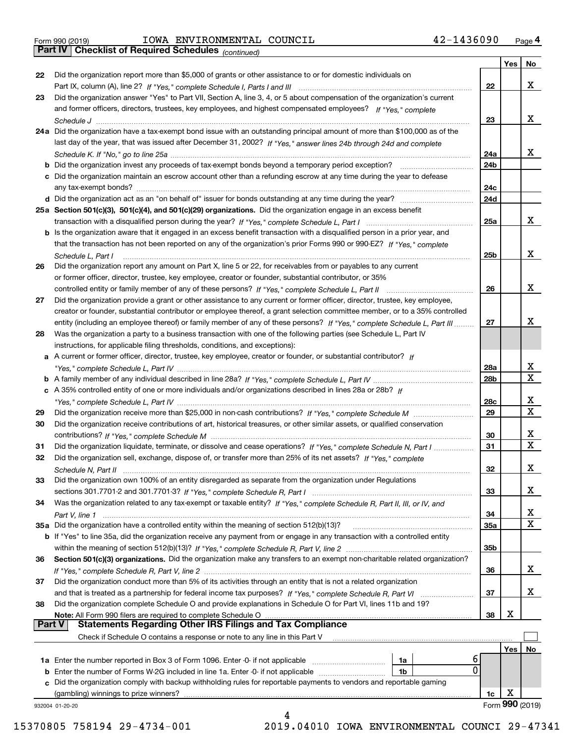Form 990 (2019) IOWA ENVIRONMENTAL COUNCIL 4 2-1436090 <sub>Page</sub> 4<br>**Part IV | Checklist of Required Schedules** <sub>(continued)</sub>

*(continued)*

|               |                                                                                                                              |                 | Yes        | No              |
|---------------|------------------------------------------------------------------------------------------------------------------------------|-----------------|------------|-----------------|
| 22            | Did the organization report more than \$5,000 of grants or other assistance to or for domestic individuals on                |                 |            |                 |
|               |                                                                                                                              | 22              |            | x               |
| 23            | Did the organization answer "Yes" to Part VII, Section A, line 3, 4, or 5 about compensation of the organization's current   |                 |            |                 |
|               | and former officers, directors, trustees, key employees, and highest compensated employees? If "Yes," complete               |                 |            |                 |
|               |                                                                                                                              | 23              |            | x               |
|               | 24a Did the organization have a tax-exempt bond issue with an outstanding principal amount of more than \$100,000 as of the  |                 |            |                 |
|               | last day of the year, that was issued after December 31, 2002? If "Yes," answer lines 24b through 24d and complete           |                 |            |                 |
|               |                                                                                                                              | 24a             |            | x               |
|               | b Did the organization invest any proceeds of tax-exempt bonds beyond a temporary period exception?                          | 24b             |            |                 |
|               | c Did the organization maintain an escrow account other than a refunding escrow at any time during the year to defease       |                 |            |                 |
|               | any tax-exempt bonds?                                                                                                        | 24c             |            |                 |
|               | d Did the organization act as an "on behalf of" issuer for bonds outstanding at any time during the year?                    | 24d             |            |                 |
|               | 25a Section 501(c)(3), 501(c)(4), and 501(c)(29) organizations. Did the organization engage in an excess benefit             |                 |            |                 |
|               |                                                                                                                              | 25a             |            | x               |
|               | b Is the organization aware that it engaged in an excess benefit transaction with a disqualified person in a prior year, and |                 |            |                 |
|               | that the transaction has not been reported on any of the organization's prior Forms 990 or 990-EZ? If "Yes," complete        |                 |            |                 |
|               | Schedule L, Part I                                                                                                           | 25b             |            | x               |
| 26            | Did the organization report any amount on Part X, line 5 or 22, for receivables from or payables to any current              |                 |            |                 |
|               | or former officer, director, trustee, key employee, creator or founder, substantial contributor, or 35%                      |                 |            |                 |
|               |                                                                                                                              | 26              |            | x               |
| 27            | Did the organization provide a grant or other assistance to any current or former officer, director, trustee, key employee,  |                 |            |                 |
|               | creator or founder, substantial contributor or employee thereof, a grant selection committee member, or to a 35% controlled  |                 |            |                 |
|               | entity (including an employee thereof) or family member of any of these persons? If "Yes," complete Schedule L, Part III     | 27              |            | х               |
| 28            | Was the organization a party to a business transaction with one of the following parties (see Schedule L, Part IV            |                 |            |                 |
|               | instructions, for applicable filing thresholds, conditions, and exceptions):                                                 |                 |            |                 |
|               | a A current or former officer, director, trustee, key employee, creator or founder, or substantial contributor? If           |                 |            |                 |
|               |                                                                                                                              | 28a             |            | x               |
|               |                                                                                                                              | 28 <sub>b</sub> |            | $\mathbf X$     |
|               | c A 35% controlled entity of one or more individuals and/or organizations described in lines 28a or 28b? If                  |                 |            |                 |
|               |                                                                                                                              | 28c             |            | х               |
| 29            |                                                                                                                              | 29              |            | $\mathbf X$     |
| 30            | Did the organization receive contributions of art, historical treasures, or other similar assets, or qualified conservation  |                 |            |                 |
|               |                                                                                                                              | 30              |            | x               |
| 31            | Did the organization liquidate, terminate, or dissolve and cease operations? If "Yes," complete Schedule N, Part I           | 31              |            | $\mathbf x$     |
| 32            | Did the organization sell, exchange, dispose of, or transfer more than 25% of its net assets? If "Yes," complete             |                 |            |                 |
|               |                                                                                                                              | 32              |            | х               |
| 33            | Did the organization own 100% of an entity disregarded as separate from the organization under Regulations                   |                 |            |                 |
|               |                                                                                                                              | 33              |            | х               |
| 34            | Was the organization related to any tax-exempt or taxable entity? If "Yes," complete Schedule R, Part II, III, or IV, and    |                 |            |                 |
|               |                                                                                                                              | 34              |            | X               |
|               | 35a Did the organization have a controlled entity within the meaning of section 512(b)(13)?                                  | 35a             |            | X               |
|               | b If "Yes" to line 35a, did the organization receive any payment from or engage in any transaction with a controlled entity  |                 |            |                 |
|               |                                                                                                                              | 35b             |            |                 |
| 36            | Section 501(c)(3) organizations. Did the organization make any transfers to an exempt non-charitable related organization?   |                 |            |                 |
|               |                                                                                                                              | 36              |            | x               |
| 37            | Did the organization conduct more than 5% of its activities through an entity that is not a related organization             |                 |            |                 |
|               | and that is treated as a partnership for federal income tax purposes? If "Yes," complete Schedule R, Part VI                 | 37              |            | x               |
| 38            | Did the organization complete Schedule O and provide explanations in Schedule O for Part VI, lines 11b and 19?               |                 |            |                 |
|               | Note: All Form 990 filers are required to complete Schedule O                                                                | 38              | х          |                 |
| <b>Part V</b> | <b>Statements Regarding Other IRS Filings and Tax Compliance</b>                                                             |                 |            |                 |
|               | Check if Schedule O contains a response or note to any line in this Part V                                                   |                 |            |                 |
|               |                                                                                                                              |                 | <b>Yes</b> | No              |
|               | 6<br><b>1a</b> Enter the number reported in Box 3 of Form 1096. Enter -0- if not applicable <i>manumumumum</i><br>1a         |                 |            |                 |
|               | 0<br><b>b</b> Enter the number of Forms W-2G included in line 1a. Enter -0- if not applicable <i>manumumumum</i><br>1b       |                 |            |                 |
|               | c Did the organization comply with backup withholding rules for reportable payments to vendors and reportable gaming         |                 |            |                 |
|               | (gambling) winnings to prize winners?                                                                                        | 1c              | х          |                 |
|               | 932004 01-20-20                                                                                                              |                 |            | Form 990 (2019) |
|               |                                                                                                                              |                 |            |                 |

15370805 758194 29-4734-001 2019.04010 IOWA ENVIRONMENTAL COUNCI 29-47341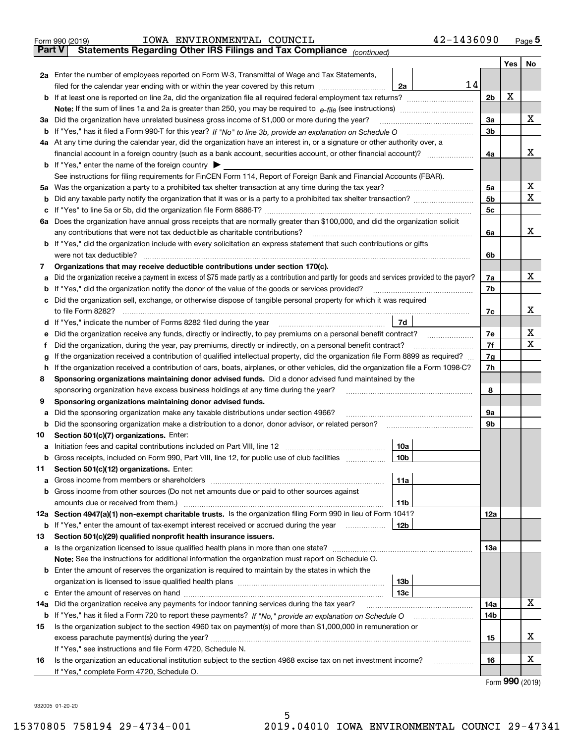|               | 42-1436090<br>IOWA ENVIRONMENTAL COUNCIL<br>Form 990 (2019)                                                                                       |     |     | Page 5 |
|---------------|---------------------------------------------------------------------------------------------------------------------------------------------------|-----|-----|--------|
| <b>Part V</b> | Statements Regarding Other IRS Filings and Tax Compliance (continued)                                                                             |     |     |        |
|               |                                                                                                                                                   |     | Yes | No     |
|               | 2a Enter the number of employees reported on Form W-3, Transmittal of Wage and Tax Statements,                                                    |     |     |        |
|               | 14<br>filed for the calendar year ending with or within the year covered by this return<br>2a                                                     |     |     |        |
|               |                                                                                                                                                   | 2b  | х   |        |
|               |                                                                                                                                                   |     |     |        |
|               | 3a Did the organization have unrelated business gross income of \$1,000 or more during the year?                                                  | 3a  |     | х      |
|               | <b>b</b> If "Yes," has it filed a Form 990-T for this year? If "No" to line 3b, provide an explanation on Schedule O                              | 3b  |     |        |
|               | 4a At any time during the calendar year, did the organization have an interest in, or a signature or other authority over, a                      |     |     |        |
|               | financial account in a foreign country (such as a bank account, securities account, or other financial account)?                                  | 4a  |     | х      |
|               | <b>b</b> If "Yes," enter the name of the foreign country $\triangleright$                                                                         |     |     |        |
|               | See instructions for filing requirements for FinCEN Form 114, Report of Foreign Bank and Financial Accounts (FBAR).                               |     |     |        |
|               | 5a Was the organization a party to a prohibited tax shelter transaction at any time during the tax year?                                          | 5a  |     | х      |
| b             |                                                                                                                                                   | 5b  |     | x      |
|               |                                                                                                                                                   | 5с  |     |        |
|               | 6a Does the organization have annual gross receipts that are normally greater than \$100,000, and did the organization solicit                    |     |     |        |
|               | any contributions that were not tax deductible as charitable contributions?                                                                       | 6a  |     | x      |
|               | b If "Yes," did the organization include with every solicitation an express statement that such contributions or gifts                            |     |     |        |
|               | were not tax deductible?                                                                                                                          | 6b  |     |        |
| 7             | Organizations that may receive deductible contributions under section 170(c).                                                                     |     |     |        |
|               | a Did the organization receive a payment in excess of \$75 made partly as a contribution and partly for goods and services provided to the payor? | 7a  |     | x      |
|               | <b>b</b> If "Yes," did the organization notify the donor of the value of the goods or services provided?                                          | 7b  |     |        |
|               | c Did the organization sell, exchange, or otherwise dispose of tangible personal property for which it was required                               |     |     |        |
|               | to file Form 8282?                                                                                                                                | 7c  |     | x      |
|               | d If "Yes," indicate the number of Forms 8282 filed during the year<br>7d                                                                         |     |     |        |
| е             | Did the organization receive any funds, directly or indirectly, to pay premiums on a personal benefit contract?                                   | 7e  |     | х      |
| f             | Did the organization, during the year, pay premiums, directly or indirectly, on a personal benefit contract?                                      | 7f  |     | x      |
| g             | If the organization received a contribution of qualified intellectual property, did the organization file Form 8899 as required?                  | 7g  |     |        |
|               | h If the organization received a contribution of cars, boats, airplanes, or other vehicles, did the organization file a Form 1098-C?              | 7h  |     |        |
| 8             | Sponsoring organizations maintaining donor advised funds. Did a donor advised fund maintained by the                                              |     |     |        |
|               | sponsoring organization have excess business holdings at any time during the year?                                                                | 8   |     |        |
| 9             | Sponsoring organizations maintaining donor advised funds.                                                                                         |     |     |        |
| а             | Did the sponsoring organization make any taxable distributions under section 4966?                                                                | 9а  |     |        |
|               | <b>b</b> Did the sponsoring organization make a distribution to a donor, donor advisor, or related person?                                        | 9b  |     |        |
| 10            | Section 501(c)(7) organizations. Enter:                                                                                                           |     |     |        |
|               | 10a<br>a Initiation fees and capital contributions included on Part VIII, line 12                                                                 |     |     |        |
|               | 10 <sub>b</sub><br>b Gross receipts, included on Form 990, Part VIII, line 12, for public use of club facilities                                  |     |     |        |
| 11            | Section 501(c)(12) organizations. Enter:                                                                                                          |     |     |        |
| a             | 11a                                                                                                                                               |     |     |        |
|               | <b>b</b> Gross income from other sources (Do not net amounts due or paid to other sources against                                                 |     |     |        |
|               | 11 <sub>b</sub>                                                                                                                                   |     |     |        |
|               | 12a Section 4947(a)(1) non-exempt charitable trusts. Is the organization filing Form 990 in lieu of Form 1041?                                    | 12a |     |        |
|               | <b>b</b> If "Yes," enter the amount of tax-exempt interest received or accrued during the year <i>manument</i><br>12b                             |     |     |        |
| 13            | Section 501(c)(29) qualified nonprofit health insurance issuers.                                                                                  |     |     |        |
|               | a Is the organization licensed to issue qualified health plans in more than one state?                                                            | 13a |     |        |
|               | Note: See the instructions for additional information the organization must report on Schedule O.                                                 |     |     |        |
|               | <b>b</b> Enter the amount of reserves the organization is required to maintain by the states in which the                                         |     |     |        |
|               | 13 <sub>b</sub>                                                                                                                                   |     |     |        |
|               | 13с                                                                                                                                               |     |     |        |
| 14a           | Did the organization receive any payments for indoor tanning services during the tax year?                                                        | 14a |     | х      |
|               |                                                                                                                                                   | 14b |     |        |
| 15            | Is the organization subject to the section 4960 tax on payment(s) of more than \$1,000,000 in remuneration or                                     |     |     |        |
|               |                                                                                                                                                   | 15  |     | х      |
|               | If "Yes," see instructions and file Form 4720, Schedule N.                                                                                        |     |     |        |
| 16            | Is the organization an educational institution subject to the section 4968 excise tax on net investment income?<br>.                              | 16  |     | х      |
|               | If "Yes," complete Form 4720, Schedule O.                                                                                                         |     |     |        |

Form (2019) **990**

932005 01-20-20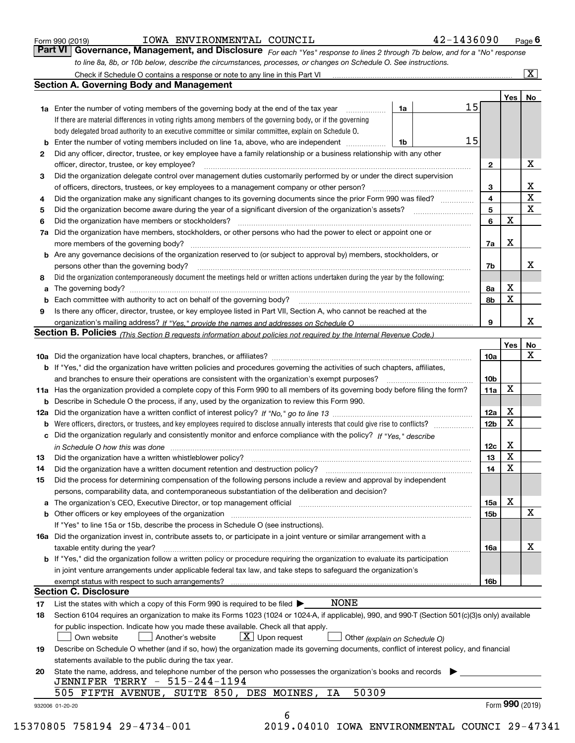| Form 990 (2019) |  |  |
|-----------------|--|--|
|                 |  |  |

# IOWA ENVIRONMENTAL COUNCIL 42-1436090

*For each "Yes" response to lines 2 through 7b below, and for a "No" response to line 8a, 8b, or 10b below, describe the circumstances, processes, or changes on Schedule O. See instructions.* Form 990 (2019) **COMA ENVIRONMENTAL COUNCIL**<br>**Part VI Governance, Management, and Disclosure** For each "Yes" response to lines 2 through 7b below, and for a "No" response Check if Schedule O contains a response or note to any line in this Part VI

|    |                                                                                                                                                                                                                                |    |    |                 | Yes             | No                      |
|----|--------------------------------------------------------------------------------------------------------------------------------------------------------------------------------------------------------------------------------|----|----|-----------------|-----------------|-------------------------|
|    | <b>1a</b> Enter the number of voting members of the governing body at the end of the tax year                                                                                                                                  | 1a | 15 |                 |                 |                         |
|    | If there are material differences in voting rights among members of the governing body, or if the governing                                                                                                                    |    |    |                 |                 |                         |
|    | body delegated broad authority to an executive committee or similar committee, explain on Schedule O.                                                                                                                          |    |    |                 |                 |                         |
|    |                                                                                                                                                                                                                                | 1b | 15 |                 |                 |                         |
| 2  | Did any officer, director, trustee, or key employee have a family relationship or a business relationship with any other                                                                                                       |    |    |                 |                 |                         |
|    | officer, director, trustee, or key employee?                                                                                                                                                                                   |    |    | $\mathbf{2}$    |                 | X                       |
| 3  | Did the organization delegate control over management duties customarily performed by or under the direct supervision                                                                                                          |    |    |                 |                 |                         |
|    |                                                                                                                                                                                                                                |    |    | 3               |                 | X                       |
| 4  | Did the organization make any significant changes to its governing documents since the prior Form 990 was filed?                                                                                                               |    |    | $\overline{4}$  |                 | $\overline{\mathbf{x}}$ |
| 5  |                                                                                                                                                                                                                                |    |    | 5               |                 | X                       |
| 6  | Did the organization have members or stockholders?                                                                                                                                                                             |    |    | 6               | X               |                         |
|    | 7a Did the organization have members, stockholders, or other persons who had the power to elect or appoint one or                                                                                                              |    |    |                 |                 |                         |
|    |                                                                                                                                                                                                                                |    |    | 7a              | х               |                         |
|    | <b>b</b> Are any governance decisions of the organization reserved to (or subject to approval by) members, stockholders, or                                                                                                    |    |    |                 |                 |                         |
|    | persons other than the governing body?                                                                                                                                                                                         |    |    | 7b              |                 | x                       |
| 8  | Did the organization contemporaneously document the meetings held or written actions undertaken during the year by the following:                                                                                              |    |    |                 |                 |                         |
| a  |                                                                                                                                                                                                                                |    |    | 8a              | X               |                         |
|    |                                                                                                                                                                                                                                |    |    | 8b              | X               |                         |
| 9  | Is there any officer, director, trustee, or key employee listed in Part VII, Section A, who cannot be reached at the                                                                                                           |    |    |                 |                 |                         |
|    |                                                                                                                                                                                                                                |    |    | 9               |                 | х                       |
|    | Section B. Policies (This Section B requests information about policies not required by the Internal Revenue Code.)                                                                                                            |    |    |                 |                 |                         |
|    |                                                                                                                                                                                                                                |    |    |                 | Yes             | No                      |
|    |                                                                                                                                                                                                                                |    |    | 10a             |                 | X                       |
|    | <b>b</b> If "Yes," did the organization have written policies and procedures governing the activities of such chapters, affiliates,                                                                                            |    |    |                 |                 |                         |
|    |                                                                                                                                                                                                                                |    |    | 10 <sub>b</sub> |                 |                         |
|    | 11a Has the organization provided a complete copy of this Form 990 to all members of its governing body before filing the form?                                                                                                |    |    | 11a             | X               |                         |
|    | <b>b</b> Describe in Schedule O the process, if any, used by the organization to review this Form 990.                                                                                                                         |    |    |                 |                 |                         |
|    |                                                                                                                                                                                                                                |    |    | 12a             | X               |                         |
| b  |                                                                                                                                                                                                                                |    |    | 12b             | X               |                         |
|    | c Did the organization regularly and consistently monitor and enforce compliance with the policy? If "Yes," describe                                                                                                           |    |    |                 |                 |                         |
|    | in Schedule O how this was done manufactured and continuum control of the Schedule O how this was done manufactured and continuum control of the Schedule O how this was done                                                  |    |    | 12c             | х               |                         |
| 13 |                                                                                                                                                                                                                                |    |    | 13              | X               |                         |
| 14 | Did the organization have a written document retention and destruction policy? manufactured and the organization have a written document retention and destruction policy?                                                     |    |    | 14              | X               |                         |
| 15 | Did the process for determining compensation of the following persons include a review and approval by independent                                                                                                             |    |    |                 |                 |                         |
|    | persons, comparability data, and contemporaneous substantiation of the deliberation and decision?                                                                                                                              |    |    |                 |                 |                         |
|    |                                                                                                                                                                                                                                |    |    | 15a             | X               |                         |
|    | b Other officers or key employees of the organization manufactured content to content of the organization manufactured content of the organization manufactured content of the organization manufactured content of the organi |    |    | 15 <sub>b</sub> |                 | X                       |
|    | If "Yes" to line 15a or 15b, describe the process in Schedule O (see instructions).                                                                                                                                            |    |    |                 |                 |                         |
|    | 16a Did the organization invest in, contribute assets to, or participate in a joint venture or similar arrangement with a                                                                                                      |    |    |                 |                 |                         |
|    |                                                                                                                                                                                                                                |    |    |                 |                 | X                       |
|    | taxable entity during the year?<br>b If "Yes," did the organization follow a written policy or procedure requiring the organization to evaluate its participation                                                              |    |    | 16a             |                 |                         |
|    |                                                                                                                                                                                                                                |    |    |                 |                 |                         |
|    | in joint venture arrangements under applicable federal tax law, and take steps to safequard the organization's                                                                                                                 |    |    |                 |                 |                         |
|    | exempt status with respect to such arrangements?<br><b>Section C. Disclosure</b>                                                                                                                                               |    |    | 16b             |                 |                         |
|    | <b>NONE</b>                                                                                                                                                                                                                    |    |    |                 |                 |                         |
| 17 | List the states with which a copy of this Form 990 is required to be filed $\blacktriangleright$                                                                                                                               |    |    |                 |                 |                         |
| 18 | Section 6104 requires an organization to make its Forms 1023 (1024 or 1024-A, if applicable), 990, and 990-T (Section 501(c)(3)s only) available                                                                               |    |    |                 |                 |                         |
|    | for public inspection. Indicate how you made these available. Check all that apply.                                                                                                                                            |    |    |                 |                 |                         |
|    | $X$ Upon request<br>Own website<br>Another's website<br>Other (explain on Schedule O)                                                                                                                                          |    |    |                 |                 |                         |
| 19 | Describe on Schedule O whether (and if so, how) the organization made its governing documents, conflict of interest policy, and financial                                                                                      |    |    |                 |                 |                         |
|    | statements available to the public during the tax year.                                                                                                                                                                        |    |    |                 |                 |                         |
| 20 | State the name, address, and telephone number of the person who possesses the organization's books and records                                                                                                                 |    |    |                 |                 |                         |
|    | JENNIFER TERRY - 515-244-1194                                                                                                                                                                                                  |    |    |                 |                 |                         |
|    | 50309<br>505 FIFTH AVENUE, SUITE 850, DES MOINES,<br>ΙA                                                                                                                                                                        |    |    |                 |                 |                         |
|    | 932006 01-20-20                                                                                                                                                                                                                |    |    |                 | Form 990 (2019) |                         |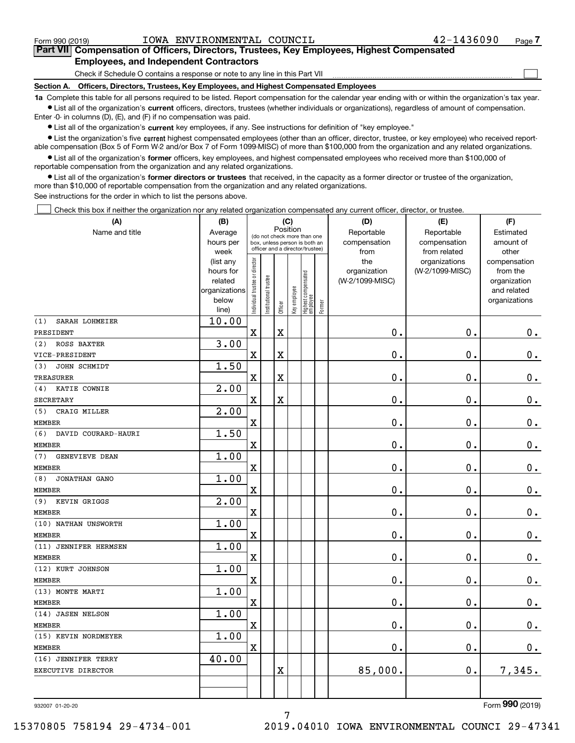$\mathcal{L}^{\text{max}}$ 

# **7Part VII Compensation of Officers, Directors, Trustees, Key Employees, Highest Compensated Employees, and Independent Contractors**

Check if Schedule O contains a response or note to any line in this Part VII

**Section A. Officers, Directors, Trustees, Key Employees, and Highest Compensated Employees**

**1a**  Complete this table for all persons required to be listed. Report compensation for the calendar year ending with or within the organization's tax year. **•** List all of the organization's current officers, directors, trustees (whether individuals or organizations), regardless of amount of compensation.

Enter -0- in columns (D), (E), and (F) if no compensation was paid.

 $\bullet$  List all of the organization's  $\,$ current key employees, if any. See instructions for definition of "key employee."

**•** List the organization's five current highest compensated employees (other than an officer, director, trustee, or key employee) who received reportable compensation (Box 5 of Form W-2 and/or Box 7 of Form 1099-MISC) of more than \$100,000 from the organization and any related organizations.

**•** List all of the organization's former officers, key employees, and highest compensated employees who received more than \$100,000 of reportable compensation from the organization and any related organizations.

**former directors or trustees**  ¥ List all of the organization's that received, in the capacity as a former director or trustee of the organization, more than \$10,000 of reportable compensation from the organization and any related organizations.

See instructions for the order in which to list the persons above.

Check this box if neither the organization nor any related organization compensated any current officer, director, or trustee.  $\mathcal{L}^{\text{max}}$ 

| (A)                        | (B)                    |                               |                                                                  | (C)                     |              |                                  |        | (D)             | (E)                              | (F)                      |
|----------------------------|------------------------|-------------------------------|------------------------------------------------------------------|-------------------------|--------------|----------------------------------|--------|-----------------|----------------------------------|--------------------------|
| Name and title             | Average                |                               | (do not check more than one                                      |                         | Position     |                                  |        | Reportable      | Reportable                       | Estimated                |
|                            | hours per              |                               | box, unless person is both an<br>officer and a director/trustee) |                         |              |                                  |        | compensation    | compensation                     | amount of                |
|                            | week                   |                               |                                                                  |                         |              |                                  |        | from<br>the     | from related                     | other                    |
|                            | (list any<br>hours for |                               |                                                                  |                         |              |                                  |        | organization    | organizations<br>(W-2/1099-MISC) | compensation<br>from the |
|                            | related                |                               |                                                                  |                         |              |                                  |        | (W-2/1099-MISC) |                                  | organization             |
|                            | organizations          |                               |                                                                  |                         |              |                                  |        |                 |                                  | and related              |
|                            | below                  | ndividual trustee or director | nstitutional trustee                                             |                         | Key employee |                                  |        |                 |                                  | organizations            |
|                            | line)                  |                               |                                                                  | Officer                 |              | Highest compensated<br> employee | Former |                 |                                  |                          |
| SARAH LOHMEIER<br>(1)      | 10.00                  |                               |                                                                  |                         |              |                                  |        |                 |                                  |                          |
| PRESIDENT                  |                        | $\overline{\textbf{X}}$       |                                                                  | $\mathbf X$             |              |                                  |        | $\mathbf 0$ .   | 0.                               | $\mathbf 0$ .            |
| (2)<br>ROSS BAXTER         | 3.00                   |                               |                                                                  |                         |              |                                  |        |                 |                                  |                          |
| VICE-PRESIDENT             |                        | X                             |                                                                  | X                       |              |                                  |        | $\mathbf 0$ .   | $\mathbf 0$ .                    | $\mathbf 0$ .            |
| JOHN SCHMIDT<br>(3)        | 1.50                   |                               |                                                                  |                         |              |                                  |        |                 |                                  |                          |
| <b>TREASURER</b>           |                        | X                             |                                                                  | X                       |              |                                  |        | $\mathbf 0$ .   | 0.                               | $\mathbf 0$ .            |
| KATIE COWNIE<br>(4)        | 2.00                   |                               |                                                                  |                         |              |                                  |        |                 |                                  |                          |
| <b>SECRETARY</b>           |                        | X                             |                                                                  | $\overline{\textbf{X}}$ |              |                                  |        | 0.              | $\mathbf 0$ .                    | $\mathbf 0$ .            |
| (5)<br>CRAIG MILLER        | 2.00                   |                               |                                                                  |                         |              |                                  |        |                 |                                  |                          |
| <b>MEMBER</b>              |                        | $\overline{\textbf{X}}$       |                                                                  |                         |              |                                  |        | 0.              | $\mathbf 0$ .                    | $\mathbf 0$ .            |
| (6)<br>DAVID COURARD-HAURI | 1.50                   |                               |                                                                  |                         |              |                                  |        |                 |                                  |                          |
| <b>MEMBER</b>              |                        | X                             |                                                                  |                         |              |                                  |        | 0.              | $\mathbf 0$ .                    | $0_{.}$                  |
| GENEVIEVE DEAN<br>(7)      | 1.00                   |                               |                                                                  |                         |              |                                  |        |                 |                                  |                          |
| <b>MEMBER</b>              |                        | X                             |                                                                  |                         |              |                                  |        | $\mathbf 0$ .   | 0.                               | $\mathbf 0$ .            |
| (8)<br>JONATHAN GANO       | 1.00                   |                               |                                                                  |                         |              |                                  |        |                 |                                  |                          |
| <b>MEMBER</b>              |                        | X                             |                                                                  |                         |              |                                  |        | 0.              | $\mathbf 0$ .                    | $\mathbf 0$ .            |
| KEVIN GRIGGS<br>(9)        | 2.00                   |                               |                                                                  |                         |              |                                  |        |                 |                                  |                          |
| MEMBER                     |                        | $\overline{\textbf{X}}$       |                                                                  |                         |              |                                  |        | 0.              | $\mathbf 0$ .                    | $0_{.}$                  |
| (10) NATHAN UNSWORTH       | 1.00                   |                               |                                                                  |                         |              |                                  |        |                 |                                  |                          |
| <b>MEMBER</b>              |                        | X                             |                                                                  |                         |              |                                  |        | 0.              | 0.                               | $0_{.}$                  |
| (11) JENNIFER HERMSEN      | 1.00                   |                               |                                                                  |                         |              |                                  |        |                 |                                  |                          |
| <b>MEMBER</b>              |                        | $\mathbf X$                   |                                                                  |                         |              |                                  |        | $\mathbf 0$ .   | 0.                               | $\mathbf 0$ .            |
| (12) KURT JOHNSON          | 1.00                   |                               |                                                                  |                         |              |                                  |        |                 |                                  |                          |
| <b>MEMBER</b>              |                        | X                             |                                                                  |                         |              |                                  |        | 0.              | $\mathbf 0$ .                    | $\mathbf 0$ .            |
| (13) MONTE MARTI           | 1.00                   |                               |                                                                  |                         |              |                                  |        |                 |                                  |                          |
| <b>MEMBER</b>              |                        | $\overline{\mathbf{X}}$       |                                                                  |                         |              |                                  |        | 0.              | $\mathbf 0$ .                    | $\mathbf 0$ .            |
| (14) JASEN NELSON          | 1.00                   |                               |                                                                  |                         |              |                                  |        |                 |                                  |                          |
| <b>MEMBER</b>              |                        | $\overline{\textbf{X}}$       |                                                                  |                         |              |                                  |        | 0.              | $\mathbf 0$ .                    | $\mathbf 0$ .            |
| (15) KEVIN NORDMEYER       | 1.00                   |                               |                                                                  |                         |              |                                  |        |                 |                                  |                          |
| <b>MEMBER</b>              |                        | $\mathbf X$                   |                                                                  |                         |              |                                  |        | 0.              | $\mathbf 0$ .                    | 0.                       |
| (16) JENNIFER TERRY        | 40.00                  |                               |                                                                  |                         |              |                                  |        |                 |                                  |                          |
| EXECUTIVE DIRECTOR         |                        |                               |                                                                  | $\overline{\textbf{X}}$ |              |                                  |        | 85,000.         | 0.                               | 7,345.                   |
|                            |                        |                               |                                                                  |                         |              |                                  |        |                 |                                  |                          |
|                            |                        |                               |                                                                  |                         |              |                                  |        |                 |                                  |                          |

932007 01-20-20

Form (2019) **990**

7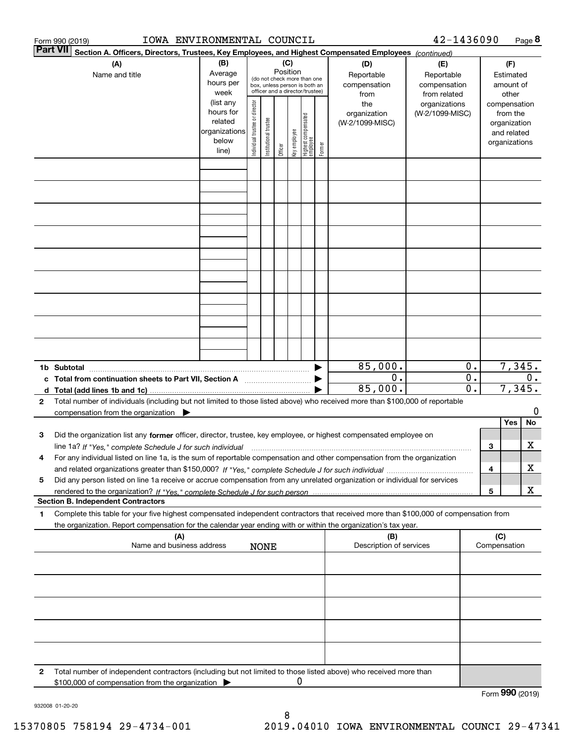|   | IOWA ENVIRONMENTAL COUNCIL<br>Form 990 (2019)                                                                                                                                                                                                                   |                                                                      |                                |                        |                 |              |                                                                                                 |        |                                                | 42-1436090                                       |                                                 |     |                                                                                   | Page 8          |
|---|-----------------------------------------------------------------------------------------------------------------------------------------------------------------------------------------------------------------------------------------------------------------|----------------------------------------------------------------------|--------------------------------|------------------------|-----------------|--------------|-------------------------------------------------------------------------------------------------|--------|------------------------------------------------|--------------------------------------------------|-------------------------------------------------|-----|-----------------------------------------------------------------------------------|-----------------|
|   | <b>Part VII</b><br>Section A. Officers, Directors, Trustees, Key Employees, and Highest Compensated Employees (continued)                                                                                                                                       |                                                                      |                                |                        |                 |              |                                                                                                 |        |                                                |                                                  |                                                 |     |                                                                                   |                 |
|   | (A)<br>Name and title                                                                                                                                                                                                                                           | (B)<br>Average<br>hours per<br>week                                  |                                |                        | (C)<br>Position |              | (do not check more than one<br>box, unless person is both an<br>officer and a director/trustee) |        | (D)<br>Reportable<br>compensation              | (E)<br>Reportable<br>compensation                |                                                 |     | (F)<br>Estimated<br>amount of                                                     |                 |
|   |                                                                                                                                                                                                                                                                 | (list any<br>hours for<br>related<br>organizations<br>below<br>line) | Individual trustee or director | In stitutional trustee | Officer         | key employee | Highest compensated<br>  employee                                                               | Former | from<br>the<br>organization<br>(W-2/1099-MISC) | from related<br>organizations<br>(W-2/1099-MISC) |                                                 |     | other<br>compensation<br>from the<br>organization<br>and related<br>organizations |                 |
|   |                                                                                                                                                                                                                                                                 |                                                                      |                                |                        |                 |              |                                                                                                 |        |                                                |                                                  |                                                 |     |                                                                                   |                 |
|   |                                                                                                                                                                                                                                                                 |                                                                      |                                |                        |                 |              |                                                                                                 |        |                                                |                                                  |                                                 |     |                                                                                   |                 |
|   |                                                                                                                                                                                                                                                                 |                                                                      |                                |                        |                 |              |                                                                                                 |        |                                                |                                                  |                                                 |     |                                                                                   |                 |
|   |                                                                                                                                                                                                                                                                 |                                                                      |                                |                        |                 |              |                                                                                                 |        |                                                |                                                  |                                                 |     |                                                                                   |                 |
|   |                                                                                                                                                                                                                                                                 |                                                                      |                                |                        |                 |              |                                                                                                 |        |                                                |                                                  |                                                 |     |                                                                                   |                 |
|   |                                                                                                                                                                                                                                                                 |                                                                      |                                |                        |                 |              |                                                                                                 |        |                                                |                                                  |                                                 |     |                                                                                   |                 |
|   |                                                                                                                                                                                                                                                                 |                                                                      |                                |                        |                 |              |                                                                                                 |        |                                                |                                                  |                                                 |     |                                                                                   |                 |
|   |                                                                                                                                                                                                                                                                 |                                                                      |                                |                        |                 |              |                                                                                                 |        |                                                |                                                  |                                                 |     |                                                                                   |                 |
|   | 1b Subtotal                                                                                                                                                                                                                                                     |                                                                      |                                |                        |                 |              |                                                                                                 |        | 85,000.                                        |                                                  | 0.                                              |     | 7,345.                                                                            |                 |
|   | c Total from continuation sheets to Part VII, Section A                                                                                                                                                                                                         |                                                                      |                                |                        |                 |              |                                                                                                 |        | $0$ .<br>85,000.                               |                                                  | $\overline{0}$ .<br>$\overline{\mathfrak{o}}$ . |     | 7,345.                                                                            | 0.              |
| 2 | Total number of individuals (including but not limited to those listed above) who received more than \$100,000 of reportable<br>compensation from the organization                                                                                              |                                                                      |                                |                        |                 |              |                                                                                                 |        |                                                |                                                  |                                                 |     |                                                                                   | 0               |
|   |                                                                                                                                                                                                                                                                 |                                                                      |                                |                        |                 |              |                                                                                                 |        |                                                |                                                  |                                                 |     | Yes                                                                               | No              |
| 3 | Did the organization list any former officer, director, trustee, key employee, or highest compensated employee on<br>line 1a? If "Yes," complete Schedule J for such individual matches contained and the 1a? If "Yes," complete Schedule J for such individual |                                                                      |                                |                        |                 |              |                                                                                                 |        |                                                |                                                  |                                                 | 3   |                                                                                   | х               |
| 4 | For any individual listed on line 1a, is the sum of reportable compensation and other compensation from the organization                                                                                                                                        |                                                                      |                                |                        |                 |              |                                                                                                 |        |                                                |                                                  |                                                 | 4   |                                                                                   | х               |
| 5 | Did any person listed on line 1a receive or accrue compensation from any unrelated organization or individual for services                                                                                                                                      |                                                                      |                                |                        |                 |              |                                                                                                 |        |                                                |                                                  |                                                 |     |                                                                                   |                 |
|   | <b>Section B. Independent Contractors</b>                                                                                                                                                                                                                       |                                                                      |                                |                        |                 |              |                                                                                                 |        |                                                |                                                  |                                                 | 5   |                                                                                   | х               |
| 1 | Complete this table for your five highest compensated independent contractors that received more than \$100,000 of compensation from                                                                                                                            |                                                                      |                                |                        |                 |              |                                                                                                 |        |                                                |                                                  |                                                 |     |                                                                                   |                 |
|   | the organization. Report compensation for the calendar year ending with or within the organization's tax year.<br>(A)                                                                                                                                           |                                                                      |                                |                        |                 |              |                                                                                                 |        | (B)                                            |                                                  |                                                 | (C) |                                                                                   |                 |
|   | Name and business address                                                                                                                                                                                                                                       |                                                                      |                                | <b>NONE</b>            |                 |              |                                                                                                 |        | Description of services                        |                                                  |                                                 |     | Compensation                                                                      |                 |
|   |                                                                                                                                                                                                                                                                 |                                                                      |                                |                        |                 |              |                                                                                                 |        |                                                |                                                  |                                                 |     |                                                                                   |                 |
|   |                                                                                                                                                                                                                                                                 |                                                                      |                                |                        |                 |              |                                                                                                 |        |                                                |                                                  |                                                 |     |                                                                                   |                 |
|   |                                                                                                                                                                                                                                                                 |                                                                      |                                |                        |                 |              |                                                                                                 |        |                                                |                                                  |                                                 |     |                                                                                   |                 |
|   |                                                                                                                                                                                                                                                                 |                                                                      |                                |                        |                 |              |                                                                                                 |        |                                                |                                                  |                                                 |     |                                                                                   |                 |
| 2 | Total number of independent contractors (including but not limited to those listed above) who received more than<br>\$100,000 of compensation from the organization                                                                                             |                                                                      |                                |                        |                 | 0            |                                                                                                 |        |                                                |                                                  |                                                 |     |                                                                                   |                 |
|   |                                                                                                                                                                                                                                                                 |                                                                      |                                |                        |                 |              |                                                                                                 |        |                                                |                                                  |                                                 |     |                                                                                   | Form 990 (2019) |

932008 01-20-20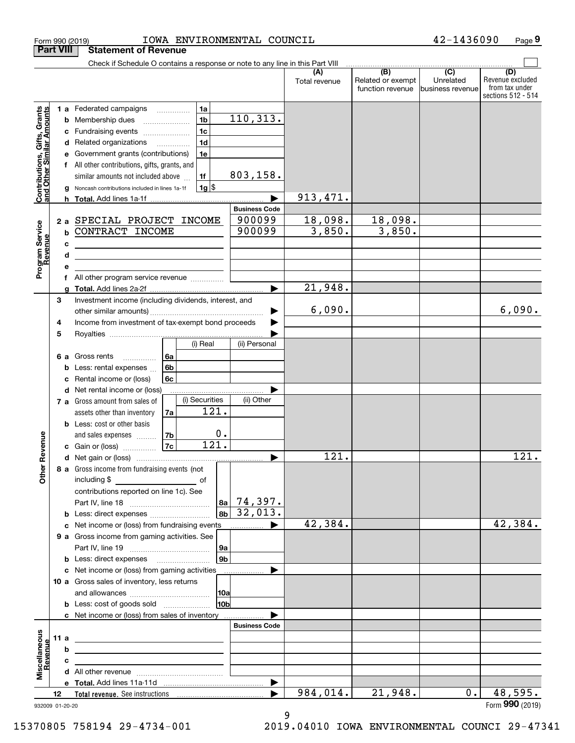| <b>Part VIII</b><br>Check if Schedule O contains a response or note to any line in this Part VIII<br>$\begin{array}{ c c c c }\hline \quad & \text{(B)} & \quad & \text{(C)} \\ \hline \end{array}$<br>(D)<br>(A)<br>Related or exempt<br>Unrelated<br>Total revenue<br>function revenue<br>business revenue<br>1a<br><b>Contributions, Gifts, Grants</b><br>and Other Similar Amounts<br>1 a Federated campaigns<br>110, 313.<br>1 <sub>b</sub><br>Membership dues<br>b<br>$\ldots \ldots \ldots \ldots \ldots$<br>1 <sub>c</sub><br>Fundraising events<br>с<br>1 <sub>d</sub><br>d Related organizations<br>1e<br>Government grants (contributions)<br>е<br>All other contributions, gifts, grants, and<br>f<br>803, 158.<br>1f<br>similar amounts not included above<br>$1g$ \$<br>Noncash contributions included in lines 1a-1f<br>g<br>913, 471.<br><b>Business Code</b><br>18,098.<br>18,098.<br>900099<br>2 a SPECIAL PROJECT INCOME<br>Program Service<br>Revenue<br>3,850.<br>3,850.<br>900099<br><b>b CONTRACT INCOME</b><br>с<br><u> 2008 - Andrea State Barbara, amerikan personal di personal dengan personal dengan personal dengan personal de</u><br>d<br><u> 1989 - Johann Stein, mars an deutscher Stein und der Stein und der Stein und der Stein und der Stein und der</u><br>e<br>All other program service revenue<br>f<br>21,948.<br>g<br>3<br>Investment income (including dividends, interest, and<br>6,090.<br>6,090.<br>Income from investment of tax-exempt bond proceeds<br>4<br>5<br>(i) Real<br>(ii) Personal<br>6a<br>6 a Gross rents<br>6 <sub>b</sub><br>Less: rental expenses<br>b<br>Rental income or (loss)<br>6с<br>с<br>d Net rental income or (loss)<br>(i) Securities<br>(ii) Other<br>7 a Gross amount from sales of<br>121.<br>assets other than inventory<br>7a<br><b>b</b> Less: cost or other basis<br>$0$ .<br>evenue<br> 7 <sub>b</sub><br>and sales expenses<br>121.<br>7c<br>c Gain or (loss)<br>121.<br>Other <sub>R</sub><br>8 a Gross income from fundraising events (not<br>contributions reported on line 1c). See<br>74,397.<br> 8a <br>32,013.<br>8 <sub>b</sub><br><b>b</b> Less: direct expenses <i>manually contained</i><br>42,384.<br>42,384.<br>9 a Gross income from gaming activities. See<br>  9a<br>9 <sub>b</sub><br><b>b</b> Less: direct expenses <b>manually</b><br>c Net income or (loss) from gaming activities<br>.<br>10 a Gross sales of inventory, less returns<br> 10a<br>10 <sub>b</sub><br>c Net income or (loss) from sales of inventory<br><b>Business Code</b><br>Miscellaneous<br>Revenue<br>11 a<br><u> 1989 - Johann John Stein, fransk politik (f. 1989)</u><br>b<br><u> 2008 - John Stein, Amerikaansk politiker (* 1858)</u><br>c<br>the contract of the contract of the contract of the contract of the contract of<br>984,014.<br>21,948.<br>48,595.<br>$0$ .<br>12<br>932009 01-20-20 |  | IOWA ENVIRONMENTAL COUNCIL<br>Form 990 (2019) |  | 42-1436090 | Page 9                                                   |
|-----------------------------------------------------------------------------------------------------------------------------------------------------------------------------------------------------------------------------------------------------------------------------------------------------------------------------------------------------------------------------------------------------------------------------------------------------------------------------------------------------------------------------------------------------------------------------------------------------------------------------------------------------------------------------------------------------------------------------------------------------------------------------------------------------------------------------------------------------------------------------------------------------------------------------------------------------------------------------------------------------------------------------------------------------------------------------------------------------------------------------------------------------------------------------------------------------------------------------------------------------------------------------------------------------------------------------------------------------------------------------------------------------------------------------------------------------------------------------------------------------------------------------------------------------------------------------------------------------------------------------------------------------------------------------------------------------------------------------------------------------------------------------------------------------------------------------------------------------------------------------------------------------------------------------------------------------------------------------------------------------------------------------------------------------------------------------------------------------------------------------------------------------------------------------------------------------------------------------------------------------------------------------------------------------------------------------------------------------------------------------------------------------------------------------------------------------------------------------------------------------------------------------------------------------------------------------------------------------------------------------------------------------------------------------------------------------------------------------------------------------------------------------------------------------------------------------------------------------------------------------------|--|-----------------------------------------------|--|------------|----------------------------------------------------------|
|                                                                                                                                                                                                                                                                                                                                                                                                                                                                                                                                                                                                                                                                                                                                                                                                                                                                                                                                                                                                                                                                                                                                                                                                                                                                                                                                                                                                                                                                                                                                                                                                                                                                                                                                                                                                                                                                                                                                                                                                                                                                                                                                                                                                                                                                                                                                                                                                                                                                                                                                                                                                                                                                                                                                                                                                                                                                                   |  | <b>Statement of Revenue</b>                   |  |            |                                                          |
|                                                                                                                                                                                                                                                                                                                                                                                                                                                                                                                                                                                                                                                                                                                                                                                                                                                                                                                                                                                                                                                                                                                                                                                                                                                                                                                                                                                                                                                                                                                                                                                                                                                                                                                                                                                                                                                                                                                                                                                                                                                                                                                                                                                                                                                                                                                                                                                                                                                                                                                                                                                                                                                                                                                                                                                                                                                                                   |  |                                               |  |            |                                                          |
|                                                                                                                                                                                                                                                                                                                                                                                                                                                                                                                                                                                                                                                                                                                                                                                                                                                                                                                                                                                                                                                                                                                                                                                                                                                                                                                                                                                                                                                                                                                                                                                                                                                                                                                                                                                                                                                                                                                                                                                                                                                                                                                                                                                                                                                                                                                                                                                                                                                                                                                                                                                                                                                                                                                                                                                                                                                                                   |  |                                               |  |            | Revenue excluded<br>from tax under<br>sections 512 - 514 |
|                                                                                                                                                                                                                                                                                                                                                                                                                                                                                                                                                                                                                                                                                                                                                                                                                                                                                                                                                                                                                                                                                                                                                                                                                                                                                                                                                                                                                                                                                                                                                                                                                                                                                                                                                                                                                                                                                                                                                                                                                                                                                                                                                                                                                                                                                                                                                                                                                                                                                                                                                                                                                                                                                                                                                                                                                                                                                   |  |                                               |  |            |                                                          |
|                                                                                                                                                                                                                                                                                                                                                                                                                                                                                                                                                                                                                                                                                                                                                                                                                                                                                                                                                                                                                                                                                                                                                                                                                                                                                                                                                                                                                                                                                                                                                                                                                                                                                                                                                                                                                                                                                                                                                                                                                                                                                                                                                                                                                                                                                                                                                                                                                                                                                                                                                                                                                                                                                                                                                                                                                                                                                   |  |                                               |  |            |                                                          |
|                                                                                                                                                                                                                                                                                                                                                                                                                                                                                                                                                                                                                                                                                                                                                                                                                                                                                                                                                                                                                                                                                                                                                                                                                                                                                                                                                                                                                                                                                                                                                                                                                                                                                                                                                                                                                                                                                                                                                                                                                                                                                                                                                                                                                                                                                                                                                                                                                                                                                                                                                                                                                                                                                                                                                                                                                                                                                   |  |                                               |  |            |                                                          |
|                                                                                                                                                                                                                                                                                                                                                                                                                                                                                                                                                                                                                                                                                                                                                                                                                                                                                                                                                                                                                                                                                                                                                                                                                                                                                                                                                                                                                                                                                                                                                                                                                                                                                                                                                                                                                                                                                                                                                                                                                                                                                                                                                                                                                                                                                                                                                                                                                                                                                                                                                                                                                                                                                                                                                                                                                                                                                   |  |                                               |  |            |                                                          |
|                                                                                                                                                                                                                                                                                                                                                                                                                                                                                                                                                                                                                                                                                                                                                                                                                                                                                                                                                                                                                                                                                                                                                                                                                                                                                                                                                                                                                                                                                                                                                                                                                                                                                                                                                                                                                                                                                                                                                                                                                                                                                                                                                                                                                                                                                                                                                                                                                                                                                                                                                                                                                                                                                                                                                                                                                                                                                   |  |                                               |  |            |                                                          |
|                                                                                                                                                                                                                                                                                                                                                                                                                                                                                                                                                                                                                                                                                                                                                                                                                                                                                                                                                                                                                                                                                                                                                                                                                                                                                                                                                                                                                                                                                                                                                                                                                                                                                                                                                                                                                                                                                                                                                                                                                                                                                                                                                                                                                                                                                                                                                                                                                                                                                                                                                                                                                                                                                                                                                                                                                                                                                   |  |                                               |  |            |                                                          |
|                                                                                                                                                                                                                                                                                                                                                                                                                                                                                                                                                                                                                                                                                                                                                                                                                                                                                                                                                                                                                                                                                                                                                                                                                                                                                                                                                                                                                                                                                                                                                                                                                                                                                                                                                                                                                                                                                                                                                                                                                                                                                                                                                                                                                                                                                                                                                                                                                                                                                                                                                                                                                                                                                                                                                                                                                                                                                   |  |                                               |  |            |                                                          |
|                                                                                                                                                                                                                                                                                                                                                                                                                                                                                                                                                                                                                                                                                                                                                                                                                                                                                                                                                                                                                                                                                                                                                                                                                                                                                                                                                                                                                                                                                                                                                                                                                                                                                                                                                                                                                                                                                                                                                                                                                                                                                                                                                                                                                                                                                                                                                                                                                                                                                                                                                                                                                                                                                                                                                                                                                                                                                   |  |                                               |  |            |                                                          |
|                                                                                                                                                                                                                                                                                                                                                                                                                                                                                                                                                                                                                                                                                                                                                                                                                                                                                                                                                                                                                                                                                                                                                                                                                                                                                                                                                                                                                                                                                                                                                                                                                                                                                                                                                                                                                                                                                                                                                                                                                                                                                                                                                                                                                                                                                                                                                                                                                                                                                                                                                                                                                                                                                                                                                                                                                                                                                   |  |                                               |  |            |                                                          |
|                                                                                                                                                                                                                                                                                                                                                                                                                                                                                                                                                                                                                                                                                                                                                                                                                                                                                                                                                                                                                                                                                                                                                                                                                                                                                                                                                                                                                                                                                                                                                                                                                                                                                                                                                                                                                                                                                                                                                                                                                                                                                                                                                                                                                                                                                                                                                                                                                                                                                                                                                                                                                                                                                                                                                                                                                                                                                   |  |                                               |  |            |                                                          |
|                                                                                                                                                                                                                                                                                                                                                                                                                                                                                                                                                                                                                                                                                                                                                                                                                                                                                                                                                                                                                                                                                                                                                                                                                                                                                                                                                                                                                                                                                                                                                                                                                                                                                                                                                                                                                                                                                                                                                                                                                                                                                                                                                                                                                                                                                                                                                                                                                                                                                                                                                                                                                                                                                                                                                                                                                                                                                   |  |                                               |  |            |                                                          |
|                                                                                                                                                                                                                                                                                                                                                                                                                                                                                                                                                                                                                                                                                                                                                                                                                                                                                                                                                                                                                                                                                                                                                                                                                                                                                                                                                                                                                                                                                                                                                                                                                                                                                                                                                                                                                                                                                                                                                                                                                                                                                                                                                                                                                                                                                                                                                                                                                                                                                                                                                                                                                                                                                                                                                                                                                                                                                   |  |                                               |  |            |                                                          |
|                                                                                                                                                                                                                                                                                                                                                                                                                                                                                                                                                                                                                                                                                                                                                                                                                                                                                                                                                                                                                                                                                                                                                                                                                                                                                                                                                                                                                                                                                                                                                                                                                                                                                                                                                                                                                                                                                                                                                                                                                                                                                                                                                                                                                                                                                                                                                                                                                                                                                                                                                                                                                                                                                                                                                                                                                                                                                   |  |                                               |  |            |                                                          |
|                                                                                                                                                                                                                                                                                                                                                                                                                                                                                                                                                                                                                                                                                                                                                                                                                                                                                                                                                                                                                                                                                                                                                                                                                                                                                                                                                                                                                                                                                                                                                                                                                                                                                                                                                                                                                                                                                                                                                                                                                                                                                                                                                                                                                                                                                                                                                                                                                                                                                                                                                                                                                                                                                                                                                                                                                                                                                   |  |                                               |  |            |                                                          |
|                                                                                                                                                                                                                                                                                                                                                                                                                                                                                                                                                                                                                                                                                                                                                                                                                                                                                                                                                                                                                                                                                                                                                                                                                                                                                                                                                                                                                                                                                                                                                                                                                                                                                                                                                                                                                                                                                                                                                                                                                                                                                                                                                                                                                                                                                                                                                                                                                                                                                                                                                                                                                                                                                                                                                                                                                                                                                   |  |                                               |  |            |                                                          |
|                                                                                                                                                                                                                                                                                                                                                                                                                                                                                                                                                                                                                                                                                                                                                                                                                                                                                                                                                                                                                                                                                                                                                                                                                                                                                                                                                                                                                                                                                                                                                                                                                                                                                                                                                                                                                                                                                                                                                                                                                                                                                                                                                                                                                                                                                                                                                                                                                                                                                                                                                                                                                                                                                                                                                                                                                                                                                   |  |                                               |  |            |                                                          |
|                                                                                                                                                                                                                                                                                                                                                                                                                                                                                                                                                                                                                                                                                                                                                                                                                                                                                                                                                                                                                                                                                                                                                                                                                                                                                                                                                                                                                                                                                                                                                                                                                                                                                                                                                                                                                                                                                                                                                                                                                                                                                                                                                                                                                                                                                                                                                                                                                                                                                                                                                                                                                                                                                                                                                                                                                                                                                   |  |                                               |  |            |                                                          |
|                                                                                                                                                                                                                                                                                                                                                                                                                                                                                                                                                                                                                                                                                                                                                                                                                                                                                                                                                                                                                                                                                                                                                                                                                                                                                                                                                                                                                                                                                                                                                                                                                                                                                                                                                                                                                                                                                                                                                                                                                                                                                                                                                                                                                                                                                                                                                                                                                                                                                                                                                                                                                                                                                                                                                                                                                                                                                   |  |                                               |  |            |                                                          |
|                                                                                                                                                                                                                                                                                                                                                                                                                                                                                                                                                                                                                                                                                                                                                                                                                                                                                                                                                                                                                                                                                                                                                                                                                                                                                                                                                                                                                                                                                                                                                                                                                                                                                                                                                                                                                                                                                                                                                                                                                                                                                                                                                                                                                                                                                                                                                                                                                                                                                                                                                                                                                                                                                                                                                                                                                                                                                   |  |                                               |  |            |                                                          |
|                                                                                                                                                                                                                                                                                                                                                                                                                                                                                                                                                                                                                                                                                                                                                                                                                                                                                                                                                                                                                                                                                                                                                                                                                                                                                                                                                                                                                                                                                                                                                                                                                                                                                                                                                                                                                                                                                                                                                                                                                                                                                                                                                                                                                                                                                                                                                                                                                                                                                                                                                                                                                                                                                                                                                                                                                                                                                   |  |                                               |  |            |                                                          |
|                                                                                                                                                                                                                                                                                                                                                                                                                                                                                                                                                                                                                                                                                                                                                                                                                                                                                                                                                                                                                                                                                                                                                                                                                                                                                                                                                                                                                                                                                                                                                                                                                                                                                                                                                                                                                                                                                                                                                                                                                                                                                                                                                                                                                                                                                                                                                                                                                                                                                                                                                                                                                                                                                                                                                                                                                                                                                   |  |                                               |  |            |                                                          |
|                                                                                                                                                                                                                                                                                                                                                                                                                                                                                                                                                                                                                                                                                                                                                                                                                                                                                                                                                                                                                                                                                                                                                                                                                                                                                                                                                                                                                                                                                                                                                                                                                                                                                                                                                                                                                                                                                                                                                                                                                                                                                                                                                                                                                                                                                                                                                                                                                                                                                                                                                                                                                                                                                                                                                                                                                                                                                   |  |                                               |  |            |                                                          |
|                                                                                                                                                                                                                                                                                                                                                                                                                                                                                                                                                                                                                                                                                                                                                                                                                                                                                                                                                                                                                                                                                                                                                                                                                                                                                                                                                                                                                                                                                                                                                                                                                                                                                                                                                                                                                                                                                                                                                                                                                                                                                                                                                                                                                                                                                                                                                                                                                                                                                                                                                                                                                                                                                                                                                                                                                                                                                   |  |                                               |  |            |                                                          |
|                                                                                                                                                                                                                                                                                                                                                                                                                                                                                                                                                                                                                                                                                                                                                                                                                                                                                                                                                                                                                                                                                                                                                                                                                                                                                                                                                                                                                                                                                                                                                                                                                                                                                                                                                                                                                                                                                                                                                                                                                                                                                                                                                                                                                                                                                                                                                                                                                                                                                                                                                                                                                                                                                                                                                                                                                                                                                   |  |                                               |  |            |                                                          |
|                                                                                                                                                                                                                                                                                                                                                                                                                                                                                                                                                                                                                                                                                                                                                                                                                                                                                                                                                                                                                                                                                                                                                                                                                                                                                                                                                                                                                                                                                                                                                                                                                                                                                                                                                                                                                                                                                                                                                                                                                                                                                                                                                                                                                                                                                                                                                                                                                                                                                                                                                                                                                                                                                                                                                                                                                                                                                   |  |                                               |  |            |                                                          |
|                                                                                                                                                                                                                                                                                                                                                                                                                                                                                                                                                                                                                                                                                                                                                                                                                                                                                                                                                                                                                                                                                                                                                                                                                                                                                                                                                                                                                                                                                                                                                                                                                                                                                                                                                                                                                                                                                                                                                                                                                                                                                                                                                                                                                                                                                                                                                                                                                                                                                                                                                                                                                                                                                                                                                                                                                                                                                   |  |                                               |  |            |                                                          |
|                                                                                                                                                                                                                                                                                                                                                                                                                                                                                                                                                                                                                                                                                                                                                                                                                                                                                                                                                                                                                                                                                                                                                                                                                                                                                                                                                                                                                                                                                                                                                                                                                                                                                                                                                                                                                                                                                                                                                                                                                                                                                                                                                                                                                                                                                                                                                                                                                                                                                                                                                                                                                                                                                                                                                                                                                                                                                   |  |                                               |  |            |                                                          |
|                                                                                                                                                                                                                                                                                                                                                                                                                                                                                                                                                                                                                                                                                                                                                                                                                                                                                                                                                                                                                                                                                                                                                                                                                                                                                                                                                                                                                                                                                                                                                                                                                                                                                                                                                                                                                                                                                                                                                                                                                                                                                                                                                                                                                                                                                                                                                                                                                                                                                                                                                                                                                                                                                                                                                                                                                                                                                   |  |                                               |  |            |                                                          |
|                                                                                                                                                                                                                                                                                                                                                                                                                                                                                                                                                                                                                                                                                                                                                                                                                                                                                                                                                                                                                                                                                                                                                                                                                                                                                                                                                                                                                                                                                                                                                                                                                                                                                                                                                                                                                                                                                                                                                                                                                                                                                                                                                                                                                                                                                                                                                                                                                                                                                                                                                                                                                                                                                                                                                                                                                                                                                   |  |                                               |  |            | 121.                                                     |
|                                                                                                                                                                                                                                                                                                                                                                                                                                                                                                                                                                                                                                                                                                                                                                                                                                                                                                                                                                                                                                                                                                                                                                                                                                                                                                                                                                                                                                                                                                                                                                                                                                                                                                                                                                                                                                                                                                                                                                                                                                                                                                                                                                                                                                                                                                                                                                                                                                                                                                                                                                                                                                                                                                                                                                                                                                                                                   |  |                                               |  |            |                                                          |
|                                                                                                                                                                                                                                                                                                                                                                                                                                                                                                                                                                                                                                                                                                                                                                                                                                                                                                                                                                                                                                                                                                                                                                                                                                                                                                                                                                                                                                                                                                                                                                                                                                                                                                                                                                                                                                                                                                                                                                                                                                                                                                                                                                                                                                                                                                                                                                                                                                                                                                                                                                                                                                                                                                                                                                                                                                                                                   |  |                                               |  |            |                                                          |
|                                                                                                                                                                                                                                                                                                                                                                                                                                                                                                                                                                                                                                                                                                                                                                                                                                                                                                                                                                                                                                                                                                                                                                                                                                                                                                                                                                                                                                                                                                                                                                                                                                                                                                                                                                                                                                                                                                                                                                                                                                                                                                                                                                                                                                                                                                                                                                                                                                                                                                                                                                                                                                                                                                                                                                                                                                                                                   |  |                                               |  |            |                                                          |
|                                                                                                                                                                                                                                                                                                                                                                                                                                                                                                                                                                                                                                                                                                                                                                                                                                                                                                                                                                                                                                                                                                                                                                                                                                                                                                                                                                                                                                                                                                                                                                                                                                                                                                                                                                                                                                                                                                                                                                                                                                                                                                                                                                                                                                                                                                                                                                                                                                                                                                                                                                                                                                                                                                                                                                                                                                                                                   |  |                                               |  |            |                                                          |
|                                                                                                                                                                                                                                                                                                                                                                                                                                                                                                                                                                                                                                                                                                                                                                                                                                                                                                                                                                                                                                                                                                                                                                                                                                                                                                                                                                                                                                                                                                                                                                                                                                                                                                                                                                                                                                                                                                                                                                                                                                                                                                                                                                                                                                                                                                                                                                                                                                                                                                                                                                                                                                                                                                                                                                                                                                                                                   |  |                                               |  |            |                                                          |
|                                                                                                                                                                                                                                                                                                                                                                                                                                                                                                                                                                                                                                                                                                                                                                                                                                                                                                                                                                                                                                                                                                                                                                                                                                                                                                                                                                                                                                                                                                                                                                                                                                                                                                                                                                                                                                                                                                                                                                                                                                                                                                                                                                                                                                                                                                                                                                                                                                                                                                                                                                                                                                                                                                                                                                                                                                                                                   |  |                                               |  |            |                                                          |
|                                                                                                                                                                                                                                                                                                                                                                                                                                                                                                                                                                                                                                                                                                                                                                                                                                                                                                                                                                                                                                                                                                                                                                                                                                                                                                                                                                                                                                                                                                                                                                                                                                                                                                                                                                                                                                                                                                                                                                                                                                                                                                                                                                                                                                                                                                                                                                                                                                                                                                                                                                                                                                                                                                                                                                                                                                                                                   |  |                                               |  |            |                                                          |
|                                                                                                                                                                                                                                                                                                                                                                                                                                                                                                                                                                                                                                                                                                                                                                                                                                                                                                                                                                                                                                                                                                                                                                                                                                                                                                                                                                                                                                                                                                                                                                                                                                                                                                                                                                                                                                                                                                                                                                                                                                                                                                                                                                                                                                                                                                                                                                                                                                                                                                                                                                                                                                                                                                                                                                                                                                                                                   |  |                                               |  |            |                                                          |
|                                                                                                                                                                                                                                                                                                                                                                                                                                                                                                                                                                                                                                                                                                                                                                                                                                                                                                                                                                                                                                                                                                                                                                                                                                                                                                                                                                                                                                                                                                                                                                                                                                                                                                                                                                                                                                                                                                                                                                                                                                                                                                                                                                                                                                                                                                                                                                                                                                                                                                                                                                                                                                                                                                                                                                                                                                                                                   |  |                                               |  |            |                                                          |
|                                                                                                                                                                                                                                                                                                                                                                                                                                                                                                                                                                                                                                                                                                                                                                                                                                                                                                                                                                                                                                                                                                                                                                                                                                                                                                                                                                                                                                                                                                                                                                                                                                                                                                                                                                                                                                                                                                                                                                                                                                                                                                                                                                                                                                                                                                                                                                                                                                                                                                                                                                                                                                                                                                                                                                                                                                                                                   |  |                                               |  |            |                                                          |
|                                                                                                                                                                                                                                                                                                                                                                                                                                                                                                                                                                                                                                                                                                                                                                                                                                                                                                                                                                                                                                                                                                                                                                                                                                                                                                                                                                                                                                                                                                                                                                                                                                                                                                                                                                                                                                                                                                                                                                                                                                                                                                                                                                                                                                                                                                                                                                                                                                                                                                                                                                                                                                                                                                                                                                                                                                                                                   |  |                                               |  |            |                                                          |
|                                                                                                                                                                                                                                                                                                                                                                                                                                                                                                                                                                                                                                                                                                                                                                                                                                                                                                                                                                                                                                                                                                                                                                                                                                                                                                                                                                                                                                                                                                                                                                                                                                                                                                                                                                                                                                                                                                                                                                                                                                                                                                                                                                                                                                                                                                                                                                                                                                                                                                                                                                                                                                                                                                                                                                                                                                                                                   |  |                                               |  |            |                                                          |
|                                                                                                                                                                                                                                                                                                                                                                                                                                                                                                                                                                                                                                                                                                                                                                                                                                                                                                                                                                                                                                                                                                                                                                                                                                                                                                                                                                                                                                                                                                                                                                                                                                                                                                                                                                                                                                                                                                                                                                                                                                                                                                                                                                                                                                                                                                                                                                                                                                                                                                                                                                                                                                                                                                                                                                                                                                                                                   |  |                                               |  |            |                                                          |
|                                                                                                                                                                                                                                                                                                                                                                                                                                                                                                                                                                                                                                                                                                                                                                                                                                                                                                                                                                                                                                                                                                                                                                                                                                                                                                                                                                                                                                                                                                                                                                                                                                                                                                                                                                                                                                                                                                                                                                                                                                                                                                                                                                                                                                                                                                                                                                                                                                                                                                                                                                                                                                                                                                                                                                                                                                                                                   |  |                                               |  |            |                                                          |
|                                                                                                                                                                                                                                                                                                                                                                                                                                                                                                                                                                                                                                                                                                                                                                                                                                                                                                                                                                                                                                                                                                                                                                                                                                                                                                                                                                                                                                                                                                                                                                                                                                                                                                                                                                                                                                                                                                                                                                                                                                                                                                                                                                                                                                                                                                                                                                                                                                                                                                                                                                                                                                                                                                                                                                                                                                                                                   |  |                                               |  |            |                                                          |
|                                                                                                                                                                                                                                                                                                                                                                                                                                                                                                                                                                                                                                                                                                                                                                                                                                                                                                                                                                                                                                                                                                                                                                                                                                                                                                                                                                                                                                                                                                                                                                                                                                                                                                                                                                                                                                                                                                                                                                                                                                                                                                                                                                                                                                                                                                                                                                                                                                                                                                                                                                                                                                                                                                                                                                                                                                                                                   |  |                                               |  |            |                                                          |
|                                                                                                                                                                                                                                                                                                                                                                                                                                                                                                                                                                                                                                                                                                                                                                                                                                                                                                                                                                                                                                                                                                                                                                                                                                                                                                                                                                                                                                                                                                                                                                                                                                                                                                                                                                                                                                                                                                                                                                                                                                                                                                                                                                                                                                                                                                                                                                                                                                                                                                                                                                                                                                                                                                                                                                                                                                                                                   |  |                                               |  |            |                                                          |
|                                                                                                                                                                                                                                                                                                                                                                                                                                                                                                                                                                                                                                                                                                                                                                                                                                                                                                                                                                                                                                                                                                                                                                                                                                                                                                                                                                                                                                                                                                                                                                                                                                                                                                                                                                                                                                                                                                                                                                                                                                                                                                                                                                                                                                                                                                                                                                                                                                                                                                                                                                                                                                                                                                                                                                                                                                                                                   |  |                                               |  |            |                                                          |
|                                                                                                                                                                                                                                                                                                                                                                                                                                                                                                                                                                                                                                                                                                                                                                                                                                                                                                                                                                                                                                                                                                                                                                                                                                                                                                                                                                                                                                                                                                                                                                                                                                                                                                                                                                                                                                                                                                                                                                                                                                                                                                                                                                                                                                                                                                                                                                                                                                                                                                                                                                                                                                                                                                                                                                                                                                                                                   |  |                                               |  |            |                                                          |
|                                                                                                                                                                                                                                                                                                                                                                                                                                                                                                                                                                                                                                                                                                                                                                                                                                                                                                                                                                                                                                                                                                                                                                                                                                                                                                                                                                                                                                                                                                                                                                                                                                                                                                                                                                                                                                                                                                                                                                                                                                                                                                                                                                                                                                                                                                                                                                                                                                                                                                                                                                                                                                                                                                                                                                                                                                                                                   |  |                                               |  |            | Form 990 (2019)                                          |

932009 01-20-20

9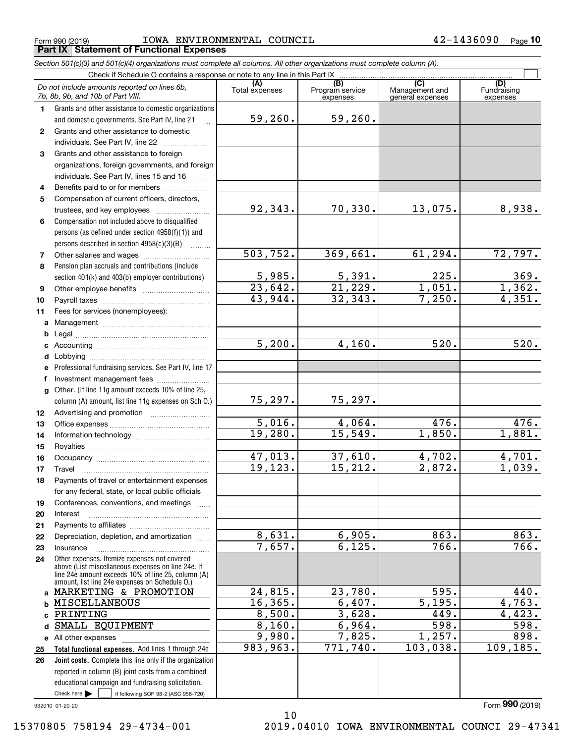Form 990 (2019) Page **Part IX Statement of Functional Expenses** IOWA ENVIRONMENTAL COUNCIL 42-1436090

*Section 501(c)(3) and 501(c)(4) organizations must complete all columns. All other organizations must complete column (A).*

|              | Do not include amounts reported on lines 6b,<br>7b, 8b, 9b, and 10b of Part VIII.                                                                        | (A)<br>Total expenses | (B)<br>Program service<br>expenses | (C)<br>Management and<br>general expenses | (D)<br>Fundraising<br>expenses |  |  |  |
|--------------|----------------------------------------------------------------------------------------------------------------------------------------------------------|-----------------------|------------------------------------|-------------------------------------------|--------------------------------|--|--|--|
| 1.           | Grants and other assistance to domestic organizations                                                                                                    |                       |                                    |                                           |                                |  |  |  |
|              | and domestic governments. See Part IV, line 21                                                                                                           | 59,260.               | 59,260.                            |                                           |                                |  |  |  |
| $\mathbf{2}$ | Grants and other assistance to domestic                                                                                                                  |                       |                                    |                                           |                                |  |  |  |
|              | individuals. See Part IV, line 22                                                                                                                        |                       |                                    |                                           |                                |  |  |  |
| 3            | Grants and other assistance to foreign                                                                                                                   |                       |                                    |                                           |                                |  |  |  |
|              | organizations, foreign governments, and foreign                                                                                                          |                       |                                    |                                           |                                |  |  |  |
|              | individuals. See Part IV, lines 15 and 16                                                                                                                |                       |                                    |                                           |                                |  |  |  |
| 4            | Benefits paid to or for members                                                                                                                          |                       |                                    |                                           |                                |  |  |  |
| 5            | Compensation of current officers, directors,                                                                                                             |                       |                                    |                                           |                                |  |  |  |
|              | trustees, and key employees                                                                                                                              | 92,343.               | 70,330.                            | 13,075.                                   | 8,938.                         |  |  |  |
| 6            | Compensation not included above to disqualified                                                                                                          |                       |                                    |                                           |                                |  |  |  |
|              | persons (as defined under section 4958(f)(1)) and                                                                                                        |                       |                                    |                                           |                                |  |  |  |
|              | persons described in section 4958(c)(3)(B)                                                                                                               |                       |                                    |                                           |                                |  |  |  |
| 7            |                                                                                                                                                          | 503,752.              | 369,661.                           | 61,294.                                   | 72,797.                        |  |  |  |
| 8            | Pension plan accruals and contributions (include                                                                                                         |                       |                                    |                                           |                                |  |  |  |
|              | section 401(k) and 403(b) employer contributions)                                                                                                        | 5,985.                | 5,391.                             | 225.                                      | $\frac{369}{1,362}$            |  |  |  |
| 9            |                                                                                                                                                          | $\overline{23,642}$ . | 21,229.                            | 1,051.                                    |                                |  |  |  |
| 10           |                                                                                                                                                          | 43,944.               | 32, 343.                           | 7,250.                                    | 4,351.                         |  |  |  |
| 11           | Fees for services (nonemployees):                                                                                                                        |                       |                                    |                                           |                                |  |  |  |
|              |                                                                                                                                                          |                       |                                    |                                           |                                |  |  |  |
| b            |                                                                                                                                                          |                       |                                    |                                           |                                |  |  |  |
|              |                                                                                                                                                          | 5,200.                | 4,160.                             | 520.                                      | 520.                           |  |  |  |
|              |                                                                                                                                                          |                       |                                    |                                           |                                |  |  |  |
|              | e Professional fundraising services. See Part IV, line 17                                                                                                |                       |                                    |                                           |                                |  |  |  |
| f            | Investment management fees                                                                                                                               |                       |                                    |                                           |                                |  |  |  |
| g            | Other. (If line 11g amount exceeds 10% of line 25,                                                                                                       |                       |                                    |                                           |                                |  |  |  |
|              | column (A) amount, list line 11g expenses on Sch 0.)                                                                                                     | 75,297.               | 75,297.                            |                                           |                                |  |  |  |
| 12           |                                                                                                                                                          |                       |                                    |                                           |                                |  |  |  |
| 13           |                                                                                                                                                          | 5,016.                | 4,064.                             | 476.                                      | $\overline{476}$ .             |  |  |  |
| 14           |                                                                                                                                                          | 19,280.               | 15,549.                            | 1,850.                                    | 1,881.                         |  |  |  |
| 15           |                                                                                                                                                          |                       |                                    |                                           |                                |  |  |  |
| 16           |                                                                                                                                                          | 47,013.               | 37,610.                            | 4,702.                                    | 4,701.                         |  |  |  |
| 17           | Travel                                                                                                                                                   | 19, 123.              | 15, 212.                           | 2,872.                                    | 1,039.                         |  |  |  |
| 18           | Payments of travel or entertainment expenses                                                                                                             |                       |                                    |                                           |                                |  |  |  |
|              | for any federal, state, or local public officials                                                                                                        |                       |                                    |                                           |                                |  |  |  |
| 19           | Conferences, conventions, and meetings                                                                                                                   |                       |                                    |                                           |                                |  |  |  |
| 20           | Interest                                                                                                                                                 |                       |                                    |                                           |                                |  |  |  |
| 21           |                                                                                                                                                          |                       |                                    |                                           |                                |  |  |  |
| 22           | Depreciation, depletion, and amortization                                                                                                                | 8,631.                | 6,905.                             | 863.                                      | 863.                           |  |  |  |
| 23           | Insurance                                                                                                                                                | 7,657.                | 6, 125.                            | 766.                                      | 766.                           |  |  |  |
| 24           | Other expenses. Itemize expenses not covered<br>above (List miscellaneous expenses on line 24e. If<br>line 24e amount exceeds 10% of line 25, column (A) |                       |                                    |                                           |                                |  |  |  |
|              | amount, list line 24e expenses on Schedule 0.)<br>a MARKETING & PROMOTION                                                                                | 24,815.               | 23,780.                            | 595.                                      | 440.                           |  |  |  |
|              | <b>b MISCELLANEOUS</b>                                                                                                                                   | 16, 365.              | 6,407.                             | 5,195.                                    | 4,763.                         |  |  |  |
|              | PRINTING                                                                                                                                                 | 8,500.                | 3,628.                             | 449.                                      | 4,423.                         |  |  |  |
| c            | SMALL EQUIPMENT                                                                                                                                          | 8,160.                | 6,964.                             | 598.                                      | 598.                           |  |  |  |
| d            |                                                                                                                                                          | 9,980.                | 7,825.                             | 1,257.                                    | 898.                           |  |  |  |
|              | e All other expenses                                                                                                                                     | 983,963.              | 771,740.                           | 103,038.                                  | 109, 185.                      |  |  |  |
| 25<br>26     | Total functional expenses. Add lines 1 through 24e                                                                                                       |                       |                                    |                                           |                                |  |  |  |
|              | Joint costs. Complete this line only if the organization<br>reported in column (B) joint costs from a combined                                           |                       |                                    |                                           |                                |  |  |  |
|              | educational campaign and fundraising solicitation.                                                                                                       |                       |                                    |                                           |                                |  |  |  |
|              | Check here $\blacktriangleright$<br>if following SOP 98-2 (ASC 958-720)                                                                                  |                       |                                    |                                           |                                |  |  |  |

10

932010 01-20-20

Form (2019) **990**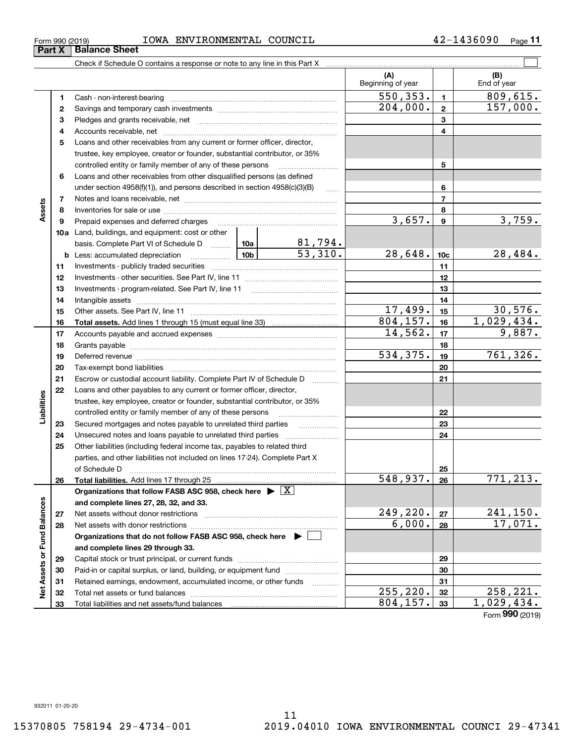**3233**

Total liabilities and net assets/fund balances

**Net Assets or Fund Balances**

ğ

Assets or Fund Balances

**Assets**

**Liabilities**

iabilities

**3233**

 $804, 157. \mid 33 \mid 1,029,434.$ 

| Form 990 (2019) |                       | IOWA | ENVIRONMENTAL COUNCIL | 1436090<br>42- | Page |
|-----------------|-----------------------|------|-----------------------|----------------|------|
| <b>Part X</b>   | <b>∣Balance Sheet</b> |      |                       |                |      |

**(A) (B) 123** Pledges and grants receivable, net  $\ldots$  **multimes contained and grants receivable**, net **multimes contained and grants receivable**, net **multimes contained and grants receivable 45678910a**Land, buildings, and equipment: cost or other **11121314151617181920212223242526272829303112345678910c11121314151617181920212223242526b** Less: accumulated depreciation  $\ldots$  **10b** basis. Complete Part VI of Schedule D will aller **Total assets.**  Add lines 1 through 15 (must equal line 33) **Total liabilities.**  Add lines 17 through 25 **Organizations that follow FASB ASC 958, check here** | X **and complete lines 27, 28, 32, and 33. 2728Organizations that do not follow FASB ASC 958, check here** | **and complete lines 29 through 33. 293031**Beginning of year | | End of year Cash - non-interest-bearing ~~~~~~~~~~~~~~~~~~~~~~~~~ Savings and temporary cash investments ~~~~~~~~~~~~~~~~~~Accounts receivable, net ~~~~~~~~~~~~~~~~~~~~~~~~~~ Loans and other receivables from any current or former officer, director, trustee, key employee, creator or founder, substantial contributor, or 35% controlled entity or family member of any of these persons ............................ Loans and other receivables from other disqualified persons (as defined under section  $4958(f)(1)$ , and persons described in section  $4958(c)(3)(B)$ Notes and loans receivable, net ~~~~~~~~~~~~~~~~~~~~~~~Inventories for sale or use ~~~~~~~~~~~~~~~~~~~~~~~~~~Prepaid expenses and deferred charges ~~~~~~~~~~~~~~~~~~ Investments - publicly traded securities ~~~~~~~~~~~~~~~~~~~ Investments - other securities. See Part IV, line 11 ~~~~~~~~~~~~~~ Investments - program-related. See Part IV, line 11 ~~~~~~~~~~~~~Intangible assets ~~~~~~~~~~~~~~~~~~~~~~~~~~~~~~ Other assets. See Part IV, line 11 ~~~~~~~~~~~~~~~~~~~~~~ Accounts payable and accrued expenses ~~~~~~~~~~~~~~~~~~ Grants payable ~~~~~~~~~~~~~~~~~~~~~~~~~~~~~~~ Deferred revenue ~~~~~~~~~~~~~~~~~~~~~~~~~~~~~~ Tax-exempt bond liabilities …………………………………………………………… Escrow or custodial account liability. Complete Part IV of Schedule D Loans and other payables to any current or former officer, director, trustee, key employee, creator or founder, substantial contributor, or 35% controlled entity or family member of any of these persons ~~~~~~~~~Secured mortgages and notes payable to unrelated third parties Unsecured notes and loans payable to unrelated third parties Other liabilities (including federal income tax, payables to related third parties, and other liabilities not included on lines 17-24). Complete Part X of Schedule D ~~~~~~~~~~~~~~~~~~~~~~~~~~~~~~~ Net assets without donor restrictions <sub>…………………………………………………</sub>…… Net assets with donor restrictions ~~~~~~~~~~~~~~~~~~~~~~ Capital stock or trust principal, or current funds ~~~~~~~~~~~~~~~Paid-in or capital surplus, or land, building, or equipment fund www.commun.com Retained earnings, endowment, accumulated income, or other funds Total net assets or fund balances ~~~~~~~~~~~~~~~~~~~~~~  $550,353.$   $1 \mid 809,615.$  $3,657$ .  $9$   $3,759$ . 81,794.  $53,310.$  28,648.  $10c$  28,484.  $17,499.$   $15$  30,576.  $804, 157.$  16 1,029,434.  $204,000$ .  $2$  157,000.  $14,562.$   $17$  9,887.  $534,375.$  19 761,326.  $548,937. |26| 771,213.$  $249,220$ .  $27$  241,150.  $6,000$ . | 28 | 17,071.  $255,220.$   $32$  | 258,221.

 $\mathcal{L}^{\text{max}}$ 

Form (2019) **990**

Check if Schedule O contains a response or note to any line in this Part X

932011 01-20-20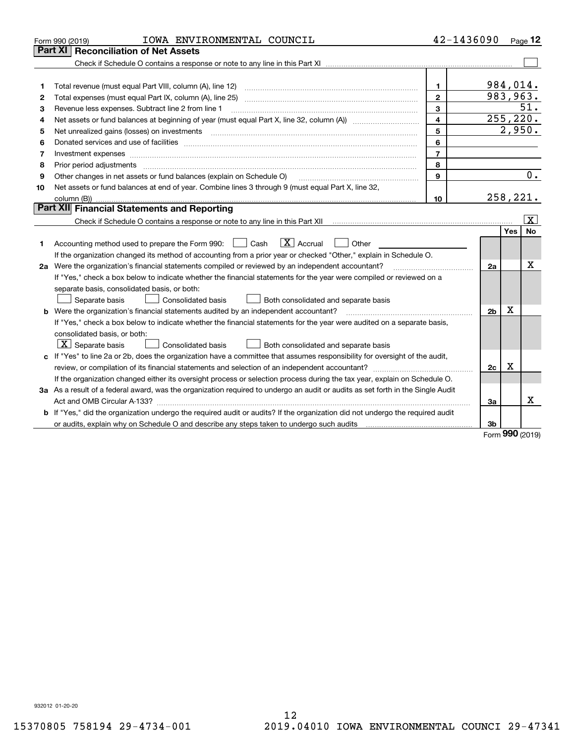|    | IOWA ENVIRONMENTAL COUNCIL<br>Form 990 (2019)                                                                                        | 42-1436090     |                |           | Page $12$          |
|----|--------------------------------------------------------------------------------------------------------------------------------------|----------------|----------------|-----------|--------------------|
|    | Part XI<br><b>Reconciliation of Net Assets</b>                                                                                       |                |                |           |                    |
|    |                                                                                                                                      |                |                |           |                    |
|    |                                                                                                                                      |                |                |           |                    |
| 1  |                                                                                                                                      | $\mathbf{1}$   |                | 984,014.  |                    |
| 2  |                                                                                                                                      | $\overline{2}$ |                | 983,963.  |                    |
| 3  | Revenue less expenses. Subtract line 2 from line 1                                                                                   | 3              |                |           | 51.                |
| 4  | Net assets or fund balances at beginning of year (must equal Part X, line 32, column (A)) <i></i>                                    | 4              |                |           | 255, 220.          |
| 5  |                                                                                                                                      | 5              |                | 2,950.    |                    |
| 6  |                                                                                                                                      | 6              |                |           |                    |
| 7  | Investment expenses                                                                                                                  | $\overline{7}$ |                |           |                    |
| 8  |                                                                                                                                      | 8              |                |           |                    |
| 9  | Other changes in net assets or fund balances (explain on Schedule O)                                                                 | 9              |                |           | $\overline{0}$ .   |
| 10 | Net assets or fund balances at end of year. Combine lines 3 through 9 (must equal Part X, line 32,                                   |                |                |           |                    |
|    |                                                                                                                                      | 10             |                | 258, 221. |                    |
|    | Part XII Financial Statements and Reporting                                                                                          |                |                |           |                    |
|    |                                                                                                                                      |                |                |           | $\boxed{\text{X}}$ |
|    |                                                                                                                                      |                |                | Yes       | No                 |
| 1  | $\boxed{\mathbf{X}}$ Accrual<br>Accounting method used to prepare the Form 990: <u>[</u> Cash<br>Other                               |                |                |           |                    |
|    | If the organization changed its method of accounting from a prior year or checked "Other," explain in Schedule O.                    |                |                |           |                    |
|    | 2a Were the organization's financial statements compiled or reviewed by an independent accountant?                                   |                | 2a             |           | х                  |
|    | If "Yes," check a box below to indicate whether the financial statements for the year were compiled or reviewed on a                 |                |                |           |                    |
|    | separate basis, consolidated basis, or both:                                                                                         |                |                |           |                    |
|    | Both consolidated and separate basis<br>Separate basis<br>Consolidated basis                                                         |                |                |           |                    |
|    | <b>b</b> Were the organization's financial statements audited by an independent accountant?                                          |                | 2 <sub>b</sub> | х         |                    |
|    | If "Yes," check a box below to indicate whether the financial statements for the year were audited on a separate basis,              |                |                |           |                    |
|    | consolidated basis, or both:                                                                                                         |                |                |           |                    |
|    | $ \mathbf{X} $ Separate basis<br><b>Consolidated basis</b><br>Both consolidated and separate basis                                   |                |                |           |                    |
|    | c If "Yes" to line 2a or 2b, does the organization have a committee that assumes responsibility for oversight of the audit,          |                |                |           |                    |
|    |                                                                                                                                      |                | 2c             | х         |                    |
|    | If the organization changed either its oversight process or selection process during the tax year, explain on Schedule O.            |                |                |           |                    |
|    | 3a As a result of a federal award, was the organization required to undergo an audit or audits as set forth in the Single Audit      |                |                |           |                    |
|    |                                                                                                                                      |                | 3a             |           | x                  |
|    | <b>b</b> If "Yes," did the organization undergo the required audit or audits? If the organization did not undergo the required audit |                |                |           |                    |
|    |                                                                                                                                      |                | 3b             | no o      |                    |

Form (2019) **990**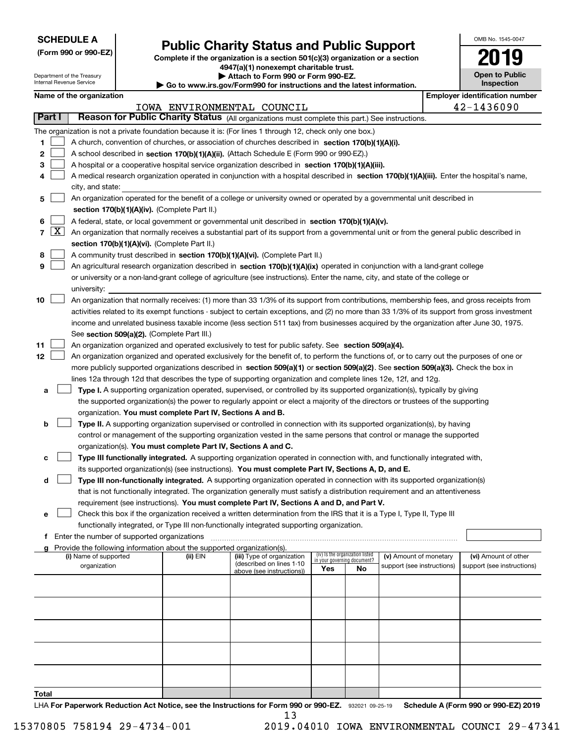| <b>SCHEDULE A</b> |
|-------------------|
|-------------------|

Department of the Treasury Internal Revenue Service

**(Form 990 or 990-EZ)**

# **Public Charity Status and Public Support**

**Complete if the organization is a section 501(c)(3) organization or a section 4947(a)(1) nonexempt charitable trust.**

| Attach to Form 990 or Form 990-EZ. |
|------------------------------------|
|                                    |

**| Go to www.irs.gov/Form990 for instructions and the latest information.**

| OMB No. 1545-0047                   |
|-------------------------------------|
| 1                                   |
| <b>Open to Public</b><br>Inspection |

|                | <b>Employer identification number</b><br>Name of the organization |                                                                                                                                               |          |                                                       |                             |                                 |                            |                            |
|----------------|-------------------------------------------------------------------|-----------------------------------------------------------------------------------------------------------------------------------------------|----------|-------------------------------------------------------|-----------------------------|---------------------------------|----------------------------|----------------------------|
|                |                                                                   |                                                                                                                                               |          | IOWA ENVIRONMENTAL COUNCIL                            |                             |                                 |                            | 42-1436090                 |
| Part I         |                                                                   | Reason for Public Charity Status (All organizations must complete this part.) See instructions.                                               |          |                                                       |                             |                                 |                            |                            |
|                |                                                                   | The organization is not a private foundation because it is: (For lines 1 through 12, check only one box.)                                     |          |                                                       |                             |                                 |                            |                            |
| 1.             |                                                                   | A church, convention of churches, or association of churches described in section 170(b)(1)(A)(i).                                            |          |                                                       |                             |                                 |                            |                            |
| 2              |                                                                   | A school described in section 170(b)(1)(A)(ii). (Attach Schedule E (Form 990 or 990-EZ).)                                                     |          |                                                       |                             |                                 |                            |                            |
| з              |                                                                   | A hospital or a cooperative hospital service organization described in section 170(b)(1)(A)(iii).                                             |          |                                                       |                             |                                 |                            |                            |
| 4              |                                                                   | A medical research organization operated in conjunction with a hospital described in section 170(b)(1)(A)(iii). Enter the hospital's name,    |          |                                                       |                             |                                 |                            |                            |
|                |                                                                   | city, and state:                                                                                                                              |          |                                                       |                             |                                 |                            |                            |
| 5              |                                                                   | An organization operated for the benefit of a college or university owned or operated by a governmental unit described in                     |          |                                                       |                             |                                 |                            |                            |
|                |                                                                   | section 170(b)(1)(A)(iv). (Complete Part II.)                                                                                                 |          |                                                       |                             |                                 |                            |                            |
| 6              |                                                                   | A federal, state, or local government or governmental unit described in section 170(b)(1)(A)(v).                                              |          |                                                       |                             |                                 |                            |                            |
| $\overline{7}$ | $\boxed{\text{X}}$                                                | An organization that normally receives a substantial part of its support from a governmental unit or from the general public described in     |          |                                                       |                             |                                 |                            |                            |
|                |                                                                   | section 170(b)(1)(A)(vi). (Complete Part II.)                                                                                                 |          |                                                       |                             |                                 |                            |                            |
| 8              |                                                                   | A community trust described in section 170(b)(1)(A)(vi). (Complete Part II.)                                                                  |          |                                                       |                             |                                 |                            |                            |
| 9              |                                                                   | An agricultural research organization described in section 170(b)(1)(A)(ix) operated in conjunction with a land-grant college                 |          |                                                       |                             |                                 |                            |                            |
|                |                                                                   | or university or a non-land-grant college of agriculture (see instructions). Enter the name, city, and state of the college or                |          |                                                       |                             |                                 |                            |                            |
|                |                                                                   | university:                                                                                                                                   |          |                                                       |                             |                                 |                            |                            |
| 10             |                                                                   | An organization that normally receives: (1) more than 33 1/3% of its support from contributions, membership fees, and gross receipts from     |          |                                                       |                             |                                 |                            |                            |
|                |                                                                   | activities related to its exempt functions - subject to certain exceptions, and (2) no more than 33 1/3% of its support from gross investment |          |                                                       |                             |                                 |                            |                            |
|                |                                                                   | income and unrelated business taxable income (less section 511 tax) from businesses acquired by the organization after June 30, 1975.         |          |                                                       |                             |                                 |                            |                            |
|                |                                                                   | See section 509(a)(2). (Complete Part III.)                                                                                                   |          |                                                       |                             |                                 |                            |                            |
| 11             |                                                                   | An organization organized and operated exclusively to test for public safety. See section 509(a)(4).                                          |          |                                                       |                             |                                 |                            |                            |
| 12             |                                                                   | An organization organized and operated exclusively for the benefit of, to perform the functions of, or to carry out the purposes of one or    |          |                                                       |                             |                                 |                            |                            |
|                |                                                                   | more publicly supported organizations described in section 509(a)(1) or section 509(a)(2). See section 509(a)(3). Check the box in            |          |                                                       |                             |                                 |                            |                            |
|                |                                                                   | lines 12a through 12d that describes the type of supporting organization and complete lines 12e, 12f, and 12g.                                |          |                                                       |                             |                                 |                            |                            |
| а              |                                                                   | Type I. A supporting organization operated, supervised, or controlled by its supported organization(s), typically by giving                   |          |                                                       |                             |                                 |                            |                            |
|                |                                                                   | the supported organization(s) the power to regularly appoint or elect a majority of the directors or trustees of the supporting               |          |                                                       |                             |                                 |                            |                            |
|                |                                                                   | organization. You must complete Part IV, Sections A and B.                                                                                    |          |                                                       |                             |                                 |                            |                            |
| b              |                                                                   | Type II. A supporting organization supervised or controlled in connection with its supported organization(s), by having                       |          |                                                       |                             |                                 |                            |                            |
|                |                                                                   | control or management of the supporting organization vested in the same persons that control or manage the supported                          |          |                                                       |                             |                                 |                            |                            |
|                |                                                                   | organization(s). You must complete Part IV, Sections A and C.                                                                                 |          |                                                       |                             |                                 |                            |                            |
|                |                                                                   | Type III functionally integrated. A supporting organization operated in connection with, and functionally integrated with,                    |          |                                                       |                             |                                 |                            |                            |
|                |                                                                   | its supported organization(s) (see instructions). You must complete Part IV, Sections A, D, and E.                                            |          |                                                       |                             |                                 |                            |                            |
| d              |                                                                   | Type III non-functionally integrated. A supporting organization operated in connection with its supported organization(s)                     |          |                                                       |                             |                                 |                            |                            |
|                |                                                                   | that is not functionally integrated. The organization generally must satisfy a distribution requirement and an attentiveness                  |          |                                                       |                             |                                 |                            |                            |
|                |                                                                   | requirement (see instructions). You must complete Part IV, Sections A and D, and Part V.                                                      |          |                                                       |                             |                                 |                            |                            |
| е              |                                                                   | Check this box if the organization received a written determination from the IRS that it is a Type I, Type II, Type III                       |          |                                                       |                             |                                 |                            |                            |
|                |                                                                   | functionally integrated, or Type III non-functionally integrated supporting organization.                                                     |          |                                                       |                             |                                 |                            |                            |
|                |                                                                   | f Enter the number of supported organizations                                                                                                 |          |                                                       |                             |                                 |                            |                            |
|                |                                                                   | Provide the following information about the supported organization(s).                                                                        |          |                                                       |                             |                                 |                            |                            |
|                |                                                                   | (i) Name of supported                                                                                                                         | (ii) EIN | (iii) Type of organization                            | in your governing document? | (iv) Is the organization listed | (v) Amount of monetary     | (vi) Amount of other       |
|                |                                                                   | organization                                                                                                                                  |          | (described on lines 1-10<br>above (see instructions)) | Yes                         | <b>No</b>                       | support (see instructions) | support (see instructions) |
|                |                                                                   |                                                                                                                                               |          |                                                       |                             |                                 |                            |                            |
|                |                                                                   |                                                                                                                                               |          |                                                       |                             |                                 |                            |                            |
|                |                                                                   |                                                                                                                                               |          |                                                       |                             |                                 |                            |                            |
|                |                                                                   |                                                                                                                                               |          |                                                       |                             |                                 |                            |                            |
|                |                                                                   |                                                                                                                                               |          |                                                       |                             |                                 |                            |                            |
|                |                                                                   |                                                                                                                                               |          |                                                       |                             |                                 |                            |                            |
|                |                                                                   |                                                                                                                                               |          |                                                       |                             |                                 |                            |                            |
|                |                                                                   |                                                                                                                                               |          |                                                       |                             |                                 |                            |                            |

LHA For Paperwork Reduction Act Notice, see the Instructions for Form 990 or 990-EZ. 932021 09-25-19 Schedule A (Form 990 or 990-EZ) 2019 **Total** 13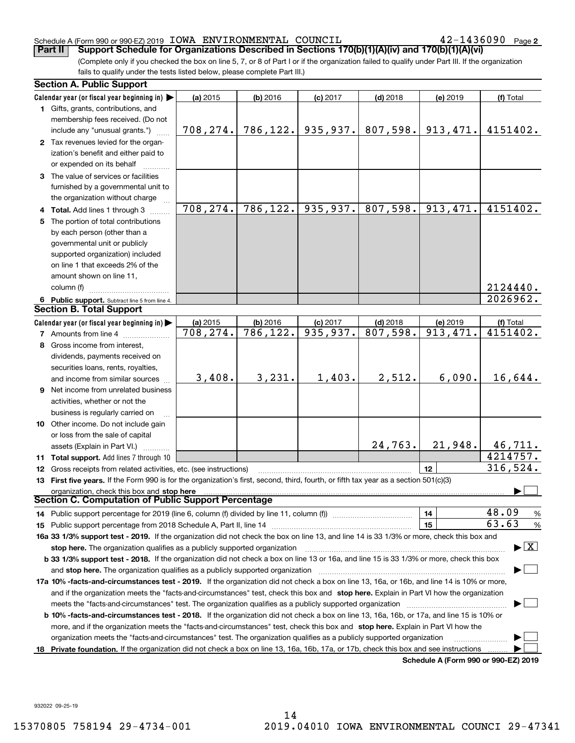#### Schedule A (Form 990 or 990-EZ) 2019 Page IOWA ENVIRONMENTAL COUNCIL 42-1436090

 $42 - 1436090$  Page 2

(Complete only if you checked the box on line 5, 7, or 8 of Part I or if the organization failed to qualify under Part III. If the organization fails to qualify under the tests listed below, please complete Part III.) **Part II Support Schedule for Organizations Described in Sections 170(b)(1)(A)(iv) and 170(b)(1)(A)(vi)**

|   | <b>Section A. Public Support</b>                                                                                                               |            |            |            |            |                                      |                                         |
|---|------------------------------------------------------------------------------------------------------------------------------------------------|------------|------------|------------|------------|--------------------------------------|-----------------------------------------|
|   | Calendar year (or fiscal year beginning in)                                                                                                    | (a) 2015   | $(b)$ 2016 | $(c)$ 2017 | $(d)$ 2018 | (e) 2019                             | (f) Total                               |
|   | 1 Gifts, grants, contributions, and                                                                                                            |            |            |            |            |                                      |                                         |
|   | membership fees received. (Do not                                                                                                              |            |            |            |            |                                      |                                         |
|   | include any "unusual grants.")                                                                                                                 | 708, 274.  | 786, 122.  | 935,937.   | 807,598.   | 913,471.                             | 4151402.                                |
|   | 2 Tax revenues levied for the organ-                                                                                                           |            |            |            |            |                                      |                                         |
|   | ization's benefit and either paid to                                                                                                           |            |            |            |            |                                      |                                         |
|   | or expended on its behalf                                                                                                                      |            |            |            |            |                                      |                                         |
|   | 3 The value of services or facilities                                                                                                          |            |            |            |            |                                      |                                         |
|   | furnished by a governmental unit to                                                                                                            |            |            |            |            |                                      |                                         |
|   | the organization without charge                                                                                                                |            |            |            |            |                                      |                                         |
|   | 4 Total. Add lines 1 through 3                                                                                                                 | 708,274.   | 786,122.   | 935,937.   | 807,598.   | 913, 471.                            | 4151402.                                |
|   | 5 The portion of total contributions                                                                                                           |            |            |            |            |                                      |                                         |
|   | by each person (other than a                                                                                                                   |            |            |            |            |                                      |                                         |
|   | governmental unit or publicly                                                                                                                  |            |            |            |            |                                      |                                         |
|   | supported organization) included                                                                                                               |            |            |            |            |                                      |                                         |
|   | on line 1 that exceeds 2% of the                                                                                                               |            |            |            |            |                                      |                                         |
|   |                                                                                                                                                |            |            |            |            |                                      |                                         |
|   | amount shown on line 11,                                                                                                                       |            |            |            |            |                                      |                                         |
|   | column (f)                                                                                                                                     |            |            |            |            |                                      | 2124440.<br>$\overline{20}26962$ .      |
|   | 6 Public support. Subtract line 5 from line 4.<br><b>Section B. Total Support</b>                                                              |            |            |            |            |                                      |                                         |
|   |                                                                                                                                                |            |            |            |            |                                      |                                         |
|   | Calendar year (or fiscal year beginning in)                                                                                                    | $(a)$ 2015 | (b) 2016   | $(c)$ 2017 | $(d)$ 2018 | (e) 2019                             | (f) Total                               |
|   | <b>7</b> Amounts from line 4                                                                                                                   | 708,274.   | 786,122.   | 935,937.   | 807,598.   | 913,471.                             | 4151402.                                |
| 8 | Gross income from interest,                                                                                                                    |            |            |            |            |                                      |                                         |
|   | dividends, payments received on                                                                                                                |            |            |            |            |                                      |                                         |
|   | securities loans, rents, royalties,                                                                                                            |            |            |            |            |                                      |                                         |
|   | and income from similar sources                                                                                                                | 3,408.     | 3,231.     | 1,403.     | 2,512.     | 6,090.                               | 16,644.                                 |
|   | <b>9</b> Net income from unrelated business                                                                                                    |            |            |            |            |                                      |                                         |
|   | activities, whether or not the                                                                                                                 |            |            |            |            |                                      |                                         |
|   | business is regularly carried on                                                                                                               |            |            |            |            |                                      |                                         |
|   | 10 Other income. Do not include gain                                                                                                           |            |            |            |            |                                      |                                         |
|   | or loss from the sale of capital                                                                                                               |            |            |            |            |                                      |                                         |
|   | assets (Explain in Part VI.)                                                                                                                   |            |            |            | 24,763.    | 21,948.                              | 46,711.                                 |
|   | 11 Total support. Add lines 7 through 10                                                                                                       |            |            |            |            |                                      | 4214757.                                |
|   | 12 Gross receipts from related activities, etc. (see instructions)                                                                             |            |            |            |            | 12                                   | 316,524.                                |
|   | 13 First five years. If the Form 990 is for the organization's first, second, third, fourth, or fifth tax year as a section 501(c)(3)          |            |            |            |            |                                      |                                         |
|   | organization, check this box and stop here                                                                                                     |            |            |            |            |                                      |                                         |
|   | Section C. Computation of Public Support Percentage                                                                                            |            |            |            |            |                                      |                                         |
|   | 14 Public support percentage for 2019 (line 6, column (f) divided by line 11, column (f) <i>manumeronominimi</i> ng.                           |            |            |            |            | 14                                   | 48.09<br>$\frac{9}{6}$                  |
|   |                                                                                                                                                |            |            |            |            | 15                                   | 63.63<br>%                              |
|   | 16a 33 1/3% support test - 2019. If the organization did not check the box on line 13, and line 14 is 33 1/3% or more, check this box and      |            |            |            |            |                                      |                                         |
|   | stop here. The organization qualifies as a publicly supported organization                                                                     |            |            |            |            |                                      | $\blacktriangleright$ $\vert$ X $\vert$ |
|   | b 33 1/3% support test - 2018. If the organization did not check a box on line 13 or 16a, and line 15 is 33 1/3% or more, check this box       |            |            |            |            |                                      |                                         |
|   |                                                                                                                                                |            |            |            |            |                                      |                                         |
|   | 17a 10% -facts-and-circumstances test - 2019. If the organization did not check a box on line 13, 16a, or 16b, and line 14 is 10% or more,     |            |            |            |            |                                      |                                         |
|   |                                                                                                                                                |            |            |            |            |                                      |                                         |
|   | and if the organization meets the "facts-and-circumstances" test, check this box and stop here. Explain in Part VI how the organization        |            |            |            |            |                                      |                                         |
|   | meets the "facts-and-circumstances" test. The organization qualifies as a publicly supported organization                                      |            |            |            |            |                                      |                                         |
|   | <b>b 10% -facts-and-circumstances test - 2018.</b> If the organization did not check a box on line 13, 16a, 16b, or 17a, and line 15 is 10% or |            |            |            |            |                                      |                                         |
|   | more, and if the organization meets the "facts-and-circumstances" test, check this box and stop here. Explain in Part VI how the               |            |            |            |            |                                      |                                         |
|   | organization meets the "facts-and-circumstances" test. The organization qualifies as a publicly supported organization                         |            |            |            |            |                                      |                                         |
|   | 18 Private foundation. If the organization did not check a box on line 13, 16a, 16b, 17a, or 17b, check this box and see instructions          |            |            |            |            | Schodule A (Form 000 or 000 F7) 2010 |                                         |

**Schedule A (Form 990 or 990-EZ) 2019**

932022 09-25-19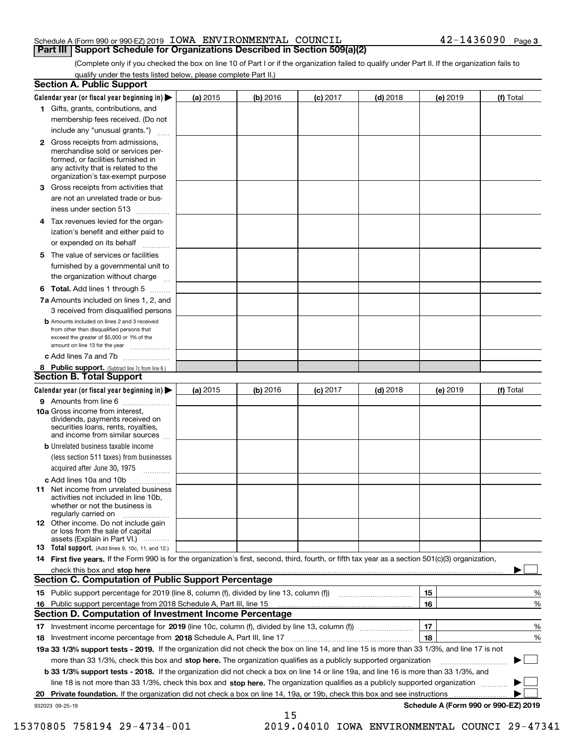### Schedule A (Form 990 or 990-EZ) 2019 Page IOWA ENVIRONMENTAL COUNCIL 42-1436090 **Part III Support Schedule for Organizations Described in Section 509(a)(2)**

(Complete only if you checked the box on line 10 of Part I or if the organization failed to qualify under Part II. If the organization fails to qualify under the tests listed below, please complete Part II.)

|    | <b>Section A. Public Support</b>                                                                                                                                                         |          |            |            |            |          |                                      |
|----|------------------------------------------------------------------------------------------------------------------------------------------------------------------------------------------|----------|------------|------------|------------|----------|--------------------------------------|
|    | Calendar year (or fiscal year beginning in) $\blacktriangleright$                                                                                                                        | (a) 2015 | $(b)$ 2016 | $(c)$ 2017 | $(d)$ 2018 | (e) 2019 | (f) Total                            |
|    | 1 Gifts, grants, contributions, and                                                                                                                                                      |          |            |            |            |          |                                      |
|    | membership fees received. (Do not                                                                                                                                                        |          |            |            |            |          |                                      |
|    | include any "unusual grants.")                                                                                                                                                           |          |            |            |            |          |                                      |
|    | 2 Gross receipts from admissions,<br>merchandise sold or services per-<br>formed, or facilities furnished in<br>any activity that is related to the<br>organization's tax-exempt purpose |          |            |            |            |          |                                      |
|    | 3 Gross receipts from activities that                                                                                                                                                    |          |            |            |            |          |                                      |
|    | are not an unrelated trade or bus-                                                                                                                                                       |          |            |            |            |          |                                      |
|    | iness under section 513                                                                                                                                                                  |          |            |            |            |          |                                      |
|    | 4 Tax revenues levied for the organ-                                                                                                                                                     |          |            |            |            |          |                                      |
|    | ization's benefit and either paid to                                                                                                                                                     |          |            |            |            |          |                                      |
|    | or expended on its behalf<br>.                                                                                                                                                           |          |            |            |            |          |                                      |
|    | 5 The value of services or facilities<br>furnished by a governmental unit to                                                                                                             |          |            |            |            |          |                                      |
|    | the organization without charge                                                                                                                                                          |          |            |            |            |          |                                      |
|    | <b>6 Total.</b> Add lines 1 through 5                                                                                                                                                    |          |            |            |            |          |                                      |
|    | 7a Amounts included on lines 1, 2, and                                                                                                                                                   |          |            |            |            |          |                                      |
|    | 3 received from disqualified persons                                                                                                                                                     |          |            |            |            |          |                                      |
|    | <b>b</b> Amounts included on lines 2 and 3 received<br>from other than disqualified persons that<br>exceed the greater of \$5,000 or 1% of the<br>amount on line 13 for the year         |          |            |            |            |          |                                      |
|    | c Add lines 7a and 7b                                                                                                                                                                    |          |            |            |            |          |                                      |
|    | 8 Public support. (Subtract line 7c from line 6.)<br><b>Section B. Total Support</b>                                                                                                     |          |            |            |            |          |                                      |
|    | Calendar year (or fiscal year beginning in) $\blacktriangleright$                                                                                                                        | (a) 2015 | (b) 2016   | $(c)$ 2017 | $(d)$ 2018 | (e) 2019 | (f) Total                            |
|    | 9 Amounts from line 6                                                                                                                                                                    |          |            |            |            |          |                                      |
|    | 10a Gross income from interest,<br>dividends, payments received on<br>securities loans, rents, royalties,<br>and income from similar sources                                             |          |            |            |            |          |                                      |
|    | <b>b</b> Unrelated business taxable income                                                                                                                                               |          |            |            |            |          |                                      |
|    | (less section 511 taxes) from businesses                                                                                                                                                 |          |            |            |            |          |                                      |
|    | acquired after June 30, 1975                                                                                                                                                             |          |            |            |            |          |                                      |
|    | c Add lines 10a and 10b                                                                                                                                                                  |          |            |            |            |          |                                      |
|    | 11 Net income from unrelated business<br>activities not included in line 10b,<br>whether or not the business is<br>regularly carried on                                                  |          |            |            |            |          |                                      |
|    | 12 Other income. Do not include gain<br>or loss from the sale of capital<br>assets (Explain in Part VI.)                                                                                 |          |            |            |            |          |                                      |
|    | <b>13</b> Total support. (Add lines 9, 10c, 11, and 12.)                                                                                                                                 |          |            |            |            |          |                                      |
|    | 14 First five years. If the Form 990 is for the organization's first, second, third, fourth, or fifth tax year as a section 501(c)(3) organization,                                      |          |            |            |            |          |                                      |
|    | check this box and stop here measurements are constructed as the state of the state of the state of the state o                                                                          |          |            |            |            |          |                                      |
|    | Section C. Computation of Public Support Percentage                                                                                                                                      |          |            |            |            |          |                                      |
|    | 15 Public support percentage for 2019 (line 8, column (f), divided by line 13, column (f))                                                                                               |          |            |            |            | 15       | %                                    |
|    | 16 Public support percentage from 2018 Schedule A, Part III, line 15                                                                                                                     |          |            |            |            | 16       | %                                    |
|    | <b>Section D. Computation of Investment Income Percentage</b>                                                                                                                            |          |            |            |            |          |                                      |
|    | 17 Investment income percentage for 2019 (line 10c, column (f), divided by line 13, column (f))                                                                                          |          |            |            |            | 17       | %                                    |
|    | <b>18</b> Investment income percentage from <b>2018</b> Schedule A, Part III, line 17                                                                                                    |          |            |            |            | 18       | %                                    |
|    | 19a 33 1/3% support tests - 2019. If the organization did not check the box on line 14, and line 15 is more than 33 1/3%, and line 17 is not                                             |          |            |            |            |          |                                      |
|    | more than 33 1/3%, check this box and stop here. The organization qualifies as a publicly supported organization                                                                         |          |            |            |            |          | ▶                                    |
|    | b 33 1/3% support tests - 2018. If the organization did not check a box on line 14 or line 19a, and line 16 is more than 33 1/3%, and                                                    |          |            |            |            |          |                                      |
|    | line 18 is not more than 33 1/3%, check this box and stop here. The organization qualifies as a publicly supported organization                                                          |          |            |            |            |          |                                      |
| 20 | Private foundation. If the organization did not check a box on line 14, 19a, or 19b, check this box and see instructions                                                                 |          |            |            |            |          |                                      |
|    | 932023 09-25-19                                                                                                                                                                          |          | 15         |            |            |          | Schedule A (Form 990 or 990-EZ) 2019 |

15370805 758194 29-4734-001 2019.04010 IOWA ENVIRONMENTAL COUNCI 29-47341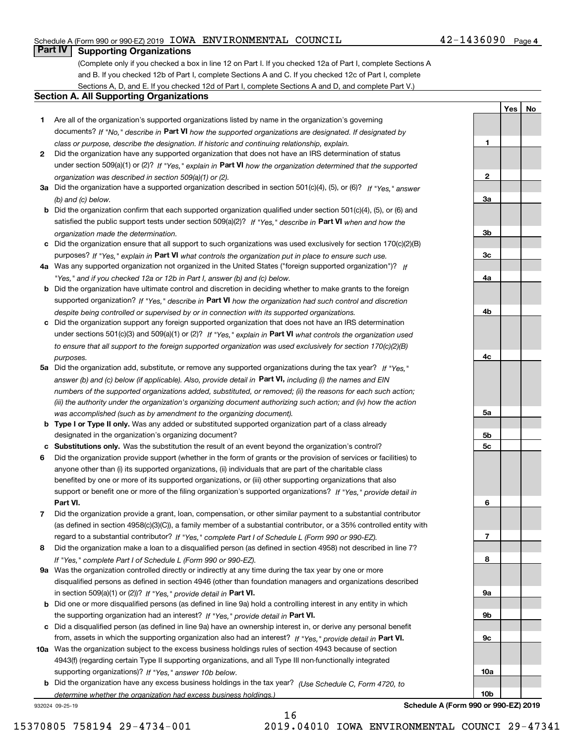## Schedule A (Form 990 or 990-EZ) 2019 Page IOWA ENVIRONMENTAL COUNCIL 42-1436090

# **Part IV Supporting Organizations**

(Complete only if you checked a box in line 12 on Part I. If you checked 12a of Part I, complete Sections A and B. If you checked 12b of Part I, complete Sections A and C. If you checked 12c of Part I, complete Sections A, D, and E. If you checked 12d of Part I, complete Sections A and D, and complete Part V.)

### **Section A. All Supporting Organizations**

- **1** Are all of the organization's supported organizations listed by name in the organization's governing documents? If "No," describe in **Part VI** how the supported organizations are designated. If designated by *class or purpose, describe the designation. If historic and continuing relationship, explain.*
- **2** Did the organization have any supported organization that does not have an IRS determination of status under section 509(a)(1) or (2)? If "Yes," explain in Part VI how the organization determined that the supported *organization was described in section 509(a)(1) or (2).*
- **3a** Did the organization have a supported organization described in section 501(c)(4), (5), or (6)? If "Yes," answer *(b) and (c) below.*
- **b** Did the organization confirm that each supported organization qualified under section 501(c)(4), (5), or (6) and satisfied the public support tests under section 509(a)(2)? If "Yes," describe in **Part VI** when and how the *organization made the determination.*
- **c**Did the organization ensure that all support to such organizations was used exclusively for section 170(c)(2)(B) purposes? If "Yes," explain in **Part VI** what controls the organization put in place to ensure such use.
- **4a***If* Was any supported organization not organized in the United States ("foreign supported organization")? *"Yes," and if you checked 12a or 12b in Part I, answer (b) and (c) below.*
- **b** Did the organization have ultimate control and discretion in deciding whether to make grants to the foreign supported organization? If "Yes," describe in **Part VI** how the organization had such control and discretion *despite being controlled or supervised by or in connection with its supported organizations.*
- **c** Did the organization support any foreign supported organization that does not have an IRS determination under sections 501(c)(3) and 509(a)(1) or (2)? If "Yes," explain in **Part VI** what controls the organization used *to ensure that all support to the foreign supported organization was used exclusively for section 170(c)(2)(B) purposes.*
- **5a** Did the organization add, substitute, or remove any supported organizations during the tax year? If "Yes," answer (b) and (c) below (if applicable). Also, provide detail in **Part VI,** including (i) the names and EIN *numbers of the supported organizations added, substituted, or removed; (ii) the reasons for each such action; (iii) the authority under the organization's organizing document authorizing such action; and (iv) how the action was accomplished (such as by amendment to the organizing document).*
- **b** Type I or Type II only. Was any added or substituted supported organization part of a class already designated in the organization's organizing document?
- **cSubstitutions only.**  Was the substitution the result of an event beyond the organization's control?
- **6** Did the organization provide support (whether in the form of grants or the provision of services or facilities) to **Part VI.** *If "Yes," provide detail in* support or benefit one or more of the filing organization's supported organizations? anyone other than (i) its supported organizations, (ii) individuals that are part of the charitable class benefited by one or more of its supported organizations, or (iii) other supporting organizations that also
- **7**Did the organization provide a grant, loan, compensation, or other similar payment to a substantial contributor *If "Yes," complete Part I of Schedule L (Form 990 or 990-EZ).* regard to a substantial contributor? (as defined in section 4958(c)(3)(C)), a family member of a substantial contributor, or a 35% controlled entity with
- **8** Did the organization make a loan to a disqualified person (as defined in section 4958) not described in line 7? *If "Yes," complete Part I of Schedule L (Form 990 or 990-EZ).*
- **9a** Was the organization controlled directly or indirectly at any time during the tax year by one or more in section 509(a)(1) or (2))? If "Yes," *provide detail in* <code>Part VI.</code> disqualified persons as defined in section 4946 (other than foundation managers and organizations described
- **b** Did one or more disqualified persons (as defined in line 9a) hold a controlling interest in any entity in which the supporting organization had an interest? If "Yes," provide detail in P**art VI**.
- **c**Did a disqualified person (as defined in line 9a) have an ownership interest in, or derive any personal benefit from, assets in which the supporting organization also had an interest? If "Yes," provide detail in P**art VI.**
- **10a** Was the organization subject to the excess business holdings rules of section 4943 because of section supporting organizations)? If "Yes," answer 10b below. 4943(f) (regarding certain Type II supporting organizations, and all Type III non-functionally integrated
- **b** Did the organization have any excess business holdings in the tax year? (Use Schedule C, Form 4720, to *determine whether the organization had excess business holdings.)*

16

932024 09-25-19

**Schedule A (Form 990 or 990-EZ) 2019**

**1**

**2**

**3a**

**3b**

**3c**

**4a**

**4b**

**4c**

**5a**

**5b5c**

**6**

**7**

**8**

**9a**

**9b**

**9c**

**10a**

**10b**

**YesNo**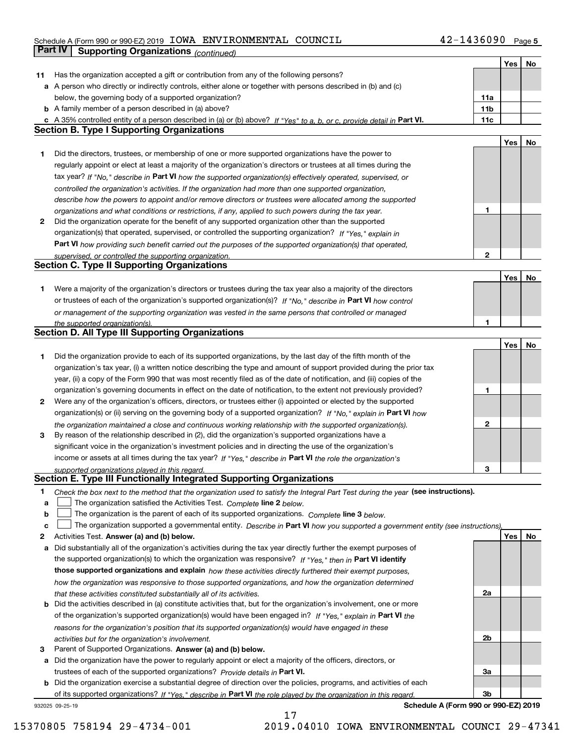# Schedule A (Form 990 or 990-EZ) 2019 Page IOWA ENVIRONMENTAL COUNCIL 42-1436090 **Part IV** Supporting Organizations (*continued*)

|        |                                                                                                                                                                  |                 | Yes | No |
|--------|------------------------------------------------------------------------------------------------------------------------------------------------------------------|-----------------|-----|----|
| 11     | Has the organization accepted a gift or contribution from any of the following persons?                                                                          |                 |     |    |
|        | a A person who directly or indirectly controls, either alone or together with persons described in (b) and (c)                                                   |                 |     |    |
|        | below, the governing body of a supported organization?                                                                                                           | 11a             |     |    |
|        | <b>b</b> A family member of a person described in (a) above?                                                                                                     | 11 <sub>b</sub> |     |    |
|        | c A 35% controlled entity of a person described in (a) or (b) above? If "Yes" to a, b, or c, provide detail in Part VI.                                          | 11c             |     |    |
|        | <b>Section B. Type I Supporting Organizations</b>                                                                                                                |                 |     |    |
|        |                                                                                                                                                                  |                 | Yes | No |
| 1.     | Did the directors, trustees, or membership of one or more supported organizations have the power to                                                              |                 |     |    |
|        | regularly appoint or elect at least a majority of the organization's directors or trustees at all times during the                                               |                 |     |    |
|        | tax year? If "No," describe in Part VI how the supported organization(s) effectively operated, supervised, or                                                    |                 |     |    |
|        | controlled the organization's activities. If the organization had more than one supported organization,                                                          |                 |     |    |
|        | describe how the powers to appoint and/or remove directors or trustees were allocated among the supported                                                        |                 |     |    |
|        | organizations and what conditions or restrictions, if any, applied to such powers during the tax year.                                                           | 1               |     |    |
| 2      | Did the organization operate for the benefit of any supported organization other than the supported                                                              |                 |     |    |
|        | organization(s) that operated, supervised, or controlled the supporting organization? If "Yes," explain in                                                       |                 |     |    |
|        | Part VI how providing such benefit carried out the purposes of the supported organization(s) that operated,                                                      |                 |     |    |
|        | supervised, or controlled the supporting organization.                                                                                                           | $\mathbf{2}$    |     |    |
|        | <b>Section C. Type II Supporting Organizations</b>                                                                                                               |                 |     |    |
|        |                                                                                                                                                                  |                 | Yes | No |
| 1.     | Were a majority of the organization's directors or trustees during the tax year also a majority of the directors                                                 |                 |     |    |
|        | or trustees of each of the organization's supported organization(s)? If "No," describe in Part VI how control                                                    |                 |     |    |
|        | or management of the supporting organization was vested in the same persons that controlled or managed                                                           |                 |     |    |
|        | the supported organization(s).                                                                                                                                   |                 |     |    |
|        | <b>Section D. All Type III Supporting Organizations</b>                                                                                                          |                 |     |    |
|        |                                                                                                                                                                  |                 | Yes | No |
| 1.     | Did the organization provide to each of its supported organizations, by the last day of the fifth month of the                                                   |                 |     |    |
|        | organization's tax year, (i) a written notice describing the type and amount of support provided during the prior tax                                            |                 |     |    |
|        | year, (ii) a copy of the Form 990 that was most recently filed as of the date of notification, and (iii) copies of the                                           |                 |     |    |
|        | organization's governing documents in effect on the date of notification, to the extent not previously provided?                                                 | 1               |     |    |
| 2      | Were any of the organization's officers, directors, or trustees either (i) appointed or elected by the supported                                                 |                 |     |    |
|        | organization(s) or (ii) serving on the governing body of a supported organization? If "No," explain in Part VI how                                               |                 |     |    |
|        | the organization maintained a close and continuous working relationship with the supported organization(s).                                                      | $\mathbf{2}$    |     |    |
| 3      | By reason of the relationship described in (2), did the organization's supported organizations have a                                                            |                 |     |    |
|        | significant voice in the organization's investment policies and in directing the use of the organization's                                                       |                 |     |    |
|        | income or assets at all times during the tax year? If "Yes," describe in Part VI the role the organization's                                                     |                 |     |    |
|        | supported organizations played in this regard.<br>Section E. Type III Functionally Integrated Supporting Organizations                                           | з               |     |    |
|        |                                                                                                                                                                  |                 |     |    |
| 1      | Check the box next to the method that the organization used to satisfy the Integral Part Test during the year (see instructions).                                |                 |     |    |
| a      | The organization satisfied the Activities Test. Complete line 2 below.                                                                                           |                 |     |    |
| b      | The organization is the parent of each of its supported organizations. Complete line 3 below.                                                                    |                 |     |    |
| c      | The organization supported a governmental entity. Describe in Part VI how you supported a government entity (see instructions),                                  |                 | Yes |    |
| 2<br>a | Activities Test. Answer (a) and (b) below.<br>Did substantially all of the organization's activities during the tax year directly further the exempt purposes of |                 |     | No |
|        | the supported organization(s) to which the organization was responsive? If "Yes," then in Part VI identify                                                       |                 |     |    |
|        | those supported organizations and explain how these activities directly furthered their exempt purposes,                                                         |                 |     |    |
|        | how the organization was responsive to those supported organizations, and how the organization determined                                                        |                 |     |    |
|        | that these activities constituted substantially all of its activities.                                                                                           | 2a              |     |    |
| b      | Did the activities described in (a) constitute activities that, but for the organization's involvement, one or more                                              |                 |     |    |
|        | of the organization's supported organization(s) would have been engaged in? If "Yes," explain in Part VI the                                                     |                 |     |    |
|        | reasons for the organization's position that its supported organization(s) would have engaged in these                                                           |                 |     |    |
|        | activities but for the organization's involvement.                                                                                                               | 2b              |     |    |
| з      | Parent of Supported Organizations. Answer (a) and (b) below.                                                                                                     |                 |     |    |
| а      | Did the organization have the power to regularly appoint or elect a majority of the officers, directors, or                                                      |                 |     |    |
|        | trustees of each of the supported organizations? Provide details in Part VI.                                                                                     | За              |     |    |
| b      | Did the organization exercise a substantial degree of direction over the policies, programs, and activities of each                                              |                 |     |    |
|        | of its supported organizations? If "Yes," describe in Part VI the role played by the organization in this regard.                                                | 3b              |     |    |
|        |                                                                                                                                                                  |                 |     |    |

17

932025 09-25-19

**Schedule A (Form 990 or 990-EZ) 2019**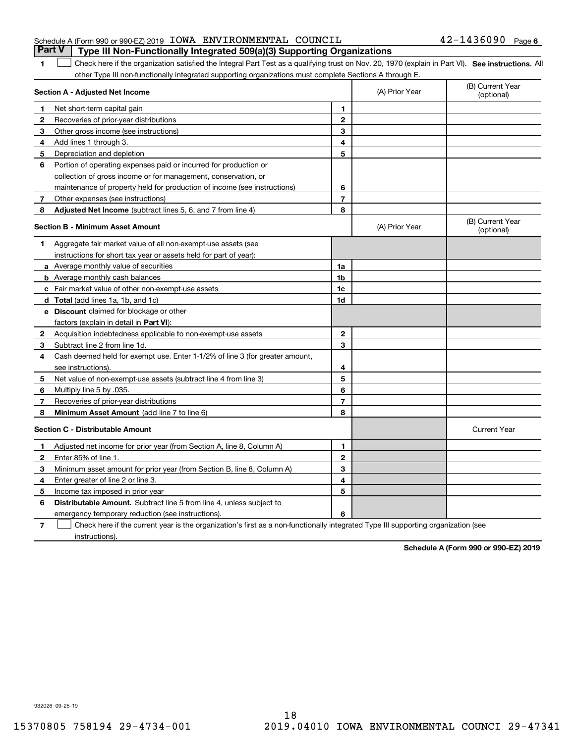|                                                                 |  | <b>Part V</b> Type III Non-Functionally Integrated 509(a)(3) Supporting Organizations |                       |  |
|-----------------------------------------------------------------|--|---------------------------------------------------------------------------------------|-----------------------|--|
| Schedule A (Form 990 or 990-EZ) 2019 IOWA ENVIRONMENTAL COUNCIL |  |                                                                                       | $42 - 1436090$ Page 6 |  |

1 Check here if the organization satisfied the Integral Part Test as a qualifying trust on Nov. 20, 1970 (explain in Part VI). See instructions. All other Type III non-functionally integrated supporting organizations must complete Sections A through E.

|              | Section A - Adjusted Net Income                                              | (A) Prior Year | (B) Current Year<br>(optional) |                                |
|--------------|------------------------------------------------------------------------------|----------------|--------------------------------|--------------------------------|
| 1            | Net short-term capital gain                                                  | 1              |                                |                                |
| 2            | Recoveries of prior-year distributions                                       | $\mathbf{2}$   |                                |                                |
| 3            | Other gross income (see instructions)                                        | 3              |                                |                                |
| 4            | Add lines 1 through 3.                                                       | 4              |                                |                                |
| 5            | Depreciation and depletion                                                   | 5              |                                |                                |
| 6            | Portion of operating expenses paid or incurred for production or             |                |                                |                                |
|              | collection of gross income or for management, conservation, or               |                |                                |                                |
|              | maintenance of property held for production of income (see instructions)     | 6              |                                |                                |
| 7            | Other expenses (see instructions)                                            | 7              |                                |                                |
| 8            | Adjusted Net Income (subtract lines 5, 6, and 7 from line 4)                 | 8              |                                |                                |
|              | <b>Section B - Minimum Asset Amount</b>                                      |                | (A) Prior Year                 | (B) Current Year<br>(optional) |
| 1.           | Aggregate fair market value of all non-exempt-use assets (see                |                |                                |                                |
|              | instructions for short tax year or assets held for part of year):            |                |                                |                                |
|              | <b>a</b> Average monthly value of securities                                 | 1a             |                                |                                |
|              | <b>b</b> Average monthly cash balances                                       | 1b             |                                |                                |
|              | c Fair market value of other non-exempt-use assets                           | 1c             |                                |                                |
|              | d Total (add lines 1a, 1b, and 1c)                                           | 1d             |                                |                                |
|              | <b>e</b> Discount claimed for blockage or other                              |                |                                |                                |
|              | factors (explain in detail in <b>Part VI</b> ):                              |                |                                |                                |
| $\mathbf{2}$ | Acquisition indebtedness applicable to non-exempt-use assets                 | $\mathbf 2$    |                                |                                |
| 3            | Subtract line 2 from line 1d.                                                | 3              |                                |                                |
| 4            | Cash deemed held for exempt use. Enter 1-1/2% of line 3 (for greater amount, |                |                                |                                |
|              | see instructions).                                                           | 4              |                                |                                |
| 5            | Net value of non-exempt-use assets (subtract line 4 from line 3)             | 5              |                                |                                |
| 6            | Multiply line 5 by .035.                                                     | 6              |                                |                                |
| 7            | Recoveries of prior-year distributions                                       | $\overline{7}$ |                                |                                |
| 8            | Minimum Asset Amount (add line 7 to line 6)                                  | 8              |                                |                                |
|              | <b>Section C - Distributable Amount</b>                                      |                |                                | <b>Current Year</b>            |
| 1            | Adjusted net income for prior year (from Section A, line 8, Column A)        | 1              |                                |                                |
| $\mathbf{2}$ | Enter 85% of line 1                                                          | $\overline{2}$ |                                |                                |
| 3            | Minimum asset amount for prior year (from Section B, line 8, Column A)       | 3              |                                |                                |
| 4            | Enter greater of line 2 or line 3.                                           | 4              |                                |                                |
| 5            | Income tax imposed in prior year                                             | 5              |                                |                                |
| 6            | <b>Distributable Amount.</b> Subtract line 5 from line 4, unless subject to  |                |                                |                                |
|              | emergency temporary reduction (see instructions).                            | 6              |                                |                                |
|              |                                                                              |                |                                |                                |

**7**Check here if the current year is the organization's first as a non-functionally integrated Type III supporting organization (see instructions).

**Schedule A (Form 990 or 990-EZ) 2019**

932026 09-25-19

**1**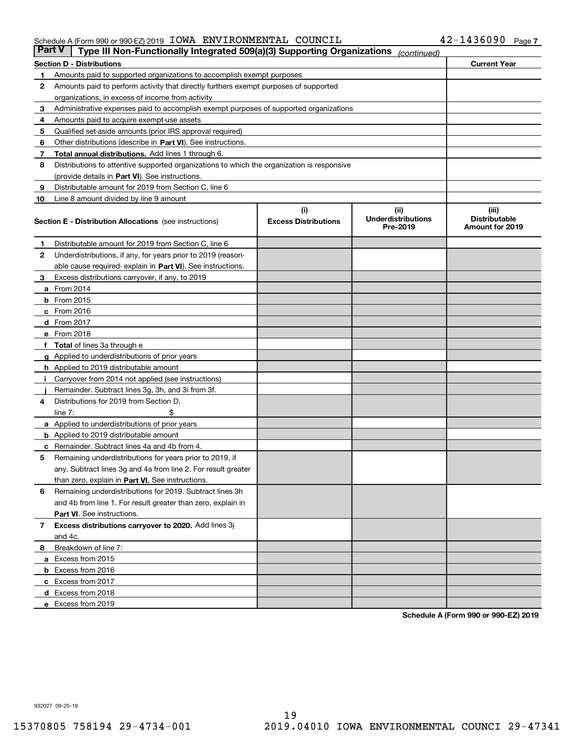#### Schedule A (Form 990 or 990-EZ) 2019 Page IOWA ENVIRONMENTAL COUNCIL 42-1436090

| Part V | Type III Non-Functionally Integrated 509(a)(3) Supporting Organizations                    |                             | (continued)                           |                                         |
|--------|--------------------------------------------------------------------------------------------|-----------------------------|---------------------------------------|-----------------------------------------|
|        | <b>Section D - Distributions</b>                                                           |                             |                                       | <b>Current Year</b>                     |
| 1      | Amounts paid to supported organizations to accomplish exempt purposes                      |                             |                                       |                                         |
| 2      | Amounts paid to perform activity that directly furthers exempt purposes of supported       |                             |                                       |                                         |
|        | organizations, in excess of income from activity                                           |                             |                                       |                                         |
| з      | Administrative expenses paid to accomplish exempt purposes of supported organizations      |                             |                                       |                                         |
| 4      | Amounts paid to acquire exempt-use assets                                                  |                             |                                       |                                         |
| 5      | Qualified set-aside amounts (prior IRS approval required)                                  |                             |                                       |                                         |
| 6      | Other distributions (describe in Part VI). See instructions.                               |                             |                                       |                                         |
| 7      | <b>Total annual distributions.</b> Add lines 1 through 6.                                  |                             |                                       |                                         |
| 8      | Distributions to attentive supported organizations to which the organization is responsive |                             |                                       |                                         |
|        | (provide details in Part VI). See instructions.                                            |                             |                                       |                                         |
| 9      | Distributable amount for 2019 from Section C, line 6                                       |                             |                                       |                                         |
| 10     | Line 8 amount divided by line 9 amount                                                     |                             |                                       |                                         |
|        |                                                                                            | (i)                         | (iii)                                 | (iii)                                   |
|        | <b>Section E - Distribution Allocations</b> (see instructions)                             | <b>Excess Distributions</b> | <b>Underdistributions</b><br>Pre-2019 | <b>Distributable</b><br>Amount for 2019 |
| 1      | Distributable amount for 2019 from Section C, line 6                                       |                             |                                       |                                         |
| 2      | Underdistributions, if any, for years prior to 2019 (reason-                               |                             |                                       |                                         |
|        | able cause required- explain in Part VI). See instructions.                                |                             |                                       |                                         |
| з      | Excess distributions carryover, if any, to 2019                                            |                             |                                       |                                         |
|        | <b>a</b> From 2014                                                                         |                             |                                       |                                         |
|        | <b>b</b> From 2015                                                                         |                             |                                       |                                         |
|        | $c$ From 2016                                                                              |                             |                                       |                                         |
|        | d From 2017                                                                                |                             |                                       |                                         |
|        | e From 2018                                                                                |                             |                                       |                                         |
|        | Total of lines 3a through e                                                                |                             |                                       |                                         |
|        | <b>g</b> Applied to underdistributions of prior years                                      |                             |                                       |                                         |
|        | <b>h</b> Applied to 2019 distributable amount                                              |                             |                                       |                                         |
|        | Carryover from 2014 not applied (see instructions)                                         |                             |                                       |                                         |
|        | Remainder. Subtract lines 3g, 3h, and 3i from 3f.                                          |                             |                                       |                                         |
| 4      | Distributions for 2019 from Section D,                                                     |                             |                                       |                                         |
|        | line $7:$                                                                                  |                             |                                       |                                         |
|        | <b>a</b> Applied to underdistributions of prior years                                      |                             |                                       |                                         |
|        | <b>b</b> Applied to 2019 distributable amount                                              |                             |                                       |                                         |
| c      | Remainder. Subtract lines 4a and 4b from 4.                                                |                             |                                       |                                         |
| 5      | Remaining underdistributions for years prior to 2019, if                                   |                             |                                       |                                         |
|        | any. Subtract lines 3g and 4a from line 2. For result greater                              |                             |                                       |                                         |
|        | than zero, explain in Part VI. See instructions.                                           |                             |                                       |                                         |
| 6      | Remaining underdistributions for 2019. Subtract lines 3h                                   |                             |                                       |                                         |
|        | and 4b from line 1. For result greater than zero, explain in                               |                             |                                       |                                         |
|        | Part VI. See instructions.                                                                 |                             |                                       |                                         |
| 7      | Excess distributions carryover to 2020. Add lines 3j                                       |                             |                                       |                                         |
|        | and 4c.                                                                                    |                             |                                       |                                         |
| 8      | Breakdown of line 7:                                                                       |                             |                                       |                                         |
|        | a Excess from 2015                                                                         |                             |                                       |                                         |
|        | <b>b</b> Excess from 2016                                                                  |                             |                                       |                                         |
|        | c Excess from 2017                                                                         |                             |                                       |                                         |
|        | d Excess from 2018                                                                         |                             |                                       |                                         |
|        | e Excess from 2019                                                                         |                             |                                       |                                         |
|        |                                                                                            |                             |                                       |                                         |

**Schedule A (Form 990 or 990-EZ) 2019**

932027 09-25-19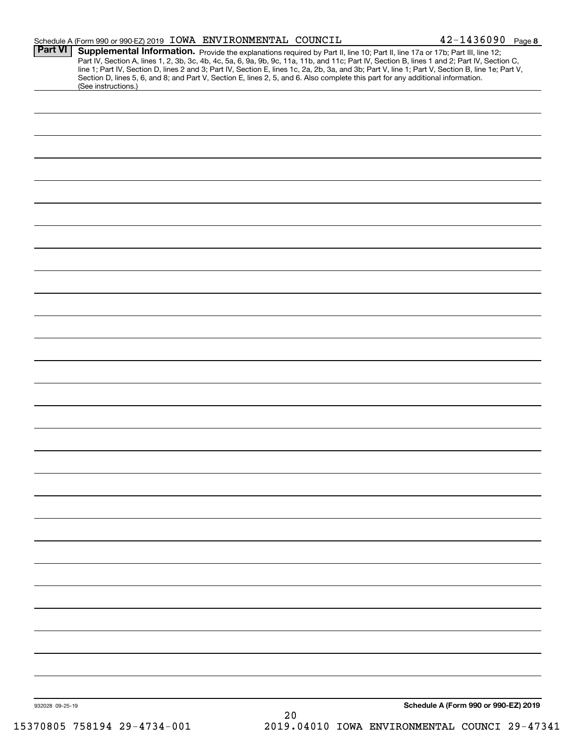|                 | Schedule A (Form 990 or 990-EZ) 2019 IOWA ENVIRONMENTAL COUNCIL                                                                                                                                                                                                                         |      | $42 - 1436090$ Page 8                                                                                                                                                                                                                                                                            |
|-----------------|-----------------------------------------------------------------------------------------------------------------------------------------------------------------------------------------------------------------------------------------------------------------------------------------|------|--------------------------------------------------------------------------------------------------------------------------------------------------------------------------------------------------------------------------------------------------------------------------------------------------|
| <b>Part VI</b>  | Supplemental Information. Provide the explanations required by Part II, line 10; Part II, line 17a or 17b; Part III, line 12;<br>Section D, lines 5, 6, and 8; and Part V, Section E, lines 2, 5, and 6. Also complete this part for any additional information.<br>(See instructions.) |      | Part IV, Section A, lines 1, 2, 3b, 3c, 4b, 4c, 5a, 6, 9a, 9b, 9c, 11a, 11b, and 11c; Part IV, Section B, lines 1 and 2; Part IV, Section C,<br>line 1; Part IV, Section D, lines 2 and 3; Part IV, Section E, lines 1c, 2a, 2b, 3a, and 3b; Part V, line 1; Part V, Section B, line 1e; Part V, |
|                 |                                                                                                                                                                                                                                                                                         |      |                                                                                                                                                                                                                                                                                                  |
|                 |                                                                                                                                                                                                                                                                                         |      |                                                                                                                                                                                                                                                                                                  |
|                 |                                                                                                                                                                                                                                                                                         |      |                                                                                                                                                                                                                                                                                                  |
|                 |                                                                                                                                                                                                                                                                                         |      |                                                                                                                                                                                                                                                                                                  |
|                 |                                                                                                                                                                                                                                                                                         |      |                                                                                                                                                                                                                                                                                                  |
|                 |                                                                                                                                                                                                                                                                                         |      |                                                                                                                                                                                                                                                                                                  |
|                 |                                                                                                                                                                                                                                                                                         |      |                                                                                                                                                                                                                                                                                                  |
|                 |                                                                                                                                                                                                                                                                                         |      |                                                                                                                                                                                                                                                                                                  |
|                 |                                                                                                                                                                                                                                                                                         |      |                                                                                                                                                                                                                                                                                                  |
|                 |                                                                                                                                                                                                                                                                                         |      |                                                                                                                                                                                                                                                                                                  |
|                 |                                                                                                                                                                                                                                                                                         |      |                                                                                                                                                                                                                                                                                                  |
|                 |                                                                                                                                                                                                                                                                                         |      |                                                                                                                                                                                                                                                                                                  |
|                 |                                                                                                                                                                                                                                                                                         |      |                                                                                                                                                                                                                                                                                                  |
|                 |                                                                                                                                                                                                                                                                                         |      |                                                                                                                                                                                                                                                                                                  |
|                 |                                                                                                                                                                                                                                                                                         |      |                                                                                                                                                                                                                                                                                                  |
|                 |                                                                                                                                                                                                                                                                                         |      |                                                                                                                                                                                                                                                                                                  |
|                 |                                                                                                                                                                                                                                                                                         |      |                                                                                                                                                                                                                                                                                                  |
|                 |                                                                                                                                                                                                                                                                                         |      |                                                                                                                                                                                                                                                                                                  |
|                 |                                                                                                                                                                                                                                                                                         |      |                                                                                                                                                                                                                                                                                                  |
|                 |                                                                                                                                                                                                                                                                                         |      |                                                                                                                                                                                                                                                                                                  |
|                 |                                                                                                                                                                                                                                                                                         |      |                                                                                                                                                                                                                                                                                                  |
|                 |                                                                                                                                                                                                                                                                                         |      |                                                                                                                                                                                                                                                                                                  |
|                 |                                                                                                                                                                                                                                                                                         |      |                                                                                                                                                                                                                                                                                                  |
|                 |                                                                                                                                                                                                                                                                                         |      |                                                                                                                                                                                                                                                                                                  |
|                 |                                                                                                                                                                                                                                                                                         |      |                                                                                                                                                                                                                                                                                                  |
|                 |                                                                                                                                                                                                                                                                                         |      |                                                                                                                                                                                                                                                                                                  |
|                 |                                                                                                                                                                                                                                                                                         |      |                                                                                                                                                                                                                                                                                                  |
|                 |                                                                                                                                                                                                                                                                                         |      |                                                                                                                                                                                                                                                                                                  |
|                 |                                                                                                                                                                                                                                                                                         |      |                                                                                                                                                                                                                                                                                                  |
|                 |                                                                                                                                                                                                                                                                                         |      |                                                                                                                                                                                                                                                                                                  |
|                 |                                                                                                                                                                                                                                                                                         |      |                                                                                                                                                                                                                                                                                                  |
| 932028 09-25-19 |                                                                                                                                                                                                                                                                                         |      | Schedule A (Form 990 or 990-EZ) 2019                                                                                                                                                                                                                                                             |
|                 |                                                                                                                                                                                                                                                                                         | $20$ |                                                                                                                                                                                                                                                                                                  |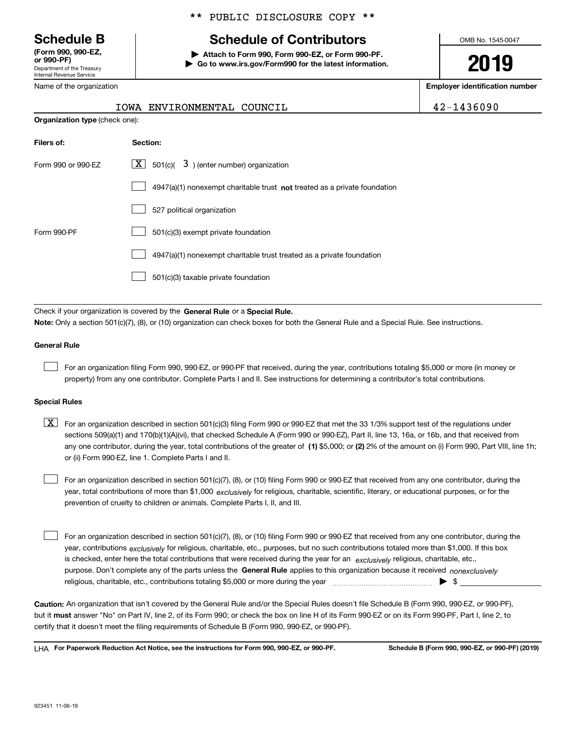Department of the Treasury Internal Revenue Service **(Form 990, 990-EZ, or 990-PF)**

Name of the organization

## \*\* PUBLIC DISCLOSURE COPY \*\*

# **Schedule B Schedule of Contributors**

**| Attach to Form 990, Form 990-EZ, or Form 990-PF. | Go to www.irs.gov/Form990 for the latest information.** OMB No. 1545-0047

**2019**

**Employer identification number**

| IOWA ENVIRONMENTAL COUNCIL | 42-1436090 |
|----------------------------|------------|
|                            |            |

| <b>Organization type (check one):</b> |                                                                             |  |  |  |
|---------------------------------------|-----------------------------------------------------------------------------|--|--|--|
| Filers of:                            | Section:                                                                    |  |  |  |
| Form 990 or 990-EZ                    | $\boxed{\textbf{X}}$ 501(c)( 3) (enter number) organization                 |  |  |  |
|                                       | $4947(a)(1)$ nonexempt charitable trust not treated as a private foundation |  |  |  |
|                                       | 527 political organization                                                  |  |  |  |
| Form 990-PF                           | 501(c)(3) exempt private foundation                                         |  |  |  |
|                                       | 4947(a)(1) nonexempt charitable trust treated as a private foundation       |  |  |  |
|                                       | 501(c)(3) taxable private foundation                                        |  |  |  |
|                                       |                                                                             |  |  |  |

Check if your organization is covered by the **General Rule** or a **Special Rule. Note:**  Only a section 501(c)(7), (8), or (10) organization can check boxes for both the General Rule and a Special Rule. See instructions.

### **General Rule**

 $\mathcal{L}^{\text{max}}$ 

For an organization filing Form 990, 990-EZ, or 990-PF that received, during the year, contributions totaling \$5,000 or more (in money or property) from any one contributor. Complete Parts I and II. See instructions for determining a contributor's total contributions.

#### **Special Rules**

any one contributor, during the year, total contributions of the greater of  $\,$  (1) \$5,000; or **(2)** 2% of the amount on (i) Form 990, Part VIII, line 1h;  $\boxed{\textbf{X}}$  For an organization described in section 501(c)(3) filing Form 990 or 990-EZ that met the 33 1/3% support test of the regulations under sections 509(a)(1) and 170(b)(1)(A)(vi), that checked Schedule A (Form 990 or 990-EZ), Part II, line 13, 16a, or 16b, and that received from or (ii) Form 990-EZ, line 1. Complete Parts I and II.

year, total contributions of more than \$1,000 *exclusively* for religious, charitable, scientific, literary, or educational purposes, or for the For an organization described in section 501(c)(7), (8), or (10) filing Form 990 or 990-EZ that received from any one contributor, during the prevention of cruelty to children or animals. Complete Parts I, II, and III.  $\mathcal{L}^{\text{max}}$ 

purpose. Don't complete any of the parts unless the **General Rule** applies to this organization because it received *nonexclusively* year, contributions <sub>exclusively</sub> for religious, charitable, etc., purposes, but no such contributions totaled more than \$1,000. If this box is checked, enter here the total contributions that were received during the year for an  $\;$ exclusively religious, charitable, etc., For an organization described in section 501(c)(7), (8), or (10) filing Form 990 or 990-EZ that received from any one contributor, during the religious, charitable, etc., contributions totaling \$5,000 or more during the year  $\Box$ — $\Box$   $\Box$  $\mathcal{L}^{\text{max}}$ 

**Caution:**  An organization that isn't covered by the General Rule and/or the Special Rules doesn't file Schedule B (Form 990, 990-EZ, or 990-PF),  **must** but it answer "No" on Part IV, line 2, of its Form 990; or check the box on line H of its Form 990-EZ or on its Form 990-PF, Part I, line 2, to certify that it doesn't meet the filing requirements of Schedule B (Form 990, 990-EZ, or 990-PF).

**For Paperwork Reduction Act Notice, see the instructions for Form 990, 990-EZ, or 990-PF. Schedule B (Form 990, 990-EZ, or 990-PF) (2019)** LHA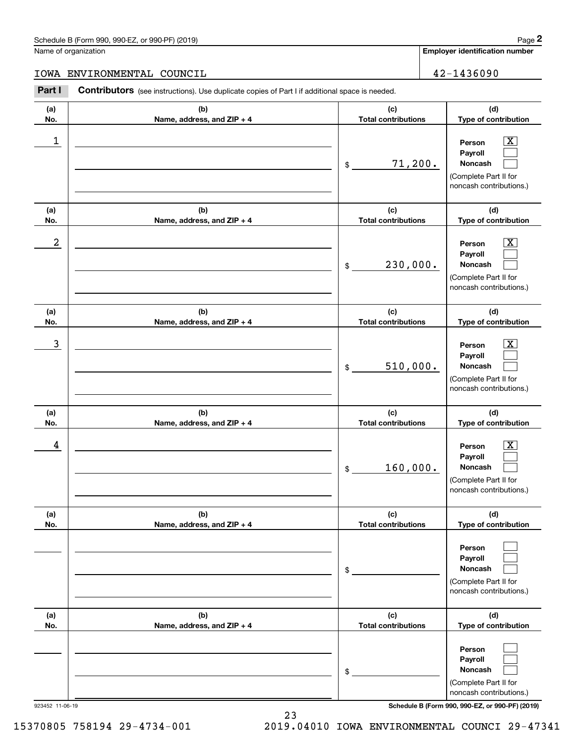#### Schedule B (Form 990, 990-EZ, or 990-PF) (2019) **Page 2** Page 1 and 2011 **Page 2** Page 2 **Page 2** Page 1 and 2011 **Page 2**

Name of organization

**Employer identification number**

#### IOWA ENVIRONMENTAL COUNCIL 42-1436090

**(a)No.(b)Name, address, and ZIP + 4 (c)Total contributions (d)Type of contribution PersonPayrollNoncash (a)No.(b)Name, address, and ZIP + 4 (c)Total contributions (d)Type of contribution PersonPayrollNoncash (a)No.(b)Name, address, and ZIP + 4 (c)Total contributions (d)Type of contribution PersonPayrollNoncash (a) No.(b) Name, address, and ZIP + 4 (c) Total contributions (d) Type of contribution PersonPayrollNoncash (a) No.(b)Name, address, and ZIP + 4 (c) Total contributions (d) Type of contribution PersonPayrollNoncash(a) No.(b)Name, address, and ZIP + 4 (c) Total contributions (d)Type of contribution PersonPayrollNoncash Contributors** (see instructions). Use duplicate copies of Part I if additional space is needed. \$(Complete Part II for noncash contributions.) \$(Complete Part II for noncash contributions.) \$(Complete Part II for noncash contributions.) \$(Complete Part II for noncash contributions.) \$(Complete Part II for noncash contributions.) \$(Complete Part II for noncash contributions.) Employer identification Page 2<br>
Iame of organization<br> **2Part I 2Part I COUNCIL**<br> **2Part I 2Part I Contributors** (see instructions). Use duplicate copies of Part I if additional space is needed.  $|X|$  $\mathcal{L}^{\text{max}}$  $\mathcal{L}^{\text{max}}$  $\boxed{\text{X}}$  $\mathcal{L}^{\text{max}}$  $\mathcal{L}^{\text{max}}$  $|X|$  $\mathcal{L}^{\text{max}}$  $\mathcal{L}^{\text{max}}$  $|X|$  $\mathcal{L}^{\text{max}}$  $\mathcal{L}^{\text{max}}$  $\mathcal{L}^{\text{max}}$  $\mathcal{L}^{\text{max}}$  $\mathcal{L}^{\text{max}}$  $\mathcal{L}^{\text{max}}$  $\mathcal{L}^{\text{max}}$  $\mathcal{L}^{\text{max}}$  $\begin{array}{c|c|c|c|c|c} 1 & \hspace{1.5cm} & \hspace{1.5cm} & \hspace{1.5cm} & \hspace{1.5cm} & \hspace{1.5cm} & \hspace{1.5cm} & \hspace{1.5cm} & \hspace{1.5cm} & \hspace{1.5cm} & \hspace{1.5cm} & \hspace{1.5cm} & \hspace{1.5cm} & \hspace{1.5cm} & \hspace{1.5cm} & \hspace{1.5cm} & \hspace{1.5cm} & \hspace{1.5cm} & \hspace{1.5cm} & \hspace{1.5cm} & \hspace{1.5cm} &$ 71,200.  $2$  | Person  $\overline{\text{X}}$ 230,000.  $\overline{3}$  | Person  $\overline{X}$ 510,000.  $4$  | Person  $\overline{\text{X}}$ 160,000.

923452 11-06-19 **Schedule B (Form 990, 990-EZ, or 990-PF) (2019)**

23 15370805 758194 29-4734-001 2019.04010 IOWA ENVIRONMENTAL COUNCI 29-47341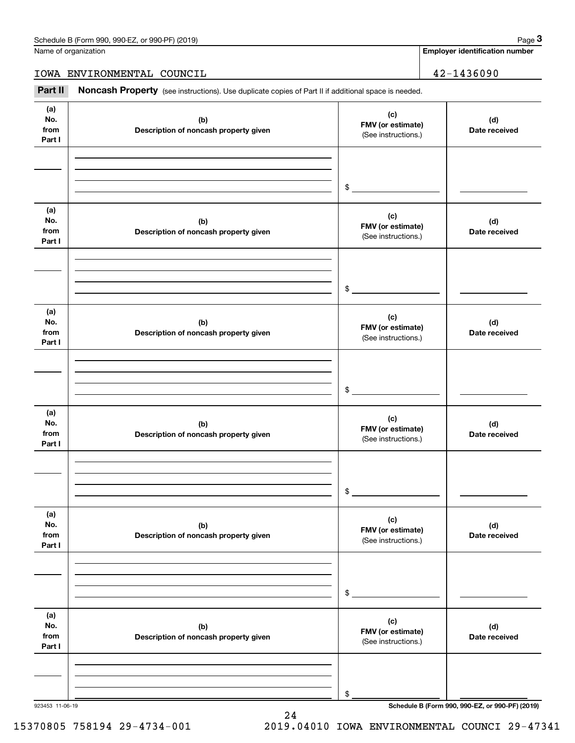**Employer identification number**

IOWA ENVIRONMENTAL COUNCIL 42-1436090

Chedule B (Form 990, 990-EZ, or 990-PF) (2019)<br>
Iame of organization<br> **3Part II is Additional space is needed.**<br> **Part II is Additional space is needed.**<br> **Part II is Additional space is needed.** 

| (a)<br>(c)<br>No.<br>(b)<br>(d)<br>FMV (or estimate)<br>from<br>Description of noncash property given<br>Date received<br>(See instructions.)<br>Part I<br>$\frac{1}{2}$<br>(a)<br>(c)<br>No.<br>(b)<br>(d)<br>FMV (or estimate)<br>from<br>Description of noncash property given<br>Date received<br>(See instructions.)<br>Part I<br>$\mathfrak{S}$<br>(a)<br>(c)<br>No.<br>(b)<br>(d)<br>FMV (or estimate)<br>from<br>Description of noncash property given<br>Date received<br>(See instructions.)<br>Part I<br>$\mathfrak{S}$<br>(a)<br>(c)<br>No.<br>(b)<br>(d)<br>FMV (or estimate)<br>from<br>Description of noncash property given<br>Date received<br>(See instructions.)<br>Part I<br>$\mathsf{\$}$<br>(a)<br>(c)<br>No.<br>(d)<br>(b)<br>FMV (or estimate)<br>from<br>Description of noncash property given<br>Date received<br>(See instructions.)<br>Part I<br>\$<br>(a)<br>(c)<br>No.<br>(b)<br>(d)<br>FMV (or estimate)<br>from<br>Description of noncash property given<br>Date received<br>(See instructions.)<br>Part I |  |    |
|--------------------------------------------------------------------------------------------------------------------------------------------------------------------------------------------------------------------------------------------------------------------------------------------------------------------------------------------------------------------------------------------------------------------------------------------------------------------------------------------------------------------------------------------------------------------------------------------------------------------------------------------------------------------------------------------------------------------------------------------------------------------------------------------------------------------------------------------------------------------------------------------------------------------------------------------------------------------------------------------------------------------------------------------|--|----|
|                                                                                                                                                                                                                                                                                                                                                                                                                                                                                                                                                                                                                                                                                                                                                                                                                                                                                                                                                                                                                                            |  |    |
|                                                                                                                                                                                                                                                                                                                                                                                                                                                                                                                                                                                                                                                                                                                                                                                                                                                                                                                                                                                                                                            |  |    |
|                                                                                                                                                                                                                                                                                                                                                                                                                                                                                                                                                                                                                                                                                                                                                                                                                                                                                                                                                                                                                                            |  |    |
|                                                                                                                                                                                                                                                                                                                                                                                                                                                                                                                                                                                                                                                                                                                                                                                                                                                                                                                                                                                                                                            |  |    |
|                                                                                                                                                                                                                                                                                                                                                                                                                                                                                                                                                                                                                                                                                                                                                                                                                                                                                                                                                                                                                                            |  |    |
|                                                                                                                                                                                                                                                                                                                                                                                                                                                                                                                                                                                                                                                                                                                                                                                                                                                                                                                                                                                                                                            |  |    |
|                                                                                                                                                                                                                                                                                                                                                                                                                                                                                                                                                                                                                                                                                                                                                                                                                                                                                                                                                                                                                                            |  |    |
|                                                                                                                                                                                                                                                                                                                                                                                                                                                                                                                                                                                                                                                                                                                                                                                                                                                                                                                                                                                                                                            |  |    |
|                                                                                                                                                                                                                                                                                                                                                                                                                                                                                                                                                                                                                                                                                                                                                                                                                                                                                                                                                                                                                                            |  |    |
|                                                                                                                                                                                                                                                                                                                                                                                                                                                                                                                                                                                                                                                                                                                                                                                                                                                                                                                                                                                                                                            |  |    |
|                                                                                                                                                                                                                                                                                                                                                                                                                                                                                                                                                                                                                                                                                                                                                                                                                                                                                                                                                                                                                                            |  |    |
| Schedule B (Form 990, 990-EZ, or 990-PF) (2019)<br>923453 11-06-19                                                                                                                                                                                                                                                                                                                                                                                                                                                                                                                                                                                                                                                                                                                                                                                                                                                                                                                                                                         |  | \$ |

24

15370805 758194 29-4734-001 2019.04010 IOWA ENVIRONMENTAL COUNCI 29-47341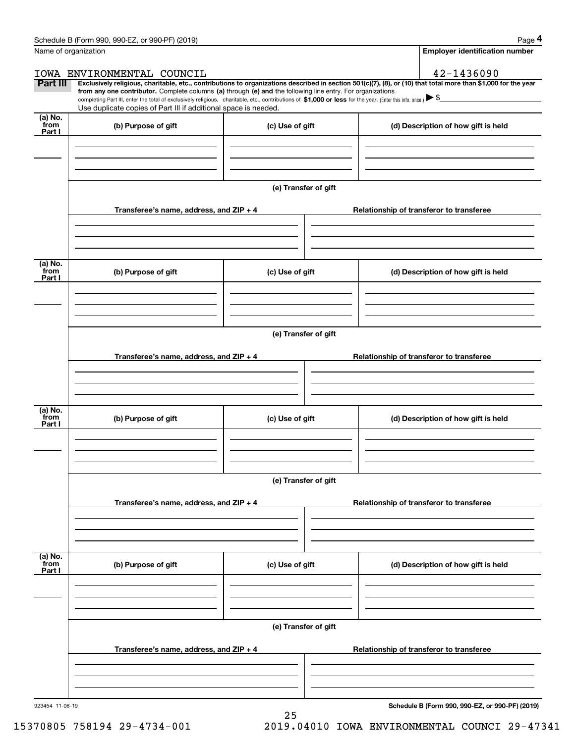|                 | Schedule B (Form 990, 990-EZ, or 990-PF) (2019)                                                                                                                                                                                 |                      |                                          |                                                                                                                                                                | Page 4 |  |  |
|-----------------|---------------------------------------------------------------------------------------------------------------------------------------------------------------------------------------------------------------------------------|----------------------|------------------------------------------|----------------------------------------------------------------------------------------------------------------------------------------------------------------|--------|--|--|
|                 | Name of organization                                                                                                                                                                                                            |                      |                                          | <b>Employer identification number</b>                                                                                                                          |        |  |  |
|                 | IOWA ENVIRONMENTAL COUNCIL                                                                                                                                                                                                      |                      |                                          | 42-1436090                                                                                                                                                     |        |  |  |
| Part III        | from any one contributor. Complete columns (a) through (e) and the following line entry. For organizations                                                                                                                      |                      |                                          | Exclusively religious, charitable, etc., contributions to organizations described in section 501(c)(7), (8), or (10) that total more than \$1,000 for the year |        |  |  |
|                 | completing Part III, enter the total of exclusively religious, charitable, etc., contributions of \$1,000 or less for the year. (Enter this info. once.) \\$<br>Use duplicate copies of Part III if additional space is needed. |                      |                                          |                                                                                                                                                                |        |  |  |
| (a) No.<br>from | (b) Purpose of gift                                                                                                                                                                                                             | (c) Use of gift      |                                          | (d) Description of how gift is held                                                                                                                            |        |  |  |
| Part I          |                                                                                                                                                                                                                                 |                      |                                          |                                                                                                                                                                |        |  |  |
|                 |                                                                                                                                                                                                                                 |                      |                                          |                                                                                                                                                                |        |  |  |
|                 |                                                                                                                                                                                                                                 |                      |                                          |                                                                                                                                                                |        |  |  |
|                 |                                                                                                                                                                                                                                 |                      |                                          |                                                                                                                                                                |        |  |  |
|                 |                                                                                                                                                                                                                                 | (e) Transfer of gift |                                          |                                                                                                                                                                |        |  |  |
|                 | Transferee's name, address, and ZIP + 4                                                                                                                                                                                         |                      |                                          | Relationship of transferor to transferee                                                                                                                       |        |  |  |
|                 |                                                                                                                                                                                                                                 |                      |                                          |                                                                                                                                                                |        |  |  |
|                 |                                                                                                                                                                                                                                 |                      |                                          |                                                                                                                                                                |        |  |  |
|                 |                                                                                                                                                                                                                                 |                      |                                          |                                                                                                                                                                |        |  |  |
| (a) No.         |                                                                                                                                                                                                                                 |                      |                                          |                                                                                                                                                                |        |  |  |
| from<br>Part I  | (b) Purpose of gift                                                                                                                                                                                                             | (c) Use of gift      |                                          | (d) Description of how gift is held                                                                                                                            |        |  |  |
|                 |                                                                                                                                                                                                                                 |                      |                                          |                                                                                                                                                                |        |  |  |
|                 |                                                                                                                                                                                                                                 |                      |                                          |                                                                                                                                                                |        |  |  |
|                 |                                                                                                                                                                                                                                 |                      |                                          |                                                                                                                                                                |        |  |  |
|                 | (e) Transfer of gift                                                                                                                                                                                                            |                      |                                          |                                                                                                                                                                |        |  |  |
|                 |                                                                                                                                                                                                                                 |                      |                                          |                                                                                                                                                                |        |  |  |
|                 | Transferee's name, address, and ZIP + 4                                                                                                                                                                                         |                      |                                          | Relationship of transferor to transferee                                                                                                                       |        |  |  |
|                 |                                                                                                                                                                                                                                 |                      |                                          |                                                                                                                                                                |        |  |  |
|                 |                                                                                                                                                                                                                                 |                      |                                          |                                                                                                                                                                |        |  |  |
| (a) No.         |                                                                                                                                                                                                                                 |                      |                                          |                                                                                                                                                                |        |  |  |
| from<br>Part I  | (b) Purpose of gift                                                                                                                                                                                                             | (c) Use of gift      |                                          | (d) Description of how gift is held                                                                                                                            |        |  |  |
|                 |                                                                                                                                                                                                                                 |                      |                                          |                                                                                                                                                                |        |  |  |
|                 |                                                                                                                                                                                                                                 |                      |                                          |                                                                                                                                                                |        |  |  |
|                 |                                                                                                                                                                                                                                 |                      |                                          |                                                                                                                                                                |        |  |  |
|                 |                                                                                                                                                                                                                                 | (e) Transfer of gift |                                          |                                                                                                                                                                |        |  |  |
|                 |                                                                                                                                                                                                                                 |                      |                                          |                                                                                                                                                                |        |  |  |
|                 | Transferee's name, address, and ZIP + 4                                                                                                                                                                                         |                      |                                          | Relationship of transferor to transferee                                                                                                                       |        |  |  |
|                 |                                                                                                                                                                                                                                 |                      |                                          |                                                                                                                                                                |        |  |  |
|                 |                                                                                                                                                                                                                                 |                      |                                          |                                                                                                                                                                |        |  |  |
|                 |                                                                                                                                                                                                                                 |                      |                                          |                                                                                                                                                                |        |  |  |
| (a) No.<br>from | (b) Purpose of gift                                                                                                                                                                                                             | (c) Use of gift      |                                          | (d) Description of how gift is held                                                                                                                            |        |  |  |
| Part I          |                                                                                                                                                                                                                                 |                      |                                          |                                                                                                                                                                |        |  |  |
|                 |                                                                                                                                                                                                                                 |                      |                                          |                                                                                                                                                                |        |  |  |
|                 |                                                                                                                                                                                                                                 |                      |                                          |                                                                                                                                                                |        |  |  |
|                 |                                                                                                                                                                                                                                 |                      |                                          |                                                                                                                                                                |        |  |  |
|                 |                                                                                                                                                                                                                                 | (e) Transfer of gift |                                          |                                                                                                                                                                |        |  |  |
|                 | Transferee's name, address, and ZIP + 4                                                                                                                                                                                         |                      | Relationship of transferor to transferee |                                                                                                                                                                |        |  |  |
|                 |                                                                                                                                                                                                                                 |                      |                                          |                                                                                                                                                                |        |  |  |
|                 |                                                                                                                                                                                                                                 |                      |                                          |                                                                                                                                                                |        |  |  |
|                 |                                                                                                                                                                                                                                 |                      |                                          |                                                                                                                                                                |        |  |  |

25

923454 11-06-19

**Schedule B (Form 990, 990-EZ, or 990-PF) (2019)**

15370805 758194 29-4734-001 2019.04010 IOWA ENVIRONMENTAL COUNCI 29-47341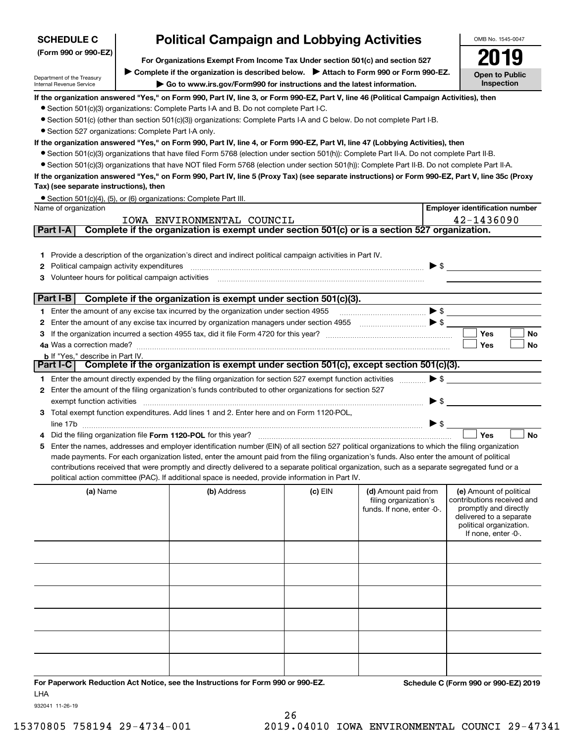| <b>Political Campaign and Lobbying Activities</b><br><b>SCHEDULE C</b><br>(Form 990 or 990-EZ)<br>For Organizations Exempt From Income Tax Under section 501(c) and section 527 |  |                                                                                                                                                  |           | OMB No. 1545-0047                                                           |                          |                                                                                                                                                             |
|---------------------------------------------------------------------------------------------------------------------------------------------------------------------------------|--|--------------------------------------------------------------------------------------------------------------------------------------------------|-----------|-----------------------------------------------------------------------------|--------------------------|-------------------------------------------------------------------------------------------------------------------------------------------------------------|
|                                                                                                                                                                                 |  |                                                                                                                                                  |           |                                                                             |                          |                                                                                                                                                             |
|                                                                                                                                                                                 |  |                                                                                                                                                  |           |                                                                             |                          |                                                                                                                                                             |
| Department of the Treasury                                                                                                                                                      |  | Complete if the organization is described below. Attach to Form 990 or Form 990-EZ.                                                              |           |                                                                             |                          | <b>Open to Public</b><br>Inspection                                                                                                                         |
| Internal Revenue Service                                                                                                                                                        |  | Go to www.irs.gov/Form990 for instructions and the latest information.                                                                           |           |                                                                             |                          |                                                                                                                                                             |
|                                                                                                                                                                                 |  | If the organization answered "Yes," on Form 990, Part IV, line 3, or Form 990-EZ, Part V, line 46 (Political Campaign Activities), then          |           |                                                                             |                          |                                                                                                                                                             |
|                                                                                                                                                                                 |  | • Section 501(c)(3) organizations: Complete Parts I-A and B. Do not complete Part I-C.                                                           |           |                                                                             |                          |                                                                                                                                                             |
| • Section 527 organizations: Complete Part I-A only.                                                                                                                            |  | • Section 501(c) (other than section 501(c)(3)) organizations: Complete Parts I-A and C below. Do not complete Part I-B.                         |           |                                                                             |                          |                                                                                                                                                             |
|                                                                                                                                                                                 |  | If the organization answered "Yes," on Form 990, Part IV, line 4, or Form 990-EZ, Part VI, line 47 (Lobbying Activities), then                   |           |                                                                             |                          |                                                                                                                                                             |
|                                                                                                                                                                                 |  | • Section 501(c)(3) organizations that have filed Form 5768 (election under section 501(h)): Complete Part II-A. Do not complete Part II-B.      |           |                                                                             |                          |                                                                                                                                                             |
|                                                                                                                                                                                 |  | • Section 501(c)(3) organizations that have NOT filed Form 5768 (election under section 501(h)): Complete Part II-B. Do not complete Part II-A.  |           |                                                                             |                          |                                                                                                                                                             |
|                                                                                                                                                                                 |  | If the organization answered "Yes," on Form 990, Part IV, line 5 (Proxy Tax) (see separate instructions) or Form 990-EZ, Part V, line 35c (Proxy |           |                                                                             |                          |                                                                                                                                                             |
| Tax) (see separate instructions), then                                                                                                                                          |  |                                                                                                                                                  |           |                                                                             |                          |                                                                                                                                                             |
|                                                                                                                                                                                 |  | • Section 501(c)(4), (5), or (6) organizations: Complete Part III.                                                                               |           |                                                                             |                          |                                                                                                                                                             |
| Name of organization                                                                                                                                                            |  |                                                                                                                                                  |           |                                                                             |                          | <b>Employer identification number</b>                                                                                                                       |
|                                                                                                                                                                                 |  | IOWA ENVIRONMENTAL COUNCIL                                                                                                                       |           |                                                                             |                          | 42-1436090                                                                                                                                                  |
| Part I-A                                                                                                                                                                        |  | Complete if the organization is exempt under section 501(c) or is a section 527 organization.                                                    |           |                                                                             |                          |                                                                                                                                                             |
|                                                                                                                                                                                 |  |                                                                                                                                                  |           |                                                                             |                          |                                                                                                                                                             |
|                                                                                                                                                                                 |  | 1 Provide a description of the organization's direct and indirect political campaign activities in Part IV.                                      |           |                                                                             |                          |                                                                                                                                                             |
| Political campaign activity expenditures<br>2                                                                                                                                   |  |                                                                                                                                                  |           |                                                                             | $\blacktriangleright$ \$ |                                                                                                                                                             |
| Volunteer hours for political campaign activities<br>З                                                                                                                          |  |                                                                                                                                                  |           |                                                                             |                          |                                                                                                                                                             |
|                                                                                                                                                                                 |  |                                                                                                                                                  |           |                                                                             |                          |                                                                                                                                                             |
| Part I-B                                                                                                                                                                        |  | Complete if the organization is exempt under section 501(c)(3).                                                                                  |           |                                                                             |                          |                                                                                                                                                             |
|                                                                                                                                                                                 |  | 1 Enter the amount of any excise tax incurred by the organization under section 4955                                                             |           |                                                                             | $\blacktriangleright$ \$ |                                                                                                                                                             |
| 2                                                                                                                                                                               |  | Enter the amount of any excise tax incurred by organization managers under section 4955                                                          |           | $\begin{array}{c}\n\bullet \\ \bullet \\ \bullet \\ \bullet\n\end{array}$   |                          |                                                                                                                                                             |
| З                                                                                                                                                                               |  |                                                                                                                                                  |           |                                                                             |                          | Yes<br>No                                                                                                                                                   |
| <b>b</b> If "Yes," describe in Part IV.                                                                                                                                         |  |                                                                                                                                                  |           |                                                                             |                          | Yes<br>No                                                                                                                                                   |
|                                                                                                                                                                                 |  | Part I-C   Complete if the organization is exempt under section 501(c), except section 501(c)(3).                                                |           |                                                                             |                          |                                                                                                                                                             |
|                                                                                                                                                                                 |  | 1 Enter the amount directly expended by the filing organization for section 527 exempt function activities                                       |           |                                                                             | $\blacktriangleright$ \$ |                                                                                                                                                             |
|                                                                                                                                                                                 |  | 2 Enter the amount of the filing organization's funds contributed to other organizations for section 527                                         |           |                                                                             |                          |                                                                                                                                                             |
| exempt function activities                                                                                                                                                      |  |                                                                                                                                                  |           |                                                                             | $\blacktriangleright$ \$ |                                                                                                                                                             |
|                                                                                                                                                                                 |  | 3 Total exempt function expenditures. Add lines 1 and 2. Enter here and on Form 1120-POL,                                                        |           |                                                                             |                          |                                                                                                                                                             |
|                                                                                                                                                                                 |  |                                                                                                                                                  |           |                                                                             | $\blacktriangleright$ \$ |                                                                                                                                                             |
|                                                                                                                                                                                 |  |                                                                                                                                                  |           |                                                                             |                          | Yes<br><b>No</b>                                                                                                                                            |
| 5                                                                                                                                                                               |  | Enter the names, addresses and employer identification number (EIN) of all section 527 political organizations to which the filing organization  |           |                                                                             |                          |                                                                                                                                                             |
|                                                                                                                                                                                 |  | made payments. For each organization listed, enter the amount paid from the filing organization's funds. Also enter the amount of political      |           |                                                                             |                          |                                                                                                                                                             |
|                                                                                                                                                                                 |  | contributions received that were promptly and directly delivered to a separate political organization, such as a separate segregated fund or a   |           |                                                                             |                          |                                                                                                                                                             |
|                                                                                                                                                                                 |  | political action committee (PAC). If additional space is needed, provide information in Part IV.                                                 |           |                                                                             |                          |                                                                                                                                                             |
| (a) Name                                                                                                                                                                        |  | (b) Address                                                                                                                                      | $(c)$ EIN | (d) Amount paid from<br>filing organization's<br>funds. If none, enter -0-. |                          | (e) Amount of political<br>contributions received and<br>promptly and directly<br>delivered to a separate<br>political organization.<br>If none, enter -0-. |
|                                                                                                                                                                                 |  |                                                                                                                                                  |           |                                                                             |                          |                                                                                                                                                             |
|                                                                                                                                                                                 |  |                                                                                                                                                  |           |                                                                             |                          |                                                                                                                                                             |
|                                                                                                                                                                                 |  |                                                                                                                                                  |           |                                                                             |                          |                                                                                                                                                             |
|                                                                                                                                                                                 |  |                                                                                                                                                  |           |                                                                             |                          |                                                                                                                                                             |
|                                                                                                                                                                                 |  |                                                                                                                                                  |           |                                                                             |                          |                                                                                                                                                             |
|                                                                                                                                                                                 |  |                                                                                                                                                  |           |                                                                             |                          |                                                                                                                                                             |

**For Paperwork Reduction Act Notice, see the Instructions for Form 990 or 990-EZ. Schedule C (Form 990 or 990-EZ) 2019** LHA

932041 11-26-19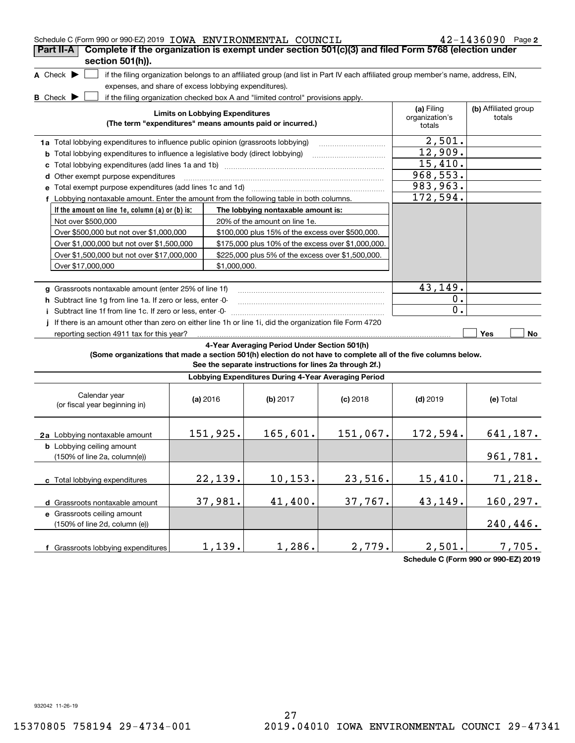| Schedule C (Form 990 or 990-EZ) 2019 IOWA ENVIRONMENTAL COUNCIL                                                                                        |                                        |                                                                                                                                   |            |                                        | $42 - 1436090$ Page 2          |
|--------------------------------------------------------------------------------------------------------------------------------------------------------|----------------------------------------|-----------------------------------------------------------------------------------------------------------------------------------|------------|----------------------------------------|--------------------------------|
| Complete if the organization is exempt under section 501(c)(3) and filed Form 5768 (election under<br>Part II-A                                        |                                        |                                                                                                                                   |            |                                        |                                |
| section 501(h)).                                                                                                                                       |                                        |                                                                                                                                   |            |                                        |                                |
| A Check $\blacktriangleright$                                                                                                                          |                                        | if the filing organization belongs to an affiliated group (and list in Part IV each affiliated group member's name, address, EIN, |            |                                        |                                |
| expenses, and share of excess lobbying expenditures).                                                                                                  |                                        |                                                                                                                                   |            |                                        |                                |
| <b>B</b> Check $\blacktriangleright$                                                                                                                   |                                        | if the filing organization checked box A and "limited control" provisions apply.                                                  |            |                                        |                                |
|                                                                                                                                                        | <b>Limits on Lobbying Expenditures</b> | (The term "expenditures" means amounts paid or incurred.)                                                                         |            | (a) Filing<br>organization's<br>totals | (b) Affiliated group<br>totals |
| 1a Total lobbying expenditures to influence public opinion (grassroots lobbying)                                                                       |                                        |                                                                                                                                   |            | 2,501.                                 |                                |
| <b>b</b> Total lobbying expenditures to influence a legislative body (direct lobbying)                                                                 |                                        |                                                                                                                                   |            | 12,909.                                |                                |
|                                                                                                                                                        |                                        |                                                                                                                                   |            | 15,410.                                |                                |
| d Other exempt purpose expenditures                                                                                                                    |                                        |                                                                                                                                   |            | 968,553.                               |                                |
| e Total exempt purpose expenditures (add lines 1c and 1d)                                                                                              |                                        |                                                                                                                                   |            | 983,963.                               |                                |
| f Lobbying nontaxable amount. Enter the amount from the following table in both columns.                                                               |                                        |                                                                                                                                   |            | 172,594.                               |                                |
|                                                                                                                                                        |                                        |                                                                                                                                   |            |                                        |                                |
| If the amount on line 1e, column (a) or (b) is:<br>Not over \$500,000                                                                                  |                                        | The lobbying nontaxable amount is:                                                                                                |            |                                        |                                |
|                                                                                                                                                        |                                        | 20% of the amount on line 1e.                                                                                                     |            |                                        |                                |
| Over \$500,000 but not over \$1,000,000                                                                                                                |                                        | \$100,000 plus 15% of the excess over \$500,000.                                                                                  |            |                                        |                                |
| Over \$1,000,000 but not over \$1,500,000                                                                                                              |                                        | \$175,000 plus 10% of the excess over \$1,000,000.                                                                                |            |                                        |                                |
| Over \$1,500,000 but not over \$17,000,000                                                                                                             |                                        | \$225,000 plus 5% of the excess over \$1,500,000.                                                                                 |            |                                        |                                |
| Over \$17,000,000                                                                                                                                      |                                        | \$1,000,000.                                                                                                                      |            |                                        |                                |
|                                                                                                                                                        |                                        |                                                                                                                                   |            | 43,149.                                |                                |
| g Grassroots nontaxable amount (enter 25% of line 1f)                                                                                                  |                                        |                                                                                                                                   |            | 0.                                     |                                |
| h Subtract line 1g from line 1a. If zero or less, enter -0-                                                                                            |                                        |                                                                                                                                   |            | о.                                     |                                |
| i Subtract line 1f from line 1c. If zero or less, enter -0-                                                                                            |                                        |                                                                                                                                   |            |                                        |                                |
| j If there is an amount other than zero on either line 1h or line 1i, did the organization file Form 4720<br>reporting section 4911 tax for this year? |                                        |                                                                                                                                   |            |                                        | Yes<br>No                      |
|                                                                                                                                                        |                                        | 4-Year Averaging Period Under Section 501(h)                                                                                      |            |                                        |                                |
|                                                                                                                                                        |                                        | (Some organizations that made a section 501(h) election do not have to complete all of the five columns below.                    |            |                                        |                                |
|                                                                                                                                                        |                                        | See the separate instructions for lines 2a through 2f.)                                                                           |            |                                        |                                |
|                                                                                                                                                        |                                        | Lobbying Expenditures During 4-Year Averaging Period                                                                              |            |                                        |                                |
| Calendar year<br>(or fiscal year beginning in)                                                                                                         | (a) 2016                               | (b) $2017$                                                                                                                        | $(c)$ 2018 | $(d)$ 2019                             | (e) Total                      |
| 2a Lobbying nontaxable amount                                                                                                                          | 151,925.                               | 165,601.                                                                                                                          | 151,067.   | 172,594.                               | 641,187.                       |
| <b>b</b> Lobbying ceiling amount<br>$(150\% \text{ of line } 2a, \text{ column}(e))$                                                                   |                                        |                                                                                                                                   |            |                                        | 961,781.                       |
| c Total lobbying expenditures                                                                                                                          | 22,139.                                | 10, 153.                                                                                                                          | 23,516.    | 15,410.                                | 71,218.                        |
| d Grassroots nontaxable amount                                                                                                                         | 37,981.                                | 41,400.                                                                                                                           | 37,767.    | 43,149.                                | 160, 297.                      |
| e Grassroots ceiling amount                                                                                                                            |                                        |                                                                                                                                   |            |                                        |                                |
| (150% of line 2d, column (e))                                                                                                                          |                                        |                                                                                                                                   |            |                                        | 240,446.                       |
|                                                                                                                                                        |                                        |                                                                                                                                   |            |                                        |                                |
| f Grassroots lobbying expenditures                                                                                                                     | 1,139.                                 | 1,286.                                                                                                                            | 2,779.     | 2,501.                                 | 7,705.                         |

**Schedule C (Form 990 or 990-EZ) 2019**

932042 11-26-19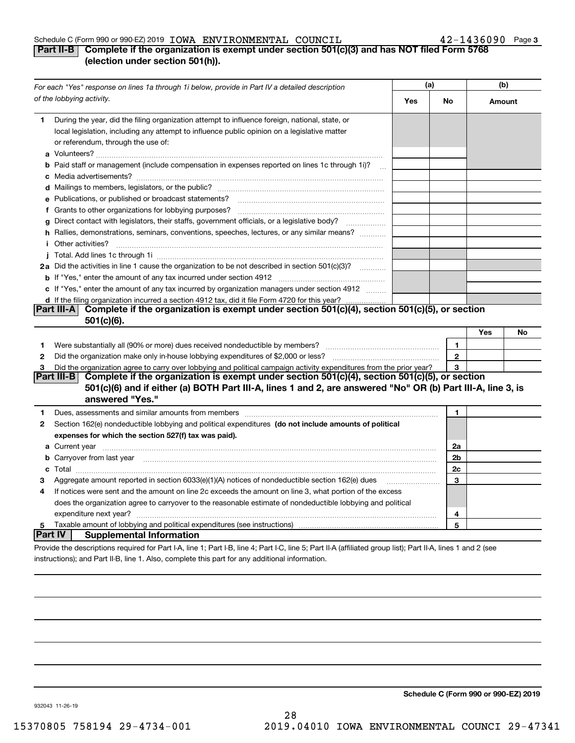### Schedule C (Form 990 or 990-EZ) 2019 Page IOWA ENVIRONMENTAL COUNCIL 42-1436090

# **3**

# **Part II-B Complete if the organization is exempt under section 501(c)(3) and has NOT filed Form 5768 (election under section 501(h)).**

|         | For each "Yes" response on lines 1a through 1i below, provide in Part IV a detailed description                                                                                                                                      | (a) |              | (b)    |    |
|---------|--------------------------------------------------------------------------------------------------------------------------------------------------------------------------------------------------------------------------------------|-----|--------------|--------|----|
|         | of the lobbying activity.                                                                                                                                                                                                            | Yes | No           | Amount |    |
| 1       | During the year, did the filing organization attempt to influence foreign, national, state, or<br>local legislation, including any attempt to influence public opinion on a legislative matter<br>or referendum, through the use of: |     |              |        |    |
|         | <b>b</b> Paid staff or management (include compensation in expenses reported on lines 1c through 1i)?                                                                                                                                |     |              |        |    |
|         |                                                                                                                                                                                                                                      |     |              |        |    |
|         | e Publications, or published or broadcast statements?                                                                                                                                                                                |     |              |        |    |
|         | f Grants to other organizations for lobbying purposes?                                                                                                                                                                               |     |              |        |    |
| a       | Direct contact with legislators, their staffs, government officials, or a legislative body?                                                                                                                                          |     |              |        |    |
|         | h Rallies, demonstrations, seminars, conventions, speeches, lectures, or any similar means?<br><i>i</i> Other activities?                                                                                                            |     |              |        |    |
|         |                                                                                                                                                                                                                                      |     |              |        |    |
|         | 2a Did the activities in line 1 cause the organization to be not described in section 501(c)(3)?                                                                                                                                     |     |              |        |    |
|         |                                                                                                                                                                                                                                      |     |              |        |    |
|         | c If "Yes," enter the amount of any tax incurred by organization managers under section 4912                                                                                                                                         |     |              |        |    |
|         | d If the filing organization incurred a section 4912 tax, did it file Form 4720 for this year?                                                                                                                                       |     |              |        |    |
|         | Complete if the organization is exempt under section 501(c)(4), section 501(c)(5), or section<br> Part III-A<br>$501(c)(6)$ .                                                                                                        |     |              |        |    |
|         |                                                                                                                                                                                                                                      |     |              | Yes    | No |
| 1       |                                                                                                                                                                                                                                      |     | 1            |        |    |
| 2       |                                                                                                                                                                                                                                      |     | $\mathbf{2}$ |        |    |
| 3       | Did the organization agree to carry over lobbying and political campaign activity expenditures from the prior year?                                                                                                                  |     | 3            |        |    |
|         | Complete if the organization is exempt under section 501(c)(4), section 501(c)(5), or section<br> Part III-B                                                                                                                         |     |              |        |    |
|         | 501(c)(6) and if either (a) BOTH Part III-A, lines 1 and 2, are answered "No" OR (b) Part III-A, line 3, is                                                                                                                          |     |              |        |    |
|         | answered "Yes."                                                                                                                                                                                                                      |     |              |        |    |
| 1       | Dues, assessments and similar amounts from members [111] www.communicallyness.communicallyness.communicallyness.communicallyness.communicallyness.communicallyness.communicallyness.communicallyness.communicallyness.communic       |     | 1            |        |    |
| 2       | Section 162(e) nondeductible lobbying and political expenditures (do not include amounts of political                                                                                                                                |     |              |        |    |
|         | expenses for which the section 527(f) tax was paid).                                                                                                                                                                                 |     |              |        |    |
|         | a Current year <b>contract and the contract of the contract of the contract of the contract of the contract of the contract of the contract of the contract of the contract of the contract of the contract of the contract of t</b> |     | 2a           |        |    |
|         | <b>b</b> Carryover from last year manufactured and content to content the content of the content of the content of the content of the content of the content of the content of the content of the content of the content of the con  |     | 2b           |        |    |
|         |                                                                                                                                                                                                                                      |     | 2c           |        |    |
| з       | Aggregate amount reported in section $6033(e)(1)(A)$ notices of nondeductible section $162(e)$ dues                                                                                                                                  |     | 3            |        |    |
| 4       | If notices were sent and the amount on line 2c exceeds the amount on line 3, what portion of the excess                                                                                                                              |     |              |        |    |
|         | does the organization agree to carryover to the reasonable estimate of nondeductible lobbying and political                                                                                                                          |     |              |        |    |
|         |                                                                                                                                                                                                                                      |     | 4            |        |    |
| 5       | Taxable amount of lobbying and political expenditures (see instructions)                                                                                                                                                             |     | 5            |        |    |
| Part IV | <b>Supplemental Information</b>                                                                                                                                                                                                      |     |              |        |    |
|         | Provide the descriptions required for Part I-A, line 1; Part I-B, line 4; Part I-C, line 5; Part II-A (affiliated group list); Part II-A, lines 1 and 2 (see                                                                         |     |              |        |    |
|         | instructions); and Part II-B, line 1, Also, complete this part for any additional information.                                                                                                                                       |     |              |        |    |

**Schedule C (Form 990 or 990-EZ) 2019**

932043 11-26-19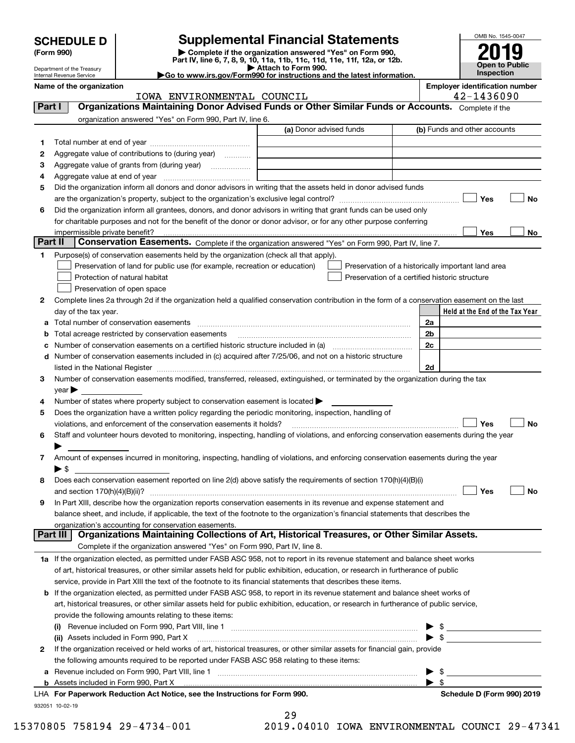| <b>SCHEDULE D</b> |  |
|-------------------|--|
|-------------------|--|

| (Form 990) |  |  |
|------------|--|--|
|------------|--|--|

# **SCHEDULE D Supplemental Financial Statements**

(Form 990)<br>
Pepartment of the Treasury<br>
Department of the Treasury<br>
Department of the Treasury<br>
Department of the Treasury<br> **Co to www.irs.gov/Form990 for instructions and the latest information.**<br> **Co to www.irs.gov/Form9** 



Department of the Treasury Internal Revenue Service

|  | Go to www.irs.gov/Form990 for instructions and the latest informat |  |  |  |
|--|--------------------------------------------------------------------|--|--|--|

**Name of the organization Employer identification number**

|         | IOWA ENVIRONMENTAL COUNCIL                                                                                                                                                                                                                                                                                                                                        |                         |                                                | 42-1436090                                         |
|---------|-------------------------------------------------------------------------------------------------------------------------------------------------------------------------------------------------------------------------------------------------------------------------------------------------------------------------------------------------------------------|-------------------------|------------------------------------------------|----------------------------------------------------|
| Part I  | Organizations Maintaining Donor Advised Funds or Other Similar Funds or Accounts. Complete if the                                                                                                                                                                                                                                                                 |                         |                                                |                                                    |
|         | organization answered "Yes" on Form 990, Part IV, line 6.                                                                                                                                                                                                                                                                                                         |                         |                                                |                                                    |
|         |                                                                                                                                                                                                                                                                                                                                                                   | (a) Donor advised funds |                                                | (b) Funds and other accounts                       |
| 1       |                                                                                                                                                                                                                                                                                                                                                                   |                         |                                                |                                                    |
| 2       | Aggregate value of contributions to (during year)                                                                                                                                                                                                                                                                                                                 |                         |                                                |                                                    |
| з       | Aggregate value of grants from (during year)                                                                                                                                                                                                                                                                                                                      |                         |                                                |                                                    |
| 4       |                                                                                                                                                                                                                                                                                                                                                                   |                         |                                                |                                                    |
| 5       | Did the organization inform all donors and donor advisors in writing that the assets held in donor advised funds                                                                                                                                                                                                                                                  |                         |                                                |                                                    |
|         |                                                                                                                                                                                                                                                                                                                                                                   |                         |                                                | Yes<br>No                                          |
| 6       | Did the organization inform all grantees, donors, and donor advisors in writing that grant funds can be used only                                                                                                                                                                                                                                                 |                         |                                                |                                                    |
|         | for charitable purposes and not for the benefit of the donor or donor advisor, or for any other purpose conferring                                                                                                                                                                                                                                                |                         |                                                |                                                    |
|         | impermissible private benefit?                                                                                                                                                                                                                                                                                                                                    |                         |                                                | Yes<br>No                                          |
| Part II | Conservation Easements. Complete if the organization answered "Yes" on Form 990, Part IV, line 7.                                                                                                                                                                                                                                                                 |                         |                                                |                                                    |
| 1       | Purpose(s) of conservation easements held by the organization (check all that apply).                                                                                                                                                                                                                                                                             |                         |                                                |                                                    |
|         | Preservation of land for public use (for example, recreation or education)                                                                                                                                                                                                                                                                                        |                         |                                                | Preservation of a historically important land area |
|         | Protection of natural habitat                                                                                                                                                                                                                                                                                                                                     |                         | Preservation of a certified historic structure |                                                    |
|         | Preservation of open space                                                                                                                                                                                                                                                                                                                                        |                         |                                                |                                                    |
| 2       | Complete lines 2a through 2d if the organization held a qualified conservation contribution in the form of a conservation easement on the last                                                                                                                                                                                                                    |                         |                                                |                                                    |
|         | day of the tax year.                                                                                                                                                                                                                                                                                                                                              |                         |                                                | Held at the End of the Tax Year                    |
| а       |                                                                                                                                                                                                                                                                                                                                                                   |                         |                                                | 2a                                                 |
| b       | Total acreage restricted by conservation easements                                                                                                                                                                                                                                                                                                                |                         |                                                | 2 <sub>b</sub>                                     |
| c       |                                                                                                                                                                                                                                                                                                                                                                   |                         |                                                | 2c                                                 |
|         | d Number of conservation easements included in (c) acquired after 7/25/06, and not on a historic structure                                                                                                                                                                                                                                                        |                         |                                                |                                                    |
|         |                                                                                                                                                                                                                                                                                                                                                                   |                         |                                                | 2d                                                 |
|         | listed in the National Register [111] Marshall Register [11] Marshall Register [11] Marshall Register [11] Marshall Register [11] Marshall Register [11] Marshall Register [11] Marshall Register [11] Marshall Register [11]<br>Number of conservation easements modified, transferred, released, extinguished, or terminated by the organization during the tax |                         |                                                |                                                    |
| З.      |                                                                                                                                                                                                                                                                                                                                                                   |                         |                                                |                                                    |
|         | $year \blacktriangleright$                                                                                                                                                                                                                                                                                                                                        |                         |                                                |                                                    |
| 4       | Number of states where property subject to conservation easement is located >                                                                                                                                                                                                                                                                                     |                         |                                                |                                                    |
| 5       | Does the organization have a written policy regarding the periodic monitoring, inspection, handling of                                                                                                                                                                                                                                                            |                         |                                                |                                                    |
|         | violations, and enforcement of the conservation easements it holds?                                                                                                                                                                                                                                                                                               |                         |                                                | Yes<br><b>No</b>                                   |
| 6       | Staff and volunteer hours devoted to monitoring, inspecting, handling of violations, and enforcing conservation easements during the year                                                                                                                                                                                                                         |                         |                                                |                                                    |
|         |                                                                                                                                                                                                                                                                                                                                                                   |                         |                                                |                                                    |
| 7       | Amount of expenses incurred in monitoring, inspecting, handling of violations, and enforcing conservation easements during the year                                                                                                                                                                                                                               |                         |                                                |                                                    |
|         | $\blacktriangleright$ \$                                                                                                                                                                                                                                                                                                                                          |                         |                                                |                                                    |
| 8       | Does each conservation easement reported on line 2(d) above satisfy the requirements of section 170(h)(4)(B)(i)                                                                                                                                                                                                                                                   |                         |                                                |                                                    |
|         |                                                                                                                                                                                                                                                                                                                                                                   |                         |                                                | Yes<br>No                                          |
| 9       | In Part XIII, describe how the organization reports conservation easements in its revenue and expense statement and                                                                                                                                                                                                                                               |                         |                                                |                                                    |
|         | balance sheet, and include, if applicable, the text of the footnote to the organization's financial statements that describes the                                                                                                                                                                                                                                 |                         |                                                |                                                    |
|         | organization's accounting for conservation easements.<br>Organizations Maintaining Collections of Art, Historical Treasures, or Other Similar Assets.<br>Part III                                                                                                                                                                                                 |                         |                                                |                                                    |
|         | Complete if the organization answered "Yes" on Form 990, Part IV, line 8.                                                                                                                                                                                                                                                                                         |                         |                                                |                                                    |
|         |                                                                                                                                                                                                                                                                                                                                                                   |                         |                                                |                                                    |
|         | 1a If the organization elected, as permitted under FASB ASC 958, not to report in its revenue statement and balance sheet works                                                                                                                                                                                                                                   |                         |                                                |                                                    |
|         | of art, historical treasures, or other similar assets held for public exhibition, education, or research in furtherance of public                                                                                                                                                                                                                                 |                         |                                                |                                                    |
|         | service, provide in Part XIII the text of the footnote to its financial statements that describes these items.                                                                                                                                                                                                                                                    |                         |                                                |                                                    |
| b       | If the organization elected, as permitted under FASB ASC 958, to report in its revenue statement and balance sheet works of                                                                                                                                                                                                                                       |                         |                                                |                                                    |
|         | art, historical treasures, or other similar assets held for public exhibition, education, or research in furtherance of public service,                                                                                                                                                                                                                           |                         |                                                |                                                    |
|         | provide the following amounts relating to these items:                                                                                                                                                                                                                                                                                                            |                         |                                                |                                                    |
|         |                                                                                                                                                                                                                                                                                                                                                                   |                         |                                                | \$                                                 |
|         | (ii) Assets included in Form 990, Part X                                                                                                                                                                                                                                                                                                                          |                         |                                                | $\blacktriangleright$ \$                           |
| 2       | If the organization received or held works of art, historical treasures, or other similar assets for financial gain, provide                                                                                                                                                                                                                                      |                         |                                                |                                                    |
|         | the following amounts required to be reported under FASB ASC 958 relating to these items:                                                                                                                                                                                                                                                                         |                         |                                                |                                                    |
| а       |                                                                                                                                                                                                                                                                                                                                                                   |                         |                                                | -\$<br>▶                                           |
|         |                                                                                                                                                                                                                                                                                                                                                                   |                         |                                                | $\blacktriangleright$ \$                           |
|         | LHA For Paperwork Reduction Act Notice, see the Instructions for Form 990.                                                                                                                                                                                                                                                                                        |                         |                                                | Schedule D (Form 990) 2019                         |

932051 10-02-19

29

15370805 758194 29-4734-001 2019.04010 IOWA ENVIRONMENTAL COUNCI 29-47341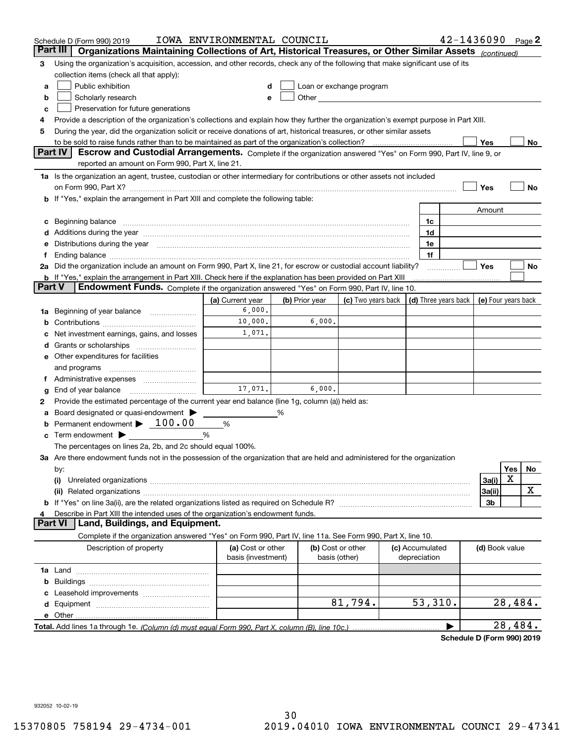|        | Schedule D (Form 990) 2019                                                                                                                                                                                                     | IOWA ENVIRONMENTAL COUNCIL              |                |                                    |                                                                                                                                                                                                                               |                                 | 42-1436090           |                     |         | Page $2$ |
|--------|--------------------------------------------------------------------------------------------------------------------------------------------------------------------------------------------------------------------------------|-----------------------------------------|----------------|------------------------------------|-------------------------------------------------------------------------------------------------------------------------------------------------------------------------------------------------------------------------------|---------------------------------|----------------------|---------------------|---------|----------|
|        | Part III<br>Organizations Maintaining Collections of Art, Historical Treasures, or Other Similar Assets (continued)                                                                                                            |                                         |                |                                    |                                                                                                                                                                                                                               |                                 |                      |                     |         |          |
| 3      | Using the organization's acquisition, accession, and other records, check any of the following that make significant use of its                                                                                                |                                         |                |                                    |                                                                                                                                                                                                                               |                                 |                      |                     |         |          |
|        | collection items (check all that apply):                                                                                                                                                                                       |                                         |                |                                    |                                                                                                                                                                                                                               |                                 |                      |                     |         |          |
| a      | Public exhibition                                                                                                                                                                                                              |                                         |                |                                    | Loan or exchange program                                                                                                                                                                                                      |                                 |                      |                     |         |          |
| b      | Scholarly research                                                                                                                                                                                                             |                                         |                |                                    | Other and the contract of the contract of the contract of the contract of the contract of the contract of the contract of the contract of the contract of the contract of the contract of the contract of the contract of the |                                 |                      |                     |         |          |
| с      | Preservation for future generations                                                                                                                                                                                            |                                         |                |                                    |                                                                                                                                                                                                                               |                                 |                      |                     |         |          |
| 4      | Provide a description of the organization's collections and explain how they further the organization's exempt purpose in Part XIII.                                                                                           |                                         |                |                                    |                                                                                                                                                                                                                               |                                 |                      |                     |         |          |
| 5      | During the year, did the organization solicit or receive donations of art, historical treasures, or other similar assets                                                                                                       |                                         |                |                                    |                                                                                                                                                                                                                               |                                 |                      |                     |         |          |
|        | to be sold to raise funds rather than to be maintained as part of the organization's collection?                                                                                                                               |                                         |                |                                    |                                                                                                                                                                                                                               |                                 |                      | Yes                 |         | No       |
|        | <b>Part IV</b><br>Escrow and Custodial Arrangements. Complete if the organization answered "Yes" on Form 990, Part IV, line 9, or                                                                                              |                                         |                |                                    |                                                                                                                                                                                                                               |                                 |                      |                     |         |          |
|        | reported an amount on Form 990, Part X, line 21.                                                                                                                                                                               |                                         |                |                                    |                                                                                                                                                                                                                               |                                 |                      |                     |         |          |
|        | 1a Is the organization an agent, trustee, custodian or other intermediary for contributions or other assets not included                                                                                                       |                                         |                |                                    |                                                                                                                                                                                                                               |                                 |                      |                     |         |          |
|        | on Form 990, Part X? [11] matter and the contract of the contract of the contract of the contract of the contract of the contract of the contract of the contract of the contract of the contract of the contract of the contr |                                         |                |                                    |                                                                                                                                                                                                                               |                                 |                      | Yes                 |         | No       |
|        | b If "Yes," explain the arrangement in Part XIII and complete the following table:                                                                                                                                             |                                         |                |                                    |                                                                                                                                                                                                                               |                                 |                      |                     |         |          |
|        |                                                                                                                                                                                                                                |                                         |                |                                    |                                                                                                                                                                                                                               |                                 |                      | Amount              |         |          |
| c      | Beginning balance material content contracts and all the content of the content of the content of the content of the content of the content of the content of the content of the content of the content of the content of the  |                                         |                |                                    |                                                                                                                                                                                                                               | 1c                              |                      |                     |         |          |
|        | Additions during the year manufactured and an according to the year manufactured and according the year manufactured and according the year manufactured and according the year manufactured and according the year manufactur |                                         |                |                                    |                                                                                                                                                                                                                               | 1d                              |                      |                     |         |          |
|        | Distributions during the year manufactured and an account of the state of the state of the state of the state o                                                                                                                |                                         |                |                                    |                                                                                                                                                                                                                               | 1e                              |                      |                     |         |          |
| Ť.,    | Ending balance manufactured and contact the contract of the contract of the contract of the contract of the contract of the contract of the contract of the contract of the contract of the contract of the contract of the co |                                         |                |                                    |                                                                                                                                                                                                                               | 1f                              |                      |                     |         |          |
|        | 2a Did the organization include an amount on Form 990, Part X, line 21, for escrow or custodial account liability?                                                                                                             |                                         |                |                                    |                                                                                                                                                                                                                               |                                 |                      | Yes                 |         | No       |
| Part V | <b>b</b> If "Yes," explain the arrangement in Part XIII. Check here if the explanation has been provided on Part XIII                                                                                                          |                                         |                |                                    |                                                                                                                                                                                                                               |                                 |                      |                     |         |          |
|        | Endowment Funds. Complete if the organization answered "Yes" on Form 990, Part IV, line 10.                                                                                                                                    |                                         |                |                                    |                                                                                                                                                                                                                               |                                 |                      |                     |         |          |
|        |                                                                                                                                                                                                                                | (a) Current year                        | (b) Prior year |                                    | (c) Two years back                                                                                                                                                                                                            |                                 | (d) Three years back | (e) Four years back |         |          |
| 1a     | Beginning of year balance                                                                                                                                                                                                      | 6,000.<br>10,000.                       |                | 6,000.                             |                                                                                                                                                                                                                               |                                 |                      |                     |         |          |
|        |                                                                                                                                                                                                                                | 1,071.                                  |                |                                    |                                                                                                                                                                                                                               |                                 |                      |                     |         |          |
|        | Net investment earnings, gains, and losses                                                                                                                                                                                     |                                         |                |                                    |                                                                                                                                                                                                                               |                                 |                      |                     |         |          |
| d      |                                                                                                                                                                                                                                |                                         |                |                                    |                                                                                                                                                                                                                               |                                 |                      |                     |         |          |
|        | e Other expenditures for facilities                                                                                                                                                                                            |                                         |                |                                    |                                                                                                                                                                                                                               |                                 |                      |                     |         |          |
|        | and programs                                                                                                                                                                                                                   |                                         |                |                                    |                                                                                                                                                                                                                               |                                 |                      |                     |         |          |
|        | f Administrative expenses<br>End of year balance                                                                                                                                                                               | 17,071.                                 |                | 6,000.                             |                                                                                                                                                                                                                               |                                 |                      |                     |         |          |
| g<br>2 | Provide the estimated percentage of the current year end balance (line 1g, column (a)) held as:                                                                                                                                |                                         |                |                                    |                                                                                                                                                                                                                               |                                 |                      |                     |         |          |
| а      | Board designated or quasi-endowment                                                                                                                                                                                            |                                         | %              |                                    |                                                                                                                                                                                                                               |                                 |                      |                     |         |          |
|        | Permanent endowment > 100.00                                                                                                                                                                                                   | %                                       |                |                                    |                                                                                                                                                                                                                               |                                 |                      |                     |         |          |
|        | Term endowment $\blacktriangleright$                                                                                                                                                                                           | %                                       |                |                                    |                                                                                                                                                                                                                               |                                 |                      |                     |         |          |
|        | The percentages on lines 2a, 2b, and 2c should equal 100%.                                                                                                                                                                     |                                         |                |                                    |                                                                                                                                                                                                                               |                                 |                      |                     |         |          |
|        | 3a Are there endowment funds not in the possession of the organization that are held and administered for the organization                                                                                                     |                                         |                |                                    |                                                                                                                                                                                                                               |                                 |                      |                     |         |          |
|        | by:                                                                                                                                                                                                                            |                                         |                |                                    |                                                                                                                                                                                                                               |                                 |                      |                     | Yes     | No       |
|        | (i)                                                                                                                                                                                                                            |                                         |                |                                    |                                                                                                                                                                                                                               |                                 |                      | 3a(i)               | х       |          |
|        |                                                                                                                                                                                                                                |                                         |                |                                    |                                                                                                                                                                                                                               |                                 |                      | 3a(ii)              |         | х        |
|        |                                                                                                                                                                                                                                |                                         |                |                                    |                                                                                                                                                                                                                               |                                 |                      | 3b                  |         |          |
| 4      | Describe in Part XIII the intended uses of the organization's endowment funds.                                                                                                                                                 |                                         |                |                                    |                                                                                                                                                                                                                               |                                 |                      |                     |         |          |
|        | Land, Buildings, and Equipment.<br>Part VI                                                                                                                                                                                     |                                         |                |                                    |                                                                                                                                                                                                                               |                                 |                      |                     |         |          |
|        | Complete if the organization answered "Yes" on Form 990, Part IV, line 11a. See Form 990, Part X, line 10.                                                                                                                     |                                         |                |                                    |                                                                                                                                                                                                                               |                                 |                      |                     |         |          |
|        | Description of property                                                                                                                                                                                                        | (a) Cost or other<br>basis (investment) |                | (b) Cost or other<br>basis (other) |                                                                                                                                                                                                                               | (c) Accumulated<br>depreciation |                      | (d) Book value      |         |          |
|        |                                                                                                                                                                                                                                |                                         |                |                                    |                                                                                                                                                                                                                               |                                 |                      |                     |         |          |
| b      |                                                                                                                                                                                                                                |                                         |                |                                    |                                                                                                                                                                                                                               |                                 |                      |                     |         |          |
|        |                                                                                                                                                                                                                                |                                         |                |                                    |                                                                                                                                                                                                                               |                                 |                      |                     |         |          |
|        |                                                                                                                                                                                                                                |                                         |                |                                    | 81,794.                                                                                                                                                                                                                       | 53,310.                         |                      |                     | 28,484. |          |
|        |                                                                                                                                                                                                                                |                                         |                |                                    |                                                                                                                                                                                                                               |                                 |                      |                     |         |          |
|        |                                                                                                                                                                                                                                |                                         |                |                                    |                                                                                                                                                                                                                               |                                 |                      |                     | 28,484. |          |
|        |                                                                                                                                                                                                                                |                                         |                |                                    |                                                                                                                                                                                                                               |                                 |                      |                     |         |          |

**Schedule D (Form 990) 2019**

932052 10-02-19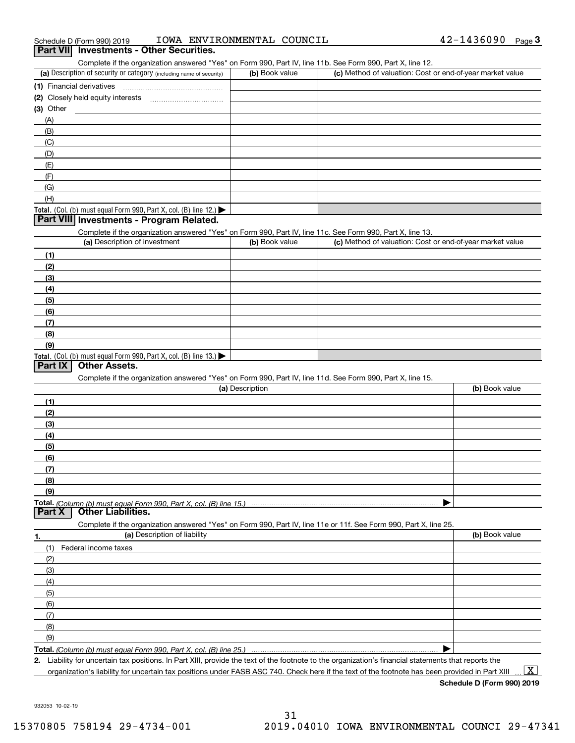| Schedule D (Form 990) 2019 |  | IOWA ENVIRONMENTAL COUNCIL |  | 42-1436090 | Page |  |
|----------------------------|--|----------------------------|--|------------|------|--|
|----------------------------|--|----------------------------|--|------------|------|--|

#### **Part VII Investments - Other Securities.**

Complete if the organization answered "Yes" on Form 990, Part IV, line 11b. See Form 990, Part X, line 12.

| (a) Description of security or category (including name of security)                   | (b) Book value | (c) Method of valuation: Cost or end-of-year market value |
|----------------------------------------------------------------------------------------|----------------|-----------------------------------------------------------|
| (1) Financial derivatives                                                              |                |                                                           |
| (2) Closely held equity interests                                                      |                |                                                           |
| (3) Other                                                                              |                |                                                           |
| (A)                                                                                    |                |                                                           |
| (B)                                                                                    |                |                                                           |
| (C)                                                                                    |                |                                                           |
| (D)                                                                                    |                |                                                           |
| (E)                                                                                    |                |                                                           |
| (F)                                                                                    |                |                                                           |
| (G)                                                                                    |                |                                                           |
| (H)                                                                                    |                |                                                           |
| Total. (Col. (b) must equal Form 990, Part X, col. (B) line 12.) $\blacktriangleright$ |                |                                                           |

### **Part VIII Investments - Program Related.**

Complete if the organization answered "Yes" on Form 990, Part IV, line 11c. See Form 990, Part X, line 13.

| (a) Description of investment                                       | (b) Book value | (c) Method of valuation: Cost or end-of-year market value |
|---------------------------------------------------------------------|----------------|-----------------------------------------------------------|
| (1)                                                                 |                |                                                           |
| (2)                                                                 |                |                                                           |
| $\frac{1}{2}$                                                       |                |                                                           |
| (4)                                                                 |                |                                                           |
| $\left(5\right)$                                                    |                |                                                           |
| (6)                                                                 |                |                                                           |
| (7)                                                                 |                |                                                           |
| (8)                                                                 |                |                                                           |
| (9)                                                                 |                |                                                           |
| Total. (Col. (b) must equal Form 990, Part X, col. (B) line $13.$ ) |                |                                                           |

### **Part IX Other Assets.**

Complete if the organization answered "Yes" on Form 990, Part IV, line 11d. See Form 990, Part X, line 15.

| (a) Description                                                                                                   | (b) Book value |
|-------------------------------------------------------------------------------------------------------------------|----------------|
| (1)                                                                                                               |                |
| (2)                                                                                                               |                |
| (3)                                                                                                               |                |
| (4)                                                                                                               |                |
| $\frac{1}{2}$ (5)                                                                                                 |                |
| (6)                                                                                                               |                |
| (7)                                                                                                               |                |
| (8)                                                                                                               |                |
| (9)                                                                                                               |                |
|                                                                                                                   |                |
| <b>Part X</b> Other Liabilities.                                                                                  |                |
| Complete if the organization answered "Yes" on Form 990, Part IV, line 11e or 11f. See Form 990, Part X, line 25, |                |

**1. (a)** Description of liability **Book value** Book value Book value Book value Book value **Total.**  *(Column (b) must equal Form 990, Part X, col. (B) line 25.)* (1)Federal income taxes (2)(3)(4)(5) (6)(7)(8)(9) $\blacktriangleright$ 

**2.**Liability for uncertain tax positions. In Part XIII, provide the text of the footnote to the organization's financial statements that reports the organization's liability for uncertain tax positions under FASB ASC 740. Check here if the text of the footnote has been provided in Part XIII  $\boxed{\text{X}}$ 

**Schedule D (Form 990) 2019**

932053 10-02-19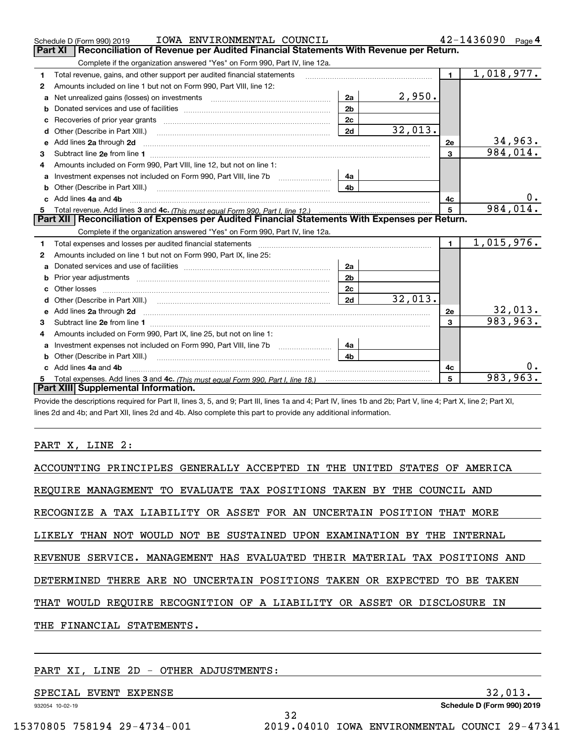|    | IOWA ENVIRONMENTAL COUNCIL<br>Schedule D (Form 990) 2019                                                                                                                                                                            |                |         |                | 42-1436090<br>Page 4 |
|----|-------------------------------------------------------------------------------------------------------------------------------------------------------------------------------------------------------------------------------------|----------------|---------|----------------|----------------------|
|    | Reconciliation of Revenue per Audited Financial Statements With Revenue per Return.<br>Part XI                                                                                                                                      |                |         |                |                      |
|    | Complete if the organization answered "Yes" on Form 990, Part IV, line 12a.                                                                                                                                                         |                |         |                |                      |
| 1  | Total revenue, gains, and other support per audited financial statements                                                                                                                                                            |                |         | $\blacksquare$ | 1,018,977.           |
| 2  | Amounts included on line 1 but not on Form 990, Part VIII, line 12:                                                                                                                                                                 |                |         |                |                      |
| a  | Net unrealized gains (losses) on investments [11] matter contracts and the unrealized gains (losses) on investments                                                                                                                 | 2a             | 2,950.  |                |                      |
| b  |                                                                                                                                                                                                                                     | 2 <sub>b</sub> |         |                |                      |
|    |                                                                                                                                                                                                                                     | 2c             |         |                |                      |
| d  | Other (Describe in Part XIII.) <b>Construction Construction</b> Chern Construction Chern Chern Chern Chern Chern Chern                                                                                                              | 2d             | 32,013. |                |                      |
| е  | Add lines 2a through 2d                                                                                                                                                                                                             |                |         | 2e             | <u>34,963.</u>       |
| 3  |                                                                                                                                                                                                                                     |                |         | $\mathbf{3}$   | 984,014.             |
| 4  | Amounts included on Form 990, Part VIII, line 12, but not on line 1:                                                                                                                                                                |                |         |                |                      |
|    |                                                                                                                                                                                                                                     | 4a             |         |                |                      |
| b  |                                                                                                                                                                                                                                     | 4 <sub>b</sub> |         |                |                      |
| c. | Add lines 4a and 4b                                                                                                                                                                                                                 |                |         | 4c             |                      |
|    |                                                                                                                                                                                                                                     |                |         | 5              |                      |
|    |                                                                                                                                                                                                                                     |                |         |                | 984,014.             |
|    | Part XII   Reconciliation of Expenses per Audited Financial Statements With Expenses per Return.                                                                                                                                    |                |         |                |                      |
|    | Complete if the organization answered "Yes" on Form 990, Part IV, line 12a.                                                                                                                                                         |                |         |                |                      |
| 1  | Total expenses and losses per audited financial statements [11] [12] contraction control of the statements [11] [12] and the statements [12] and the statements [12] and the statements [12] and the statements and the statem      |                |         | $\blacksquare$ | 1,015,976.           |
| 2  | Amounts included on line 1 but not on Form 990, Part IX, line 25:                                                                                                                                                                   |                |         |                |                      |
| a  |                                                                                                                                                                                                                                     | 2a             |         |                |                      |
| b  |                                                                                                                                                                                                                                     | 2 <sub>b</sub> |         |                |                      |
| с  |                                                                                                                                                                                                                                     | 2c             |         |                |                      |
| d  | Other (Describe in Part XIII.) (2000) (2000) (2000) (2010) (2010) (2010) (2010) (2010) (2010) (2010) (2010) (20                                                                                                                     | 2d             | 32,013. |                |                      |
| е  | Add lines 2a through 2d <b>contained a contained a contained a contained a</b> contained a contact the state of the state of the state of the state of the state of the state of the state of the state of the state of the state o |                |         | <b>2e</b>      | <u>32,013.</u>       |
| 3  |                                                                                                                                                                                                                                     |                |         | 3              | 983,963.             |
| 4  | Amounts included on Form 990, Part IX, line 25, but not on line 1:                                                                                                                                                                  |                |         |                |                      |
| a  |                                                                                                                                                                                                                                     | 4а             |         |                |                      |
| b  | Other (Describe in Part XIII.)                                                                                                                                                                                                      | 4 <sub>b</sub> |         |                |                      |
| c. | Add lines 4a and 4b                                                                                                                                                                                                                 |                |         | 4с             |                      |
|    | Part XIII Supplemental Information.                                                                                                                                                                                                 |                |         | 5              | 983,963.             |

Provide the descriptions required for Part II, lines 3, 5, and 9; Part III, lines 1a and 4; Part IV, lines 1b and 2b; Part V, line 4; Part X, line 2; Part XI, lines 2d and 4b; and Part XII, lines 2d and 4b. Also complete this part to provide any additional information.

## PART X, LINE 2:

| ACCOUNTING PRINCIPLES GENERALLY ACCEPTED IN THE UNITED<br>STATES OF AMERICA |
|-----------------------------------------------------------------------------|
| REQUIRE MANAGEMENT TO EVALUATE TAX POSITIONS TAKEN BY THE COUNCIL AND       |
| RECOGNIZE A TAX LIABILITY OR ASSET FOR AN UNCERTAIN POSITION THAT MORE      |
| LIKELY THAN NOT WOULD NOT BE SUSTAINED UPON EXAMINATION BY THE INTERNAL     |
| REVENUE SERVICE. MANAGEMENT HAS EVALUATED THEIR MATERIAL TAX POSITIONS AND  |
| DETERMINED THERE ARE NO UNCERTAIN POSITIONS TAKEN OR EXPECTED TO BE TAKEN   |
| THAT WOULD REOUIRE RECOGNITION OF A LIABILITY OR ASSET OR DISCLOSURE IN     |
| THE FINANCIAL STATEMENTS.                                                   |
|                                                                             |

32

## PART XI, LINE 2D - OTHER ADJUSTMENTS:

SPECIAL EVENT EXPENSE 32,013.

932054 10-02-19

**Schedule D (Form 990) 2019**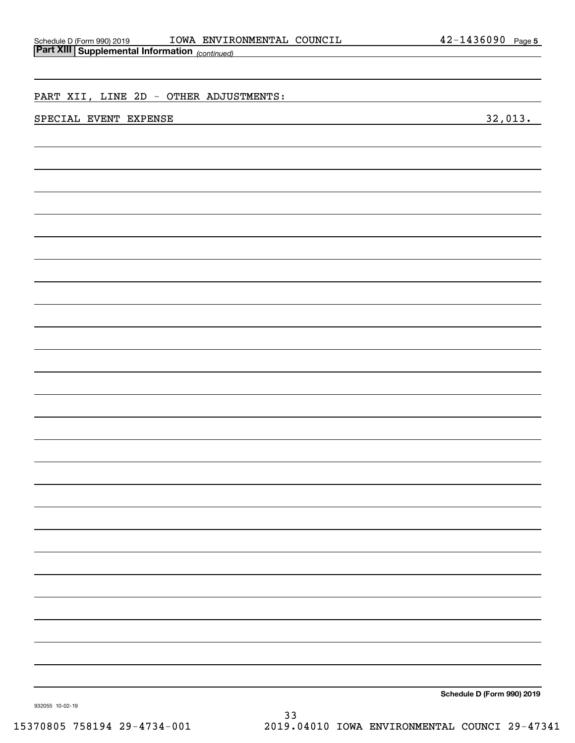| Schedule D (Form 990) 2019    |  |
|-------------------------------|--|
| Part XIII Supplemental Inform |  |

| <b>Part XIII Supplemental Information</b> (continued) |         |
|-------------------------------------------------------|---------|
|                                                       |         |
|                                                       |         |
| PART XII, LINE 2D - OTHER ADJUSTMENTS:                |         |
| SPECIAL EVENT EXPENSE                                 | 32,013. |
|                                                       |         |
|                                                       |         |
|                                                       |         |
|                                                       |         |
|                                                       |         |
|                                                       |         |
|                                                       |         |
|                                                       |         |
|                                                       |         |
|                                                       |         |
|                                                       |         |
|                                                       |         |
|                                                       |         |
|                                                       |         |
|                                                       |         |
|                                                       |         |
|                                                       |         |
|                                                       |         |
|                                                       |         |
|                                                       |         |
|                                                       |         |
|                                                       |         |
|                                                       |         |
|                                                       |         |
|                                                       |         |
|                                                       |         |
|                                                       |         |
|                                                       |         |
|                                                       |         |
|                                                       |         |
|                                                       |         |
|                                                       |         |
|                                                       |         |
|                                                       |         |

**Schedule D (Form 990) 2019**

932055 10-02-19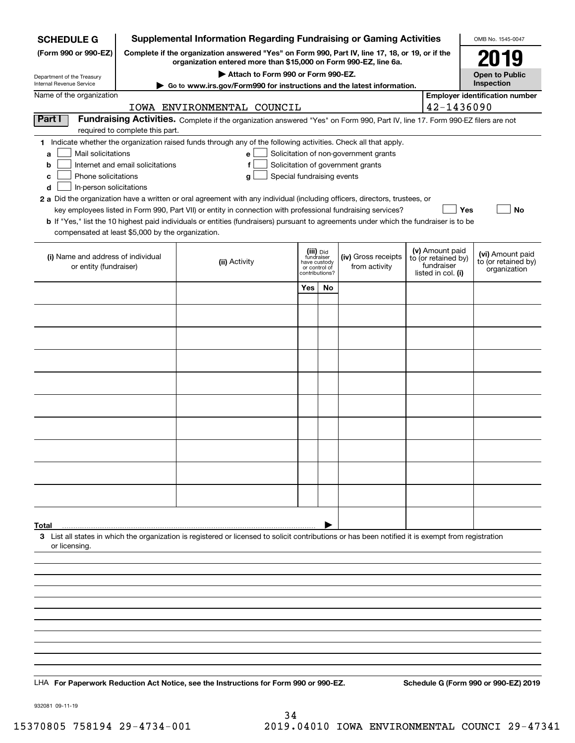| <b>Supplemental Information Regarding Fundraising or Gaming Activities</b><br><b>SCHEDULE G</b> |                                                                                                        |                                                                                                                                                    |                                         |    |                                       |  | OMB No. 1545-0047                                    |                                         |
|-------------------------------------------------------------------------------------------------|--------------------------------------------------------------------------------------------------------|----------------------------------------------------------------------------------------------------------------------------------------------------|-----------------------------------------|----|---------------------------------------|--|------------------------------------------------------|-----------------------------------------|
| (Form 990 or 990-EZ)                                                                            | Complete if the organization answered "Yes" on Form 990, Part IV, line 17, 18, or 19, or if the        | 2019                                                                                                                                               |                                         |    |                                       |  |                                                      |                                         |
| Department of the Treasury                                                                      | organization entered more than \$15,000 on Form 990-EZ, line 6a.<br>Attach to Form 990 or Form 990-EZ. |                                                                                                                                                    |                                         |    |                                       |  |                                                      | <b>Open to Public</b>                   |
| Internal Revenue Service                                                                        |                                                                                                        | Go to www.irs.gov/Form990 for instructions and the latest information.                                                                             |                                         |    |                                       |  |                                                      | Inspection                              |
| Name of the organization                                                                        |                                                                                                        | IOWA ENVIRONMENTAL COUNCIL                                                                                                                         |                                         |    |                                       |  | 42-1436090                                           | <b>Employer identification number</b>   |
| Part I                                                                                          |                                                                                                        | Fundraising Activities. Complete if the organization answered "Yes" on Form 990, Part IV, line 17. Form 990-EZ filers are not                      |                                         |    |                                       |  |                                                      |                                         |
|                                                                                                 | required to complete this part.                                                                        |                                                                                                                                                    |                                         |    |                                       |  |                                                      |                                         |
| Mail solicitations<br>a                                                                         |                                                                                                        | 1 Indicate whether the organization raised funds through any of the following activities. Check all that apply.<br>e l                             |                                         |    | Solicitation of non-government grants |  |                                                      |                                         |
| b                                                                                               | Internet and email solicitations                                                                       | f                                                                                                                                                  |                                         |    | Solicitation of government grants     |  |                                                      |                                         |
| Phone solicitations<br>с                                                                        |                                                                                                        | Special fundraising events<br>g                                                                                                                    |                                         |    |                                       |  |                                                      |                                         |
| d<br>In-person solicitations                                                                    |                                                                                                        | 2 a Did the organization have a written or oral agreement with any individual (including officers, directors, trustees, or                         |                                         |    |                                       |  |                                                      |                                         |
|                                                                                                 |                                                                                                        | key employees listed in Form 990, Part VII) or entity in connection with professional fundraising services?                                        |                                         |    |                                       |  | Yes                                                  | No                                      |
| compensated at least \$5,000 by the organization.                                               |                                                                                                        | <b>b</b> If "Yes," list the 10 highest paid individuals or entities (fundraisers) pursuant to agreements under which the fundraiser is to be       |                                         |    |                                       |  |                                                      |                                         |
|                                                                                                 |                                                                                                        |                                                                                                                                                    |                                         |    |                                       |  |                                                      |                                         |
| (i) Name and address of individual                                                              |                                                                                                        | (ii) Activity                                                                                                                                      | (iii) Did<br>fundraiser<br>have custody |    | (iv) Gross receipts                   |  | (v) Amount paid<br>to (or retained by)<br>fundraiser | (vi) Amount paid<br>to (or retained by) |
| or entity (fundraiser)                                                                          |                                                                                                        |                                                                                                                                                    | or control of<br>contributions?         |    | from activity                         |  | listed in col. (i)                                   | organization                            |
|                                                                                                 |                                                                                                        |                                                                                                                                                    | Yes                                     | No |                                       |  |                                                      |                                         |
|                                                                                                 |                                                                                                        |                                                                                                                                                    |                                         |    |                                       |  |                                                      |                                         |
|                                                                                                 |                                                                                                        |                                                                                                                                                    |                                         |    |                                       |  |                                                      |                                         |
|                                                                                                 |                                                                                                        |                                                                                                                                                    |                                         |    |                                       |  |                                                      |                                         |
|                                                                                                 |                                                                                                        |                                                                                                                                                    |                                         |    |                                       |  |                                                      |                                         |
|                                                                                                 |                                                                                                        |                                                                                                                                                    |                                         |    |                                       |  |                                                      |                                         |
|                                                                                                 |                                                                                                        |                                                                                                                                                    |                                         |    |                                       |  |                                                      |                                         |
|                                                                                                 |                                                                                                        |                                                                                                                                                    |                                         |    |                                       |  |                                                      |                                         |
|                                                                                                 |                                                                                                        |                                                                                                                                                    |                                         |    |                                       |  |                                                      |                                         |
|                                                                                                 |                                                                                                        |                                                                                                                                                    |                                         |    |                                       |  |                                                      |                                         |
|                                                                                                 |                                                                                                        |                                                                                                                                                    |                                         |    |                                       |  |                                                      |                                         |
|                                                                                                 |                                                                                                        |                                                                                                                                                    |                                         |    |                                       |  |                                                      |                                         |
|                                                                                                 |                                                                                                        |                                                                                                                                                    |                                         |    |                                       |  |                                                      |                                         |
|                                                                                                 |                                                                                                        |                                                                                                                                                    |                                         |    |                                       |  |                                                      |                                         |
|                                                                                                 |                                                                                                        |                                                                                                                                                    |                                         |    |                                       |  |                                                      |                                         |
| Total                                                                                           |                                                                                                        |                                                                                                                                                    |                                         |    |                                       |  |                                                      |                                         |
| or licensing.                                                                                   |                                                                                                        | 3 List all states in which the organization is registered or licensed to solicit contributions or has been notified it is exempt from registration |                                         |    |                                       |  |                                                      |                                         |
|                                                                                                 |                                                                                                        |                                                                                                                                                    |                                         |    |                                       |  |                                                      |                                         |
|                                                                                                 |                                                                                                        |                                                                                                                                                    |                                         |    |                                       |  |                                                      |                                         |
|                                                                                                 |                                                                                                        |                                                                                                                                                    |                                         |    |                                       |  |                                                      |                                         |
|                                                                                                 |                                                                                                        |                                                                                                                                                    |                                         |    |                                       |  |                                                      |                                         |
|                                                                                                 |                                                                                                        |                                                                                                                                                    |                                         |    |                                       |  |                                                      |                                         |
|                                                                                                 |                                                                                                        |                                                                                                                                                    |                                         |    |                                       |  |                                                      |                                         |
|                                                                                                 |                                                                                                        |                                                                                                                                                    |                                         |    |                                       |  |                                                      |                                         |
|                                                                                                 |                                                                                                        |                                                                                                                                                    |                                         |    |                                       |  |                                                      |                                         |
|                                                                                                 |                                                                                                        | LHA For Paperwork Reduction Act Notice, see the Instructions for Form 990 or 990-EZ.                                                               |                                         |    |                                       |  |                                                      | Schedule G (Form 990 or 990-EZ) 2019    |

932081 09-11-19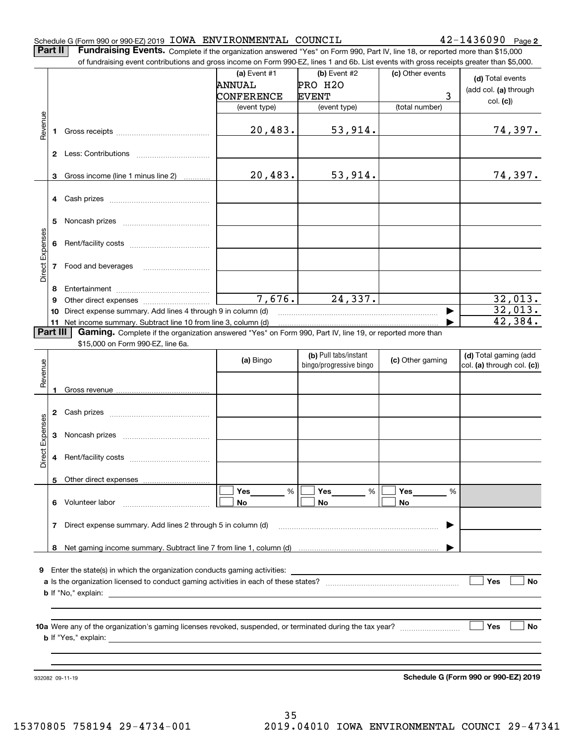#### Schedule G (Form 990 or 990-EZ) 2019 Page IOWA ENVIRONMENTAL COUNCIL 42-1436090

**2**

**Part II** | Fundraising Events. Complete if the organization answered "Yes" on Form 990, Part IV, line 18, or reported more than \$15,000

|                 |              | of fundraising event contributions and gross income on Form 990-EZ, lines 1 and 6b. List events with gross receipts greater than \$5,000. |              |                         |                  |                                      |
|-----------------|--------------|-------------------------------------------------------------------------------------------------------------------------------------------|--------------|-------------------------|------------------|--------------------------------------|
|                 |              |                                                                                                                                           | (a) Event #1 | (b) Event #2            | (c) Other events | (d) Total events                     |
|                 |              |                                                                                                                                           | ANNUAL       | PRO H2O                 |                  | (add col. (a) through                |
|                 |              |                                                                                                                                           | CONFERENCE   | <b>EVENT</b>            | 3                |                                      |
|                 |              |                                                                                                                                           | (event type) | (event type)            | (total number)   | col. (c)                             |
|                 |              |                                                                                                                                           |              |                         |                  |                                      |
| Revenue         | 1            |                                                                                                                                           | 20,483.      | 53,914.                 |                  | 74,397.                              |
|                 |              |                                                                                                                                           |              |                         |                  |                                      |
|                 |              |                                                                                                                                           |              |                         |                  |                                      |
|                 |              |                                                                                                                                           |              |                         |                  |                                      |
|                 | 3            | Gross income (line 1 minus line 2)                                                                                                        | 20,483.      | 53,914.                 |                  | 74,397.                              |
|                 |              |                                                                                                                                           |              |                         |                  |                                      |
|                 | 4            |                                                                                                                                           |              |                         |                  |                                      |
|                 |              |                                                                                                                                           |              |                         |                  |                                      |
|                 | 5            |                                                                                                                                           |              |                         |                  |                                      |
| Direct Expenses |              |                                                                                                                                           |              |                         |                  |                                      |
|                 | 6            |                                                                                                                                           |              |                         |                  |                                      |
|                 |              |                                                                                                                                           |              |                         |                  |                                      |
|                 | 7            | Food and beverages                                                                                                                        |              |                         |                  |                                      |
|                 |              |                                                                                                                                           |              |                         |                  |                                      |
|                 | 8            |                                                                                                                                           | 7,676.       | 24,337.                 |                  | 32,013.                              |
|                 | 9            | Direct expense summary. Add lines 4 through 9 in column (d)                                                                               |              |                         |                  | 32,013.                              |
|                 | 10           | 11 Net income summary. Subtract line 10 from line 3, column (d)                                                                           |              |                         |                  | 42,384.                              |
|                 | Part III     | Gaming. Complete if the organization answered "Yes" on Form 990, Part IV, line 19, or reported more than                                  |              |                         |                  |                                      |
|                 |              | \$15,000 on Form 990-EZ, line 6a.                                                                                                         |              |                         |                  |                                      |
|                 |              |                                                                                                                                           |              | (b) Pull tabs/instant   |                  | (d) Total gaming (add                |
|                 |              |                                                                                                                                           | (a) Bingo    | bingo/progressive bingo | (c) Other gaming | col. (a) through col. (c))           |
| Revenue         |              |                                                                                                                                           |              |                         |                  |                                      |
|                 | 1            |                                                                                                                                           |              |                         |                  |                                      |
|                 |              |                                                                                                                                           |              |                         |                  |                                      |
|                 | $\mathbf{2}$ |                                                                                                                                           |              |                         |                  |                                      |
|                 |              |                                                                                                                                           |              |                         |                  |                                      |
| Expenses        | 3            |                                                                                                                                           |              |                         |                  |                                      |
|                 |              |                                                                                                                                           |              |                         |                  |                                      |
| Direct          | 4            |                                                                                                                                           |              |                         |                  |                                      |
|                 |              |                                                                                                                                           |              |                         |                  |                                      |
|                 |              | 5 Other direct expenses                                                                                                                   |              |                         |                  |                                      |
|                 |              |                                                                                                                                           | %<br>Yes     | %<br>Yes                | Yes<br>%         |                                      |
|                 | 6.           | Volunteer labor                                                                                                                           | No           | No                      | No               |                                      |
|                 |              |                                                                                                                                           |              |                         |                  |                                      |
|                 | 7            | Direct expense summary. Add lines 2 through 5 in column (d)                                                                               |              |                         |                  |                                      |
|                 |              |                                                                                                                                           |              |                         |                  |                                      |
|                 |              |                                                                                                                                           |              |                         |                  |                                      |
|                 |              |                                                                                                                                           |              |                         |                  |                                      |
| 9.              |              |                                                                                                                                           |              |                         |                  |                                      |
|                 |              |                                                                                                                                           |              |                         |                  | Yes<br>No                            |
|                 |              |                                                                                                                                           |              |                         |                  |                                      |
|                 |              |                                                                                                                                           |              |                         |                  |                                      |
|                 |              |                                                                                                                                           |              |                         |                  |                                      |
|                 |              |                                                                                                                                           |              |                         |                  | Yes<br>No                            |
|                 |              |                                                                                                                                           |              |                         |                  |                                      |
|                 |              |                                                                                                                                           |              |                         |                  |                                      |
|                 |              |                                                                                                                                           |              |                         |                  |                                      |
|                 |              | 932082 09-11-19                                                                                                                           |              |                         |                  | Schedule G (Form 990 or 990-EZ) 2019 |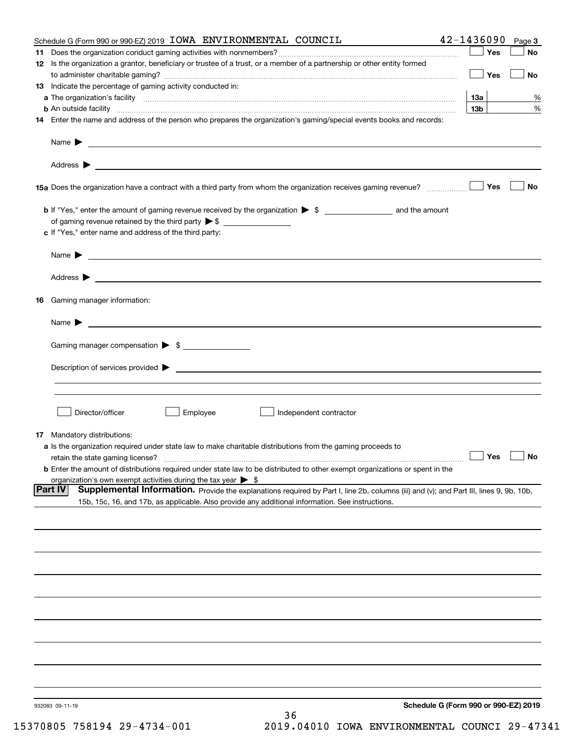| Schedule G (Form 990 or 990-EZ) 2019 IOWA ENVIRONMENTAL COUNCIL                                                                                               | 42-1436090                           | Page 3    |
|---------------------------------------------------------------------------------------------------------------------------------------------------------------|--------------------------------------|-----------|
|                                                                                                                                                               | Yes                                  | No        |
| 12 Is the organization a grantor, beneficiary or trustee of a trust, or a member of a partnership or other entity formed                                      |                                      |           |
|                                                                                                                                                               | Yes                                  | No        |
| 13 Indicate the percentage of gaming activity conducted in:                                                                                                   |                                      |           |
|                                                                                                                                                               | 13а                                  | %         |
| <b>b</b> An outside facility <i>www.communicality www.communicality.communicality www.communicality www.communicality.communicality www.communicality.com</i> | 13 <sub>b</sub>                      | %         |
| 14 Enter the name and address of the person who prepares the organization's gaming/special events books and records:                                          |                                      |           |
|                                                                                                                                                               |                                      |           |
|                                                                                                                                                               |                                      |           |
|                                                                                                                                                               |                                      |           |
|                                                                                                                                                               |                                      |           |
|                                                                                                                                                               |                                      |           |
| 15a Does the organization have a contract with a third party from whom the organization receives gaming revenue?                                              | Yes                                  | No        |
|                                                                                                                                                               |                                      |           |
|                                                                                                                                                               |                                      |           |
| of gaming revenue retained by the third party $\triangleright$ \$                                                                                             |                                      |           |
| c If "Yes," enter name and address of the third party:                                                                                                        |                                      |           |
|                                                                                                                                                               |                                      |           |
|                                                                                                                                                               |                                      |           |
|                                                                                                                                                               |                                      |           |
|                                                                                                                                                               |                                      |           |
|                                                                                                                                                               |                                      |           |
| 16 Gaming manager information:                                                                                                                                |                                      |           |
|                                                                                                                                                               |                                      |           |
| <u> 1989 - Johann Barbara, martin amerikan basal dan berasal dan berasal dan berasal dari berasal dan berasal dan</u><br>Name $\blacktriangleright$           |                                      |           |
| Gaming manager compensation > \$                                                                                                                              |                                      |           |
|                                                                                                                                                               |                                      |           |
|                                                                                                                                                               |                                      |           |
|                                                                                                                                                               |                                      |           |
|                                                                                                                                                               |                                      |           |
|                                                                                                                                                               |                                      |           |
| Director/officer<br>Employee<br>Independent contractor                                                                                                        |                                      |           |
|                                                                                                                                                               |                                      |           |
| 17 Mandatory distributions:                                                                                                                                   |                                      |           |
| a Is the organization required under state law to make charitable distributions from the gaming proceeds to                                                   |                                      |           |
| retain the state gaming license?                                                                                                                              | $\Box$ Yes                           | $\Box$ No |
| <b>b</b> Enter the amount of distributions required under state law to be distributed to other exempt organizations or spent in the                           |                                      |           |
| organization's own exempt activities during the tax year $\triangleright$ \$                                                                                  |                                      |           |
| Supplemental Information. Provide the explanations required by Part I, line 2b, columns (iii) and (v); and Part III, lines 9, 9b, 10b,<br> Part IV            |                                      |           |
| 15b, 15c, 16, and 17b, as applicable. Also provide any additional information. See instructions.                                                              |                                      |           |
|                                                                                                                                                               |                                      |           |
|                                                                                                                                                               |                                      |           |
|                                                                                                                                                               |                                      |           |
|                                                                                                                                                               |                                      |           |
|                                                                                                                                                               |                                      |           |
|                                                                                                                                                               |                                      |           |
|                                                                                                                                                               |                                      |           |
|                                                                                                                                                               |                                      |           |
|                                                                                                                                                               |                                      |           |
|                                                                                                                                                               |                                      |           |
|                                                                                                                                                               |                                      |           |
|                                                                                                                                                               |                                      |           |
|                                                                                                                                                               |                                      |           |
|                                                                                                                                                               |                                      |           |
|                                                                                                                                                               |                                      |           |
|                                                                                                                                                               |                                      |           |
| 932083 09-11-19                                                                                                                                               | Schedule G (Form 990 or 990-EZ) 2019 |           |
| 36                                                                                                                                                            |                                      |           |
|                                                                                                                                                               |                                      |           |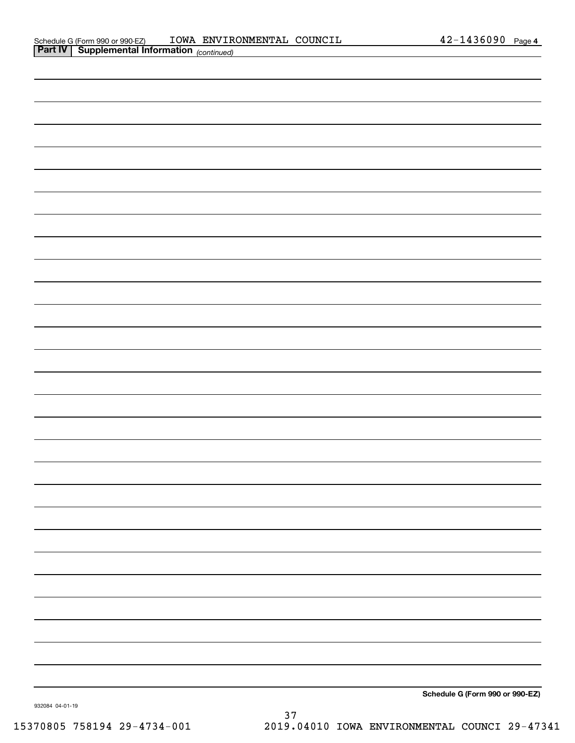| <b>Part IV Supplemental Information</b> (continued) |  |                                 |
|-----------------------------------------------------|--|---------------------------------|
|                                                     |  |                                 |
|                                                     |  |                                 |
|                                                     |  |                                 |
|                                                     |  |                                 |
|                                                     |  |                                 |
|                                                     |  |                                 |
|                                                     |  |                                 |
|                                                     |  |                                 |
|                                                     |  |                                 |
|                                                     |  |                                 |
|                                                     |  |                                 |
|                                                     |  |                                 |
|                                                     |  |                                 |
|                                                     |  |                                 |
|                                                     |  |                                 |
|                                                     |  |                                 |
|                                                     |  |                                 |
|                                                     |  |                                 |
|                                                     |  |                                 |
|                                                     |  |                                 |
|                                                     |  |                                 |
|                                                     |  |                                 |
|                                                     |  |                                 |
|                                                     |  |                                 |
|                                                     |  |                                 |
|                                                     |  |                                 |
|                                                     |  |                                 |
|                                                     |  |                                 |
|                                                     |  |                                 |
|                                                     |  |                                 |
|                                                     |  | Schedule G (Form 990 or 990-EZ) |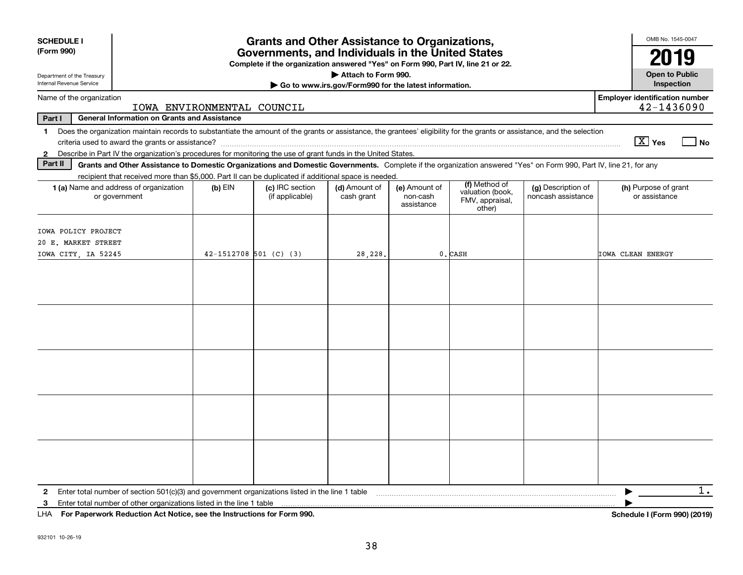| <b>SCHEDULE I</b><br>(Form 990)                                                                                                                                                                                                                                                                                |                                                     |                            | <b>Grants and Other Assistance to Organizations,</b><br>Governments, and Individuals in the United States<br>Complete if the organization answered "Yes" on Form 990, Part IV, line 21 or 22. |                                                                              |                                         |                                                                                                                                                                    |                                          | OMB No. 1545-0047<br>2019                                                                                                                                                                                                                                                                                                                   |
|----------------------------------------------------------------------------------------------------------------------------------------------------------------------------------------------------------------------------------------------------------------------------------------------------------------|-----------------------------------------------------|----------------------------|-----------------------------------------------------------------------------------------------------------------------------------------------------------------------------------------------|------------------------------------------------------------------------------|-----------------------------------------|--------------------------------------------------------------------------------------------------------------------------------------------------------------------|------------------------------------------|---------------------------------------------------------------------------------------------------------------------------------------------------------------------------------------------------------------------------------------------------------------------------------------------------------------------------------------------|
| Department of the Treasury<br>Internal Revenue Service                                                                                                                                                                                                                                                         |                                                     |                            |                                                                                                                                                                                               | Attach to Form 990.<br>Go to www.irs.gov/Form990 for the latest information. |                                         |                                                                                                                                                                    |                                          | <b>Open to Public</b><br>Inspection                                                                                                                                                                                                                                                                                                         |
| Name of the organization                                                                                                                                                                                                                                                                                       |                                                     | IOWA ENVIRONMENTAL COUNCIL |                                                                                                                                                                                               |                                                                              |                                         |                                                                                                                                                                    |                                          | <b>Employer identification number</b><br>42-1436090                                                                                                                                                                                                                                                                                         |
| Part I                                                                                                                                                                                                                                                                                                         | <b>General Information on Grants and Assistance</b> |                            |                                                                                                                                                                                               |                                                                              |                                         |                                                                                                                                                                    |                                          |                                                                                                                                                                                                                                                                                                                                             |
| Does the organization maintain records to substantiate the amount of the grants or assistance, the grantees' eligibility for the grants or assistance, and the selection<br>1<br>Describe in Part IV the organization's procedures for monitoring the use of grant funds in the United States.<br>$\mathbf{2}$ |                                                     |                            |                                                                                                                                                                                               |                                                                              |                                         |                                                                                                                                                                    |                                          | $\boxed{\text{X}}$ Yes<br>  No                                                                                                                                                                                                                                                                                                              |
| Part II                                                                                                                                                                                                                                                                                                        |                                                     |                            |                                                                                                                                                                                               |                                                                              |                                         | Grants and Other Assistance to Domestic Organizations and Domestic Governments. Complete if the organization answered "Yes" on Form 990, Part IV, line 21, for any |                                          |                                                                                                                                                                                                                                                                                                                                             |
| <b>1 (a)</b> Name and address of organization<br>or government                                                                                                                                                                                                                                                 |                                                     | $(b)$ EIN                  | recipient that received more than \$5,000. Part II can be duplicated if additional space is needed.<br>(c) IRC section<br>(if applicable)                                                     | (d) Amount of<br>cash grant                                                  | (e) Amount of<br>non-cash<br>assistance | (f) Method of<br>valuation (book,<br>FMV, appraisal,<br>other)                                                                                                     | (g) Description of<br>noncash assistance | (h) Purpose of grant<br>or assistance                                                                                                                                                                                                                                                                                                       |
| IOWA POLICY PROJECT<br>20 E. MARKET STREET<br>IOWA CITY, IA 52245                                                                                                                                                                                                                                              |                                                     | $42 - 1512708$ 501 (C) (3) |                                                                                                                                                                                               | 28,228.                                                                      |                                         | 0. CASH                                                                                                                                                            |                                          | IOWA CLEAN ENERGY                                                                                                                                                                                                                                                                                                                           |
|                                                                                                                                                                                                                                                                                                                |                                                     |                            |                                                                                                                                                                                               |                                                                              |                                         |                                                                                                                                                                    |                                          |                                                                                                                                                                                                                                                                                                                                             |
|                                                                                                                                                                                                                                                                                                                |                                                     |                            |                                                                                                                                                                                               |                                                                              |                                         |                                                                                                                                                                    |                                          |                                                                                                                                                                                                                                                                                                                                             |
|                                                                                                                                                                                                                                                                                                                |                                                     |                            |                                                                                                                                                                                               |                                                                              |                                         |                                                                                                                                                                    |                                          |                                                                                                                                                                                                                                                                                                                                             |
|                                                                                                                                                                                                                                                                                                                |                                                     |                            |                                                                                                                                                                                               |                                                                              |                                         |                                                                                                                                                                    |                                          |                                                                                                                                                                                                                                                                                                                                             |
|                                                                                                                                                                                                                                                                                                                |                                                     |                            |                                                                                                                                                                                               |                                                                              |                                         |                                                                                                                                                                    |                                          |                                                                                                                                                                                                                                                                                                                                             |
| Enter total number of section $501(c)(3)$ and government organizations listed in the line 1 table<br>Enter total number of other organizations listed in the line 1 table<br>3                                                                                                                                 |                                                     |                            |                                                                                                                                                                                               |                                                                              |                                         |                                                                                                                                                                    |                                          | $1$ .<br>$\mathbf{r}$ $\mathbf{r}$ $\mathbf{r}$ $\mathbf{r}$ $\mathbf{r}$ $\mathbf{r}$ $\mathbf{r}$ $\mathbf{r}$ $\mathbf{r}$ $\mathbf{r}$ $\mathbf{r}$ $\mathbf{r}$ $\mathbf{r}$ $\mathbf{r}$ $\mathbf{r}$ $\mathbf{r}$ $\mathbf{r}$ $\mathbf{r}$ $\mathbf{r}$ $\mathbf{r}$ $\mathbf{r}$ $\mathbf{r}$ $\mathbf{r}$ $\mathbf{r}$ $\mathbf{$ |

**For Paperwork Reduction Act Notice, see the Instructions for Form 990. Schedule I (Form 990) (2019)** LHA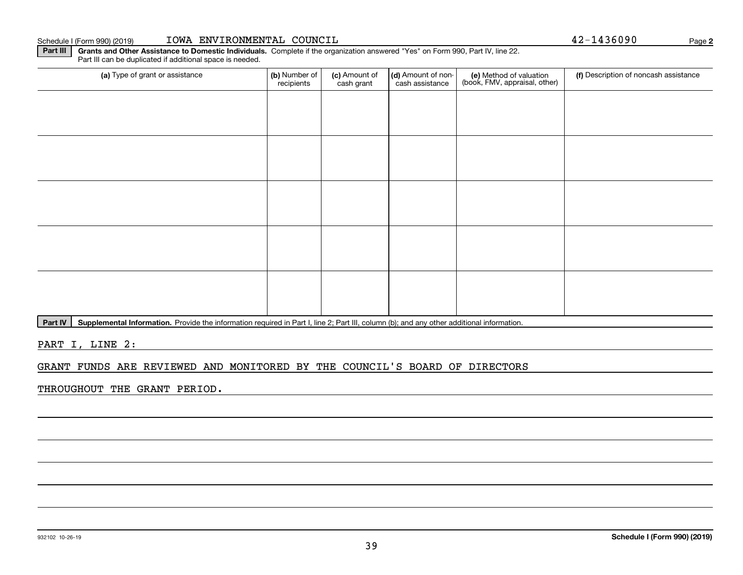## Schedule I (Form 990) (2019) Page IOWA ENVIRONMENTAL COUNCIL 42-1436090

Part III can be duplicated if additional space is needed.

(a) Type of grant or assistance **(b)** Number of **(c)** Amount of **(d)** Amount of non-**(e)** Method of valuation (f)<br>cash are continuous cash crant cash assistance (book, FMV, appraisal, other) (a) Type of grant or assistance (b) Number of recipients(c) Amount of cash grant (d) Amount of noncash assistance (f) Description of noncash assistance

Part IV | Supplemental Information. Provide the information required in Part I, line 2; Part III, column (b); and any other additional information.

**Part III** | Grants and Other Assistance to Domestic Individuals. Complete if the organization answered "Yes" on Form 990, Part IV, line 22.

PART I, LINE 2:

# GRANT FUNDS ARE REVIEWED AND MONITORED BY THE COUNCIL'S BOARD OF DIRECTORS

THROUGHOUT THE GRANT PERIOD.

**2**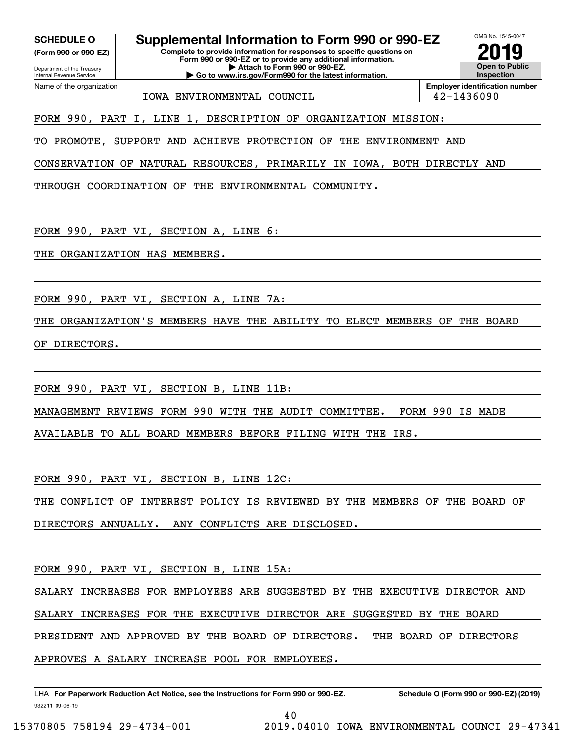**(Form 990 or 990-EZ)**

Department of the Treasury Internal Revenue Service Name of the organization

**SCHEDULE O Supplemental Information to Form 990 or 990-EZ**

**Complete to provide information for responses to specific questions on Form 990 or 990-EZ or to provide any additional information. | Attach to Form 990 or 990-EZ. | Go to www.irs.gov/Form990 for the latest information.**



IOWA ENVIRONMENTAL COUNCIL 42-1436090

**Employer identification number**

FORM 990, PART I, LINE 1, DESCRIPTION OF ORGANIZATION MISSION:

TO PROMOTE, SUPPORT AND ACHIEVE PROTECTION OF THE ENVIRONMENT AND

CONSERVATION OF NATURAL RESOURCES, PRIMARILY IN IOWA, BOTH DIRECTLY AND

THROUGH COORDINATION OF THE ENVIRONMENTAL COMMUNITY.

FORM 990, PART VI, SECTION A, LINE 6:

THE ORGANIZATION HAS MEMBERS.

FORM 990, PART VI, SECTION A, LINE 7A:

THE ORGANIZATION'S MEMBERS HAVE THE ABILITY TO ELECT MEMBERS OF THE BOARD

OF DIRECTORS.

FORM 990, PART VI, SECTION B, LINE 11B:

MANAGEMENT REVIEWS FORM 990 WITH THE AUDIT COMMITTEE. FORM 990 IS MADE

AVAILABLE TO ALL BOARD MEMBERS BEFORE FILING WITH THE IRS.

FORM 990, PART VI, SECTION B, LINE 12C:

THE CONFLICT OF INTEREST POLICY IS REVIEWED BY THE MEMBERS OF THE BOARD OF

DIRECTORS ANNUALLY. ANY CONFLICTS ARE DISCLOSED.

FORM 990, PART VI, SECTION B, LINE 15A:

SALARY INCREASES FOR EMPLOYEES ARE SUGGESTED BY THE EXECUTIVE DIRECTOR AND

SALARY INCREASES FOR THE EXECUTIVE DIRECTOR ARE SUGGESTED BY THE BOARD

PRESIDENT AND APPROVED BY THE BOARD OF DIRECTORS. THE BOARD OF DIRECTORS

APPROVES A SALARY INCREASE POOL FOR EMPLOYEES.

932211 09-06-19 LHA For Paperwork Reduction Act Notice, see the Instructions for Form 990 or 990-EZ. Schedule O (Form 990 or 990-EZ) (2019)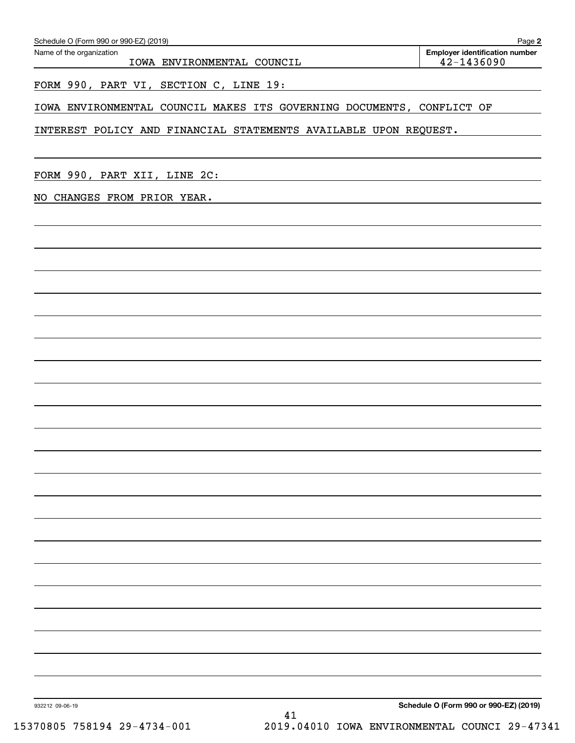| FORM 990, PART XII, LINE 2C: |    |                                                             |  |                                               |
|------------------------------|----|-------------------------------------------------------------|--|-----------------------------------------------|
| NO CHANGES FROM PRIOR YEAR.  |    | <u> 1989 - Johann Stoff, amerikansk politiker (d. 1989)</u> |  |                                               |
|                              |    |                                                             |  |                                               |
|                              |    |                                                             |  |                                               |
|                              |    |                                                             |  |                                               |
|                              |    |                                                             |  |                                               |
|                              |    |                                                             |  |                                               |
|                              |    |                                                             |  |                                               |
|                              |    |                                                             |  |                                               |
|                              |    |                                                             |  |                                               |
|                              |    |                                                             |  |                                               |
|                              |    |                                                             |  |                                               |
|                              |    |                                                             |  |                                               |
|                              |    |                                                             |  |                                               |
|                              |    |                                                             |  |                                               |
|                              |    |                                                             |  |                                               |
|                              |    |                                                             |  |                                               |
|                              |    |                                                             |  |                                               |
|                              |    |                                                             |  |                                               |
|                              |    |                                                             |  |                                               |
|                              |    |                                                             |  |                                               |
|                              |    |                                                             |  |                                               |
|                              |    |                                                             |  |                                               |
|                              |    |                                                             |  |                                               |
| 932212 09-06-19              |    |                                                             |  | Schedule O (Form 990 or 990-EZ) (2019)        |
| 15370805 758194 29-4734-001  | 41 |                                                             |  | 2019.04010 IOWA ENVIRONMENTAL COUNCI 29-47341 |

IOWA ENVIRONMENTAL COUNCIL  $\vert$  42-1436090

FORM 990, PART VI, SECTION C, LINE 19: